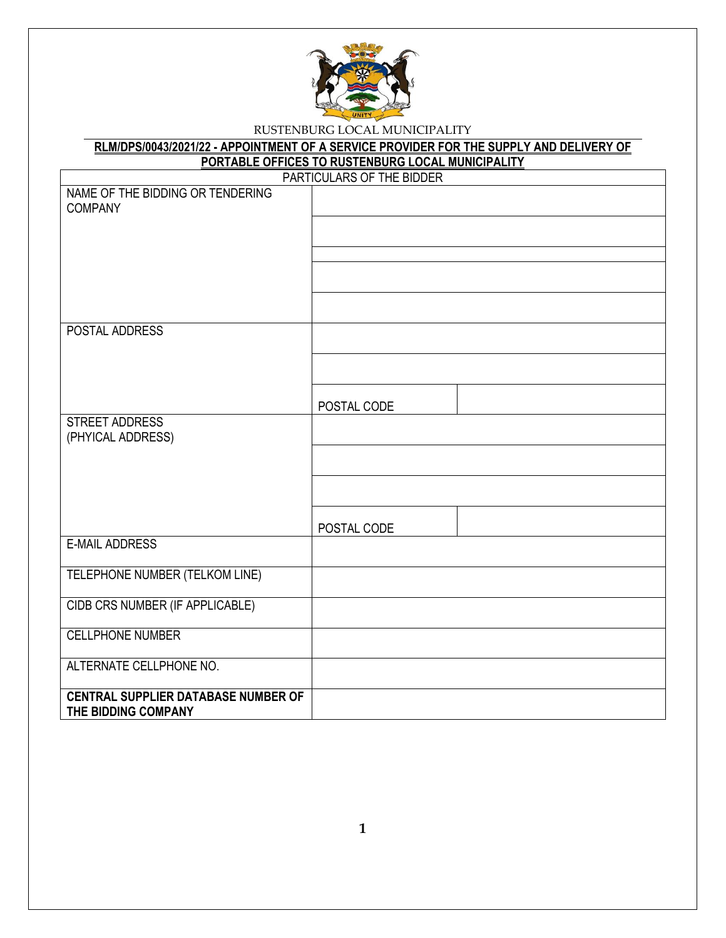

|                                                    | RLM/DPS/0043/2021/22 - APPOINTMENT OF A SERVICE PROVIDER FOR THE SUPPLY AND DELIVERY OF |  |  |  |
|----------------------------------------------------|-----------------------------------------------------------------------------------------|--|--|--|
| PORTABLE OFFICES TO RUSTENBURG LOCAL MUNICIPALITY  |                                                                                         |  |  |  |
|                                                    | PARTICULARS OF THE BIDDER                                                               |  |  |  |
| NAME OF THE BIDDING OR TENDERING<br><b>COMPANY</b> |                                                                                         |  |  |  |
|                                                    |                                                                                         |  |  |  |
|                                                    |                                                                                         |  |  |  |
|                                                    |                                                                                         |  |  |  |
|                                                    |                                                                                         |  |  |  |
|                                                    |                                                                                         |  |  |  |
|                                                    |                                                                                         |  |  |  |
|                                                    |                                                                                         |  |  |  |
| POSTAL ADDRESS                                     |                                                                                         |  |  |  |
|                                                    |                                                                                         |  |  |  |
|                                                    |                                                                                         |  |  |  |
|                                                    |                                                                                         |  |  |  |
|                                                    | POSTAL CODE                                                                             |  |  |  |
| <b>STREET ADDRESS</b>                              |                                                                                         |  |  |  |
| (PHYICAL ADDRESS)                                  |                                                                                         |  |  |  |
|                                                    |                                                                                         |  |  |  |
|                                                    |                                                                                         |  |  |  |
|                                                    |                                                                                         |  |  |  |
|                                                    |                                                                                         |  |  |  |
|                                                    |                                                                                         |  |  |  |
|                                                    | POSTAL CODE                                                                             |  |  |  |
| <b>E-MAIL ADDRESS</b>                              |                                                                                         |  |  |  |
| TELEPHONE NUMBER (TELKOM LINE)                     |                                                                                         |  |  |  |
|                                                    |                                                                                         |  |  |  |
| CIDB CRS NUMBER (IF APPLICABLE)                    |                                                                                         |  |  |  |
|                                                    |                                                                                         |  |  |  |
| <b>CELLPHONE NUMBER</b>                            |                                                                                         |  |  |  |
|                                                    |                                                                                         |  |  |  |
| ALTERNATE CELLPHONE NO.                            |                                                                                         |  |  |  |
|                                                    |                                                                                         |  |  |  |
| <b>CENTRAL SUPPLIER DATABASE NUMBER OF</b>         |                                                                                         |  |  |  |
| THE BIDDING COMPANY                                |                                                                                         |  |  |  |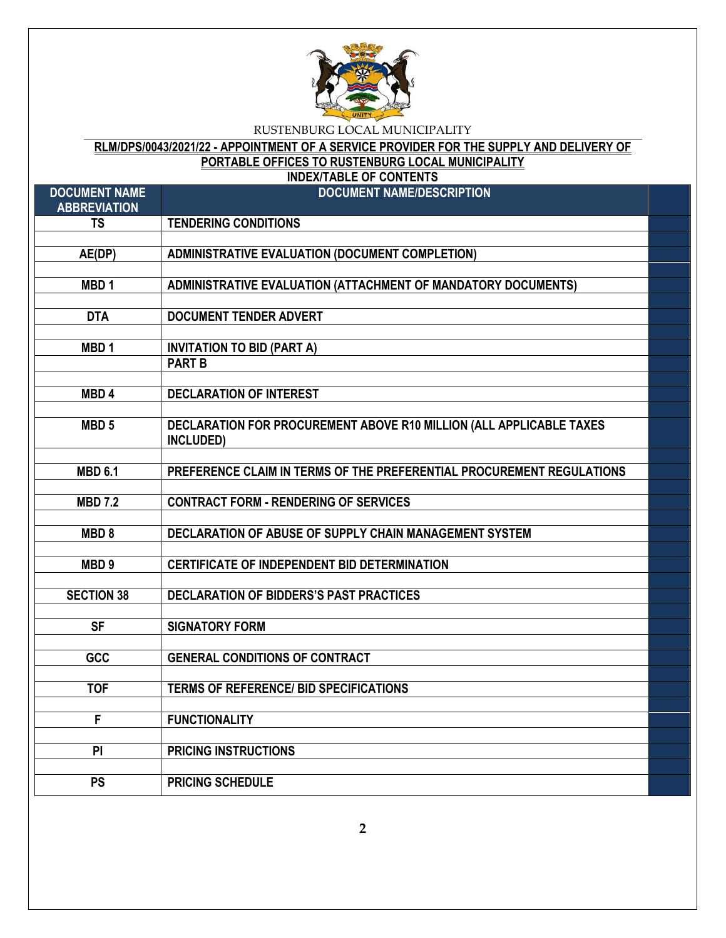

# **RLM/DPS/0043/2021/22 - APPOINTMENT OF A SERVICE PROVIDER FOR THE SUPPLY AND DELIVERY OF PORTABLE OFFICES TO RUSTENBURG LOCAL MUNICIPALITY**

| <b>INDEX/TABLE OF CONTENTS</b>              |                                                                                  |  |  |  |
|---------------------------------------------|----------------------------------------------------------------------------------|--|--|--|
| <b>DOCUMENT NAME</b><br><b>ABBREVIATION</b> | <b>DOCUMENT NAME/DESCRIPTION</b>                                                 |  |  |  |
| <b>TS</b>                                   | <b>TENDERING CONDITIONS</b>                                                      |  |  |  |
| AE(DP)                                      | <b>ADMINISTRATIVE EVALUATION (DOCUMENT COMPLETION)</b>                           |  |  |  |
|                                             |                                                                                  |  |  |  |
| MBD <sub>1</sub>                            | ADMINISTRATIVE EVALUATION (ATTACHMENT OF MANDATORY DOCUMENTS)                    |  |  |  |
| <b>DTA</b>                                  | <b>DOCUMENT TENDER ADVERT</b>                                                    |  |  |  |
|                                             |                                                                                  |  |  |  |
| MBD <sub>1</sub>                            | <b>INVITATION TO BID (PART A)</b><br><b>PART B</b>                               |  |  |  |
|                                             |                                                                                  |  |  |  |
| MBD <sub>4</sub>                            | <b>DECLARATION OF INTEREST</b>                                                   |  |  |  |
|                                             |                                                                                  |  |  |  |
| MBD <sub>5</sub>                            | DECLARATION FOR PROCUREMENT ABOVE R10 MILLION (ALL APPLICABLE TAXES<br>INCLUDED) |  |  |  |
| <b>MBD 6.1</b>                              | PREFERENCE CLAIM IN TERMS OF THE PREFERENTIAL PROCUREMENT REGULATIONS            |  |  |  |
|                                             |                                                                                  |  |  |  |
| <b>MBD 7.2</b>                              | <b>CONTRACT FORM - RENDERING OF SERVICES</b>                                     |  |  |  |
| MBD <sub>8</sub>                            | DECLARATION OF ABUSE OF SUPPLY CHAIN MANAGEMENT SYSTEM                           |  |  |  |
|                                             |                                                                                  |  |  |  |
| MBD <sub>9</sub>                            | <b>CERTIFICATE OF INDEPENDENT BID DETERMINATION</b>                              |  |  |  |
| <b>SECTION 38</b>                           | DECLARATION OF BIDDERS'S PAST PRACTICES                                          |  |  |  |
|                                             |                                                                                  |  |  |  |
| <b>SF</b>                                   | <b>SIGNATORY FORM</b>                                                            |  |  |  |
| GCC                                         | <b>GENERAL CONDITIONS OF CONTRACT</b>                                            |  |  |  |
|                                             |                                                                                  |  |  |  |
| <b>TOF</b>                                  | <b>TERMS OF REFERENCE/ BID SPECIFICATIONS</b>                                    |  |  |  |
| F                                           | <b>FUNCTIONALITY</b>                                                             |  |  |  |
|                                             |                                                                                  |  |  |  |
| PI                                          | <b>PRICING INSTRUCTIONS</b>                                                      |  |  |  |
| PS                                          | <b>PRICING SCHEDULE</b>                                                          |  |  |  |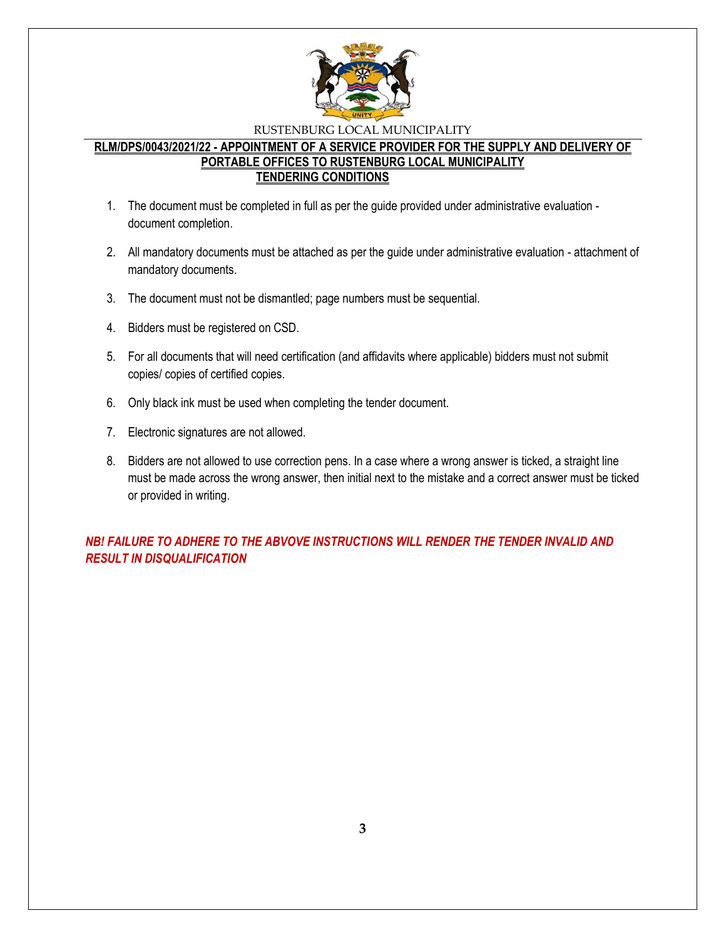

### **RLM/DPS/0043/2021/22 - APPOINTMENT OF A SERVICE PROVIDER FOR THE SUPPLY AND DELIVERY OF PORTABLE OFFICES TO RUSTENBURG LOCAL MUNICIPALITY TENDERING CONDITIONS**

- 1. The document must be completed in full as per the guide provided under administrative evaluation document completion.
- 2. All mandatory documents must be attached as per the guide under administrative evaluation attachment of mandatory documents.
- 3. The document must not be dismantled; page numbers must be sequential.
- 4. Bidders must be registered on CSD.
- 5. For all documents that will need certification (and affidavits where applicable) bidders must not submit copies/ copies of certified copies.
- 6. Only black ink must be used when completing the tender document.
- 7. Electronic signatures are not allowed.
- 8. Bidders are not allowed to use correction pens. In a case where a wrong answer is ticked, a straight line must be made across the wrong answer, then initial next to the mistake and a correct answer must be ticked or provided in writing.

*NB! FAILURE TO ADHERE TO THE ABVOVE INSTRUCTIONS WILL RENDER THE TENDER INVALID AND RESULT IN DISQUALIFICATION*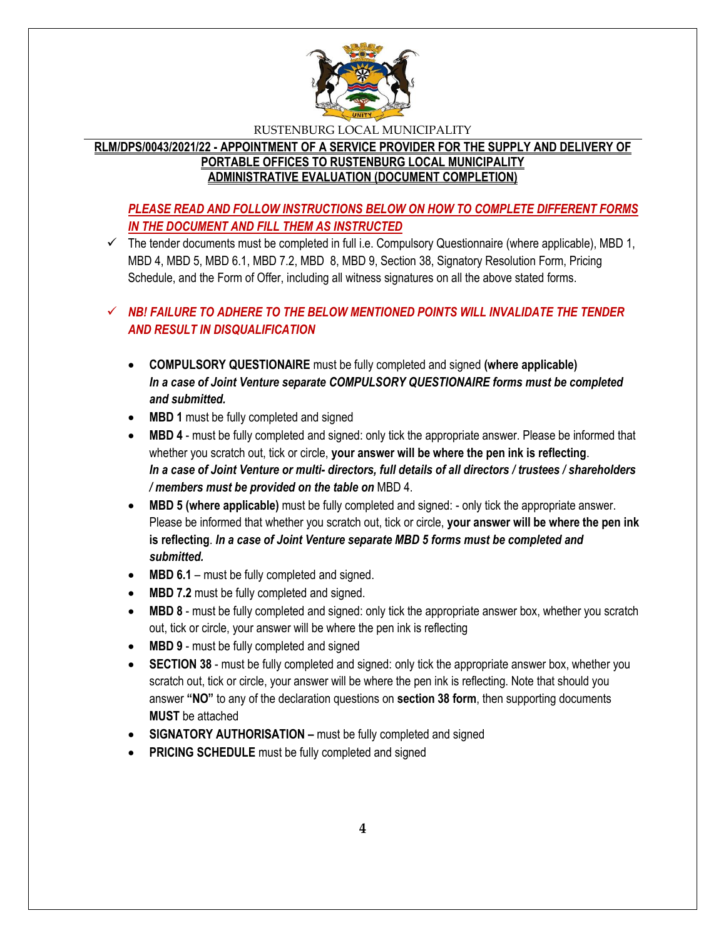

# **RLM/DPS/0043/2021/22 - APPOINTMENT OF A SERVICE PROVIDER FOR THE SUPPLY AND DELIVERY OF PORTABLE OFFICES TO RUSTENBURG LOCAL MUNICIPALITY ADMINISTRATIVE EVALUATION (DOCUMENT COMPLETION)**

# *PLEASE READ AND FOLLOW INSTRUCTIONS BELOW ON HOW TO COMPLETE DIFFERENT FORMS IN THE DOCUMENT AND FILL THEM AS INSTRUCTED*

 $\checkmark$  The tender documents must be completed in full i.e. Compulsory Questionnaire (where applicable), MBD 1, MBD 4, MBD 5, MBD 6.1, MBD 7.2, MBD 8, MBD 9, Section 38, Signatory Resolution Form, Pricing Schedule, and the Form of Offer, including all witness signatures on all the above stated forms.

# $\checkmark$  **NB! FAILURE TO ADHERE TO THE BELOW MENTIONED POINTS WILL INVALIDATE THE TENDER** *AND RESULT IN DISQUALIFICATION*

- **COMPULSORY QUESTIONAIRE** must be fully completed and signed **(where applicable)** *In a case of Joint Venture separate COMPULSORY QUESTIONAIRE forms must be completed and submitted.*
- MBD 1 must be fully completed and signed
- **MBD 4** must be fully completed and signed: only tick the appropriate answer. Please be informed that whether you scratch out, tick or circle, **your answer will be where the pen ink is reflecting**. *In a case of Joint Venture or multi- directors, full details of all directors / trustees / shareholders / members must be provided on the table on* MBD 4.
- **MBD 5 (where applicable)** must be fully completed and signed: only tick the appropriate answer. Please be informed that whether you scratch out, tick or circle, **your answer will be where the pen ink is reflecting**. *In a case of Joint Venture separate MBD 5 forms must be completed and submitted.*
- MBD 6.1 must be fully completed and signed.
- MBD 7.2 must be fully completed and signed.
- **MBD 8** must be fully completed and signed: only tick the appropriate answer box, whether you scratch out, tick or circle, your answer will be where the pen ink is reflecting
- MBD 9 must be fully completed and signed
- **SECTION 38** must be fully completed and signed: only tick the appropriate answer box, whether you scratch out, tick or circle, your answer will be where the pen ink is reflecting. Note that should you answer **"NO"** to any of the declaration questions on **section 38 form**, then supporting documents **MUST** be attached
- **SIGNATORY AUTHORISATION –** must be fully completed and signed
- **PRICING SCHEDULE** must be fully completed and signed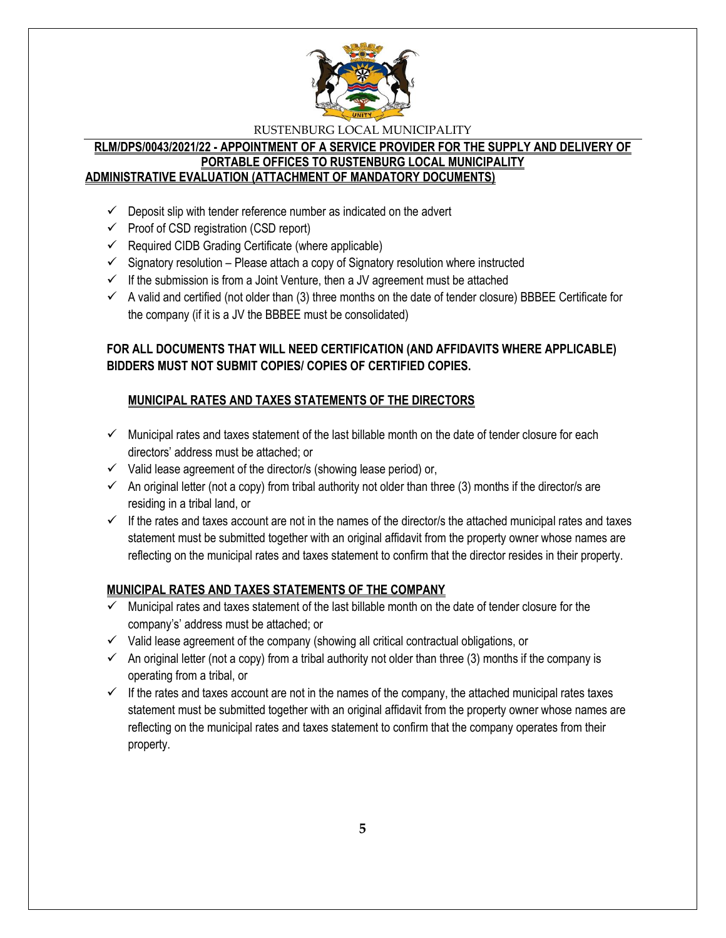

### **RLM/DPS/0043/2021/22 - APPOINTMENT OF A SERVICE PROVIDER FOR THE SUPPLY AND DELIVERY OF PORTABLE OFFICES TO RUSTENBURG LOCAL MUNICIPALITY ADMINISTRATIVE EVALUATION (ATTACHMENT OF MANDATORY DOCUMENTS)**

- $\checkmark$  Deposit slip with tender reference number as indicated on the advert
- $\checkmark$  Proof of CSD registration (CSD report)
- $\checkmark$  Required CIDB Grading Certificate (where applicable)
- $\checkmark$  Signatory resolution Please attach a copy of Signatory resolution where instructed
- $\checkmark$  If the submission is from a Joint Venture, then a JV agreement must be attached
- $\checkmark$  A valid and certified (not older than (3) three months on the date of tender closure) BBBEE Certificate for the company (if it is a JV the BBBEE must be consolidated)

# **FOR ALL DOCUMENTS THAT WILL NEED CERTIFICATION (AND AFFIDAVITS WHERE APPLICABLE) BIDDERS MUST NOT SUBMIT COPIES/ COPIES OF CERTIFIED COPIES.**

# **MUNICIPAL RATES AND TAXES STATEMENTS OF THE DIRECTORS**

- $\checkmark$  Municipal rates and taxes statement of the last billable month on the date of tender closure for each directors' address must be attached; or
- $\checkmark$  Valid lease agreement of the director/s (showing lease period) or,
- $\checkmark$  An original letter (not a copy) from tribal authority not older than three (3) months if the director/s are residing in a tribal land, or
- $\checkmark$  If the rates and taxes account are not in the names of the director/s the attached municipal rates and taxes statement must be submitted together with an original affidavit from the property owner whose names are reflecting on the municipal rates and taxes statement to confirm that the director resides in their property.

# **MUNICIPAL RATES AND TAXES STATEMENTS OF THE COMPANY**

- $\checkmark$  Municipal rates and taxes statement of the last billable month on the date of tender closure for the company's' address must be attached; or
- $\checkmark$  Valid lease agreement of the company (showing all critical contractual obligations, or
- $\checkmark$  An original letter (not a copy) from a tribal authority not older than three (3) months if the company is operating from a tribal, or
- $\checkmark$  If the rates and taxes account are not in the names of the company, the attached municipal rates taxes statement must be submitted together with an original affidavit from the property owner whose names are reflecting on the municipal rates and taxes statement to confirm that the company operates from their property.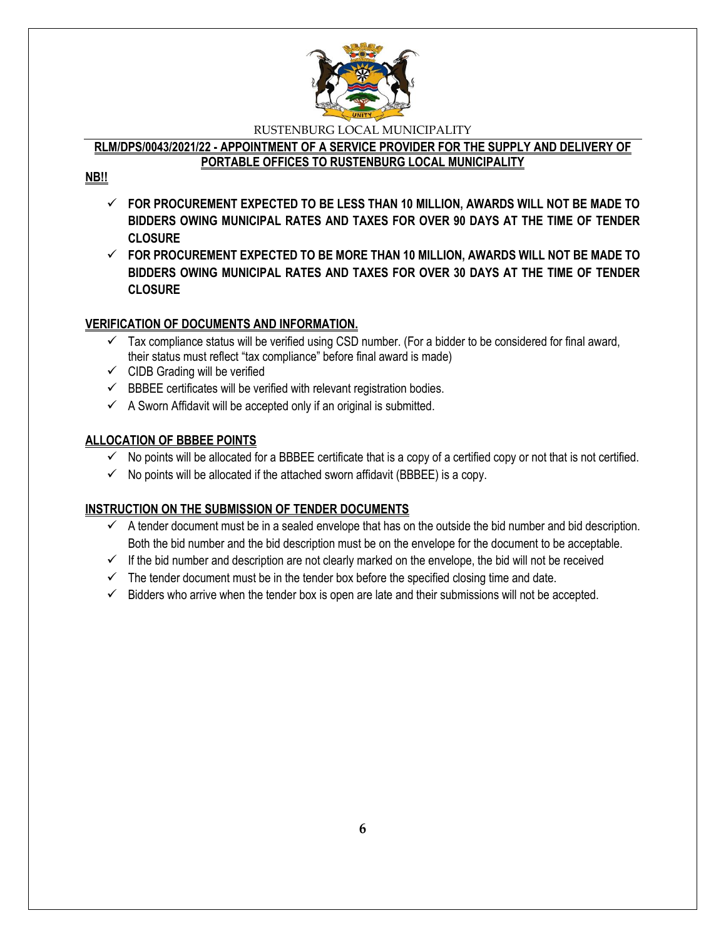

### **RLM/DPS/0043/2021/22 - APPOINTMENT OF A SERVICE PROVIDER FOR THE SUPPLY AND DELIVERY OF PORTABLE OFFICES TO RUSTENBURG LOCAL MUNICIPALITY**

# **NB!!**

- **FOR PROCUREMENT EXPECTED TO BE LESS THAN 10 MILLION, AWARDS WILL NOT BE MADE TO BIDDERS OWING MUNICIPAL RATES AND TAXES FOR OVER 90 DAYS AT THE TIME OF TENDER CLOSURE**
- **FOR PROCUREMENT EXPECTED TO BE MORE THAN 10 MILLION, AWARDS WILL NOT BE MADE TO BIDDERS OWING MUNICIPAL RATES AND TAXES FOR OVER 30 DAYS AT THE TIME OF TENDER CLOSURE**

# **VERIFICATION OF DOCUMENTS AND INFORMATION.**

- $\checkmark$  Tax compliance status will be verified using CSD number. (For a bidder to be considered for final award, their status must reflect "tax compliance" before final award is made)
- $\checkmark$  CIDB Grading will be verified
- $\checkmark$  BBBEE certificates will be verified with relevant registration bodies.
- $\checkmark$  A Sworn Affidavit will be accepted only if an original is submitted.

# **ALLOCATION OF BBBEE POINTS**

- $\checkmark$  No points will be allocated for a BBBEE certificate that is a copy of a certified copy or not that is not certified.
- $\checkmark$  No points will be allocated if the attached sworn affidavit (BBBEE) is a copy.

# **INSTRUCTION ON THE SUBMISSION OF TENDER DOCUMENTS**

- $\checkmark$  A tender document must be in a sealed envelope that has on the outside the bid number and bid description. Both the bid number and the bid description must be on the envelope for the document to be acceptable.
- $\checkmark$  If the bid number and description are not clearly marked on the envelope, the bid will not be received
- $\checkmark$  The tender document must be in the tender box before the specified closing time and date.
- $\checkmark$  Bidders who arrive when the tender box is open are late and their submissions will not be accepted.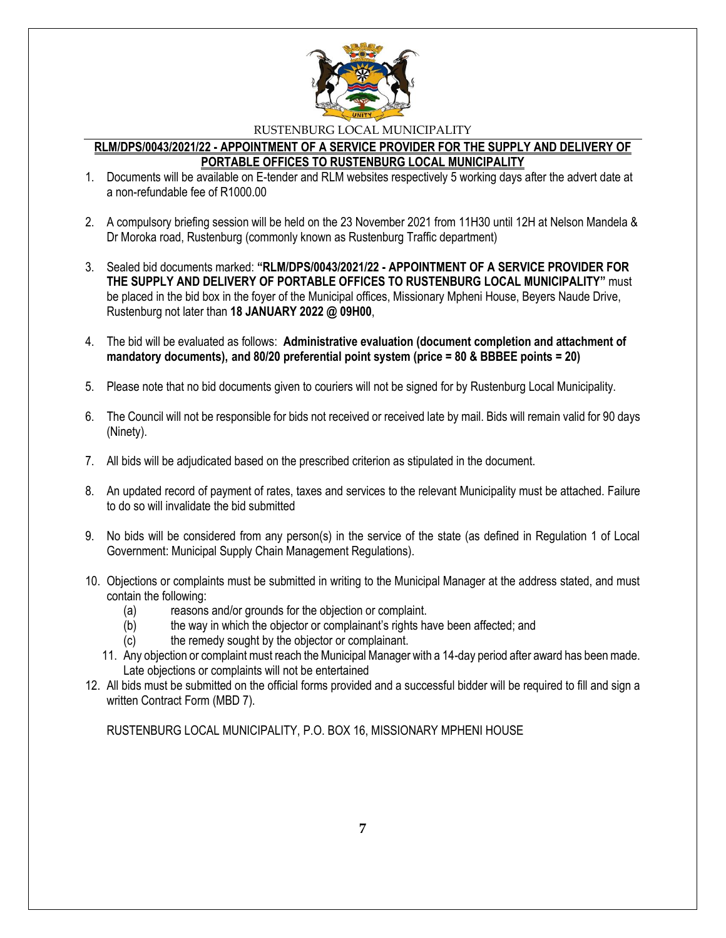

### **RLM/DPS/0043/2021/22 - APPOINTMENT OF A SERVICE PROVIDER FOR THE SUPPLY AND DELIVERY OF PORTABLE OFFICES TO RUSTENBURG LOCAL MUNICIPALITY**

- 1. Documents will be available on E-tender and RLM websites respectively 5 working days after the advert date at a non-refundable fee of R1000.00
- 2. A compulsory briefing session will be held on the 23 November 2021 from 11H30 until 12H at Nelson Mandela & Dr Moroka road, Rustenburg (commonly known as Rustenburg Traffic department)
- 3. Sealed bid documents marked: **"RLM/DPS/0043/2021/22 - APPOINTMENT OF A SERVICE PROVIDER FOR THE SUPPLY AND DELIVERY OF PORTABLE OFFICES TO RUSTENBURG LOCAL MUNICIPALITY"** must be placed in the bid box in the foyer of the Municipal offices, Missionary Mpheni House, Beyers Naude Drive, Rustenburg not later than **18 JANUARY 2022 @ 09H00**,
- 4. The bid will be evaluated as follows: **Administrative evaluation (document completion and attachment of mandatory documents), and 80/20 preferential point system (price = 80 & BBBEE points = 20)**
- 5. Please note that no bid documents given to couriers will not be signed for by Rustenburg Local Municipality.
- 6. The Council will not be responsible for bids not received or received late by mail. Bids will remain valid for 90 days (Ninety).
- 7. All bids will be adjudicated based on the prescribed criterion as stipulated in the document.
- 8. An updated record of payment of rates, taxes and services to the relevant Municipality must be attached. Failure to do so will invalidate the bid submitted
- 9. No bids will be considered from any person(s) in the service of the state (as defined in Regulation 1 of Local Government: Municipal Supply Chain Management Regulations).
- 10. Objections or complaints must be submitted in writing to the Municipal Manager at the address stated, and must contain the following:
	- (a) reasons and/or grounds for the objection or complaint.
	- (b) the way in which the objector or complainant's rights have been affected; and
	- (c) the remedy sought by the objector or complainant.
	- 11. Any objection or complaint must reach the Municipal Manager with a 14-day period after award has been made. Late objections or complaints will not be entertained
- 12. All bids must be submitted on the official forms provided and a successful bidder will be required to fill and sign a written Contract Form (MBD 7).

RUSTENBURG LOCAL MUNICIPALITY, P.O. BOX 16, MISSIONARY MPHENI HOUSE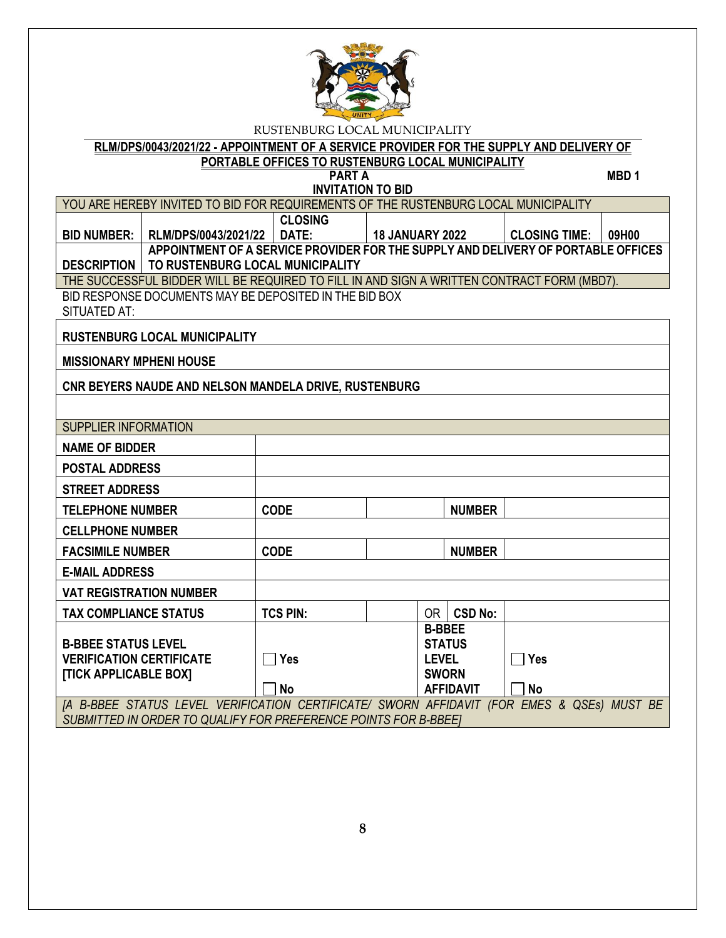

**RLM/DPS/0043/2021/22 - APPOINTMENT OF A SERVICE PROVIDER FOR THE SUPPLY AND DELIVERY OF PORTABLE OFFICES TO RUSTENBURG LOCAL MUNICIPALITY**

**PART A** MBD 1 **INVITATION TO BID**

YOU ARE HEREBY INVITED TO BID FOR REQUIREMENTS OF THE RUSTENBURG LOCAL MUNICIPALITY

**BID NUMBER: RLM/DPS/0043/2021/22 CLOSING DATE: 18 JANUARY 2022 CLOSING TIME: 09H00 DESCRIPTION TO RUSTENBURG LOCAL MUNICIPALITY APPOINTMENT OF A SERVICE PROVIDER FOR THE SUPPLY AND DELIVERY OF PORTABLE OFFICES** 

THE SUCCESSFUL BIDDER WILL BE REQUIRED TO FILL IN AND SIGN A WRITTEN CONTRACT FORM (MBD7).

BID RESPONSE DOCUMENTS MAY BE DEPOSITED IN THE BID BOX SITUATED AT:

**RUSTENBURG LOCAL MUNICIPALITY**

**MISSIONARY MPHENI HOUSE**

**CNR BEYERS NAUDE AND NELSON MANDELA DRIVE, RUSTENBURG**

| SUPPLIER INFORMATION                                             |                 |  |               |                  |                           |  |  |
|------------------------------------------------------------------|-----------------|--|---------------|------------------|---------------------------|--|--|
| <b>NAME OF BIDDER</b>                                            |                 |  |               |                  |                           |  |  |
| <b>POSTAL ADDRESS</b>                                            |                 |  |               |                  |                           |  |  |
| <b>STREET ADDRESS</b>                                            |                 |  |               |                  |                           |  |  |
| <b>TELEPHONE NUMBER</b>                                          | <b>CODE</b>     |  |               | <b>NUMBER</b>    |                           |  |  |
| <b>CELLPHONE NUMBER</b>                                          |                 |  |               |                  |                           |  |  |
| <b>FACSIMILE NUMBER</b>                                          | <b>CODE</b>     |  |               | <b>NUMBER</b>    |                           |  |  |
| <b>E-MAIL ADDRESS</b>                                            |                 |  |               |                  |                           |  |  |
| <b>VAT REGISTRATION NUMBER</b>                                   |                 |  |               |                  |                           |  |  |
| <b>TAX COMPLIANCE STATUS</b>                                     | <b>TCS PIN:</b> |  | 0R            | <b>CSD No:</b>   |                           |  |  |
|                                                                  |                 |  | <b>B-BBEE</b> |                  |                           |  |  |
| <b>B-BBEE STATUS LEVEL</b>                                       |                 |  |               | <b>STATUS</b>    |                           |  |  |
| <b>VERIFICATION CERTIFICATE</b>                                  | <b>Yes</b>      |  | <b>LEVEL</b>  |                  | Yes                       |  |  |
| [TICK APPLICABLE BOX]                                            |                 |  | <b>SWORN</b>  |                  |                           |  |  |
|                                                                  | No              |  |               | <b>AFFIDAVIT</b> | No                        |  |  |
| [A B-BBEE STATUS LEVEL VERIFICATION CERTIFICATE/ SWORN AFFIDAVIT |                 |  |               |                  | (FOR EMES & QSEs) MUST BE |  |  |
| SUBMITTED IN ORDER TO QUALIFY FOR PREFERENCE POINTS FOR B-BBEET  |                 |  |               |                  |                           |  |  |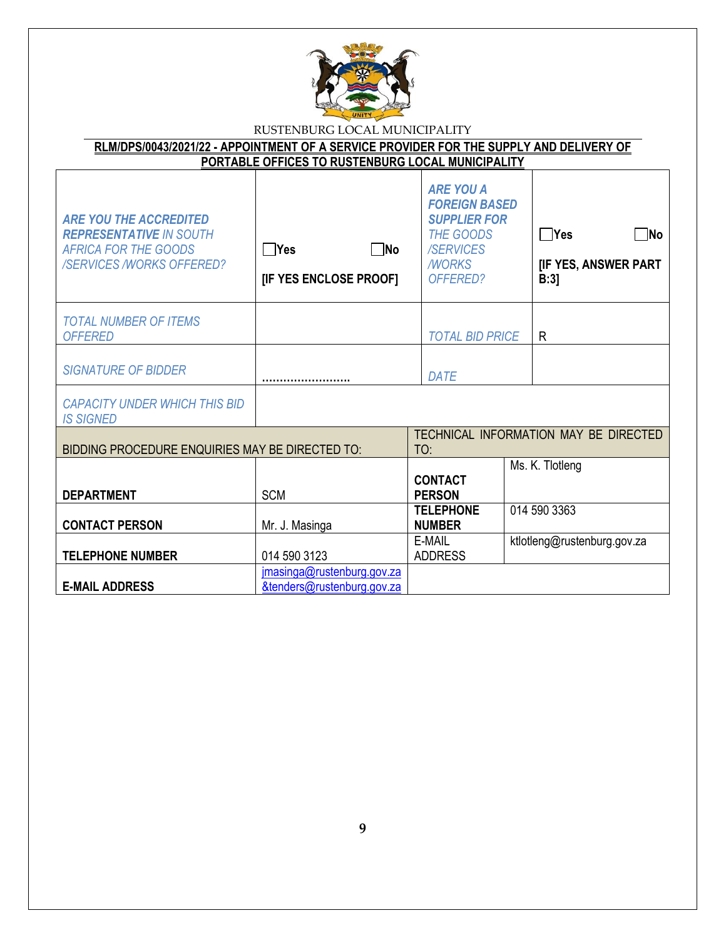

| RLM/DPS/0043/2021/22 - APPOINTMENT OF A SERVICE PROVIDER FOR THE SUPPLY AND DELIVERY OF<br>PORTABLE OFFICES TO RUSTENBURG LOCAL MUNICIPALITY |  |                                                          |  |
|----------------------------------------------------------------------------------------------------------------------------------------------|--|----------------------------------------------------------|--|
| <b>ARE YOU THE ACCREDITED</b>                                                                                                                |  | ARE YOU A<br><b>FOREIGN BASED</b><br><b>SUPPLIER FOR</b> |  |

| <b>REPRESENTATIVE IN SOUTH</b><br><b>AFRICA FOR THE GOODS</b><br><b>/SERVICES /WORKS OFFERED?</b> | $\neg$ No<br><b>TYes</b><br>[IF YES ENCLOSE PROOF]       | <b>THE GOODS</b><br><b>/SERVICES</b><br><b>MORKS</b><br>OFFERED? | ∏No<br>∏Yes<br><b>[IF YES, ANSWER PART</b><br>B:3 |
|---------------------------------------------------------------------------------------------------|----------------------------------------------------------|------------------------------------------------------------------|---------------------------------------------------|
| <b>TOTAL NUMBER OF ITEMS</b><br><b>OFFERED</b>                                                    |                                                          | <b>TOTAL BID PRICE</b>                                           | R                                                 |
| <b>SIGNATURE OF BIDDER</b>                                                                        |                                                          | DATE                                                             |                                                   |
| <b>CAPACITY UNDER WHICH THIS BID</b><br><b>IS SIGNED</b>                                          |                                                          |                                                                  |                                                   |
| BIDDING PROCEDURE ENQUIRIES MAY BE DIRECTED TO:                                                   |                                                          | TO:                                                              | TECHNICAL INFORMATION MAY BE DIRECTED             |
| <b>DEPARTMENT</b>                                                                                 | <b>SCM</b>                                               | <b>CONTACT</b><br><b>PERSON</b>                                  | Ms. K. Tlotleng                                   |
| <b>CONTACT PERSON</b>                                                                             | Mr. J. Masinga                                           | 014 590 3363<br><b>TELEPHONE</b><br><b>NUMBER</b>                |                                                   |
| <b>TELEPHONE NUMBER</b>                                                                           | 014 590 3123                                             | E-MAIL<br><b>ADDRESS</b>                                         | ktlotleng@rustenburg.gov.za                       |
| <b>E-MAIL ADDRESS</b>                                                                             | jmasinga@rustenburg.gov.za<br>&tenders@rustenburg.gov.za |                                                                  |                                                   |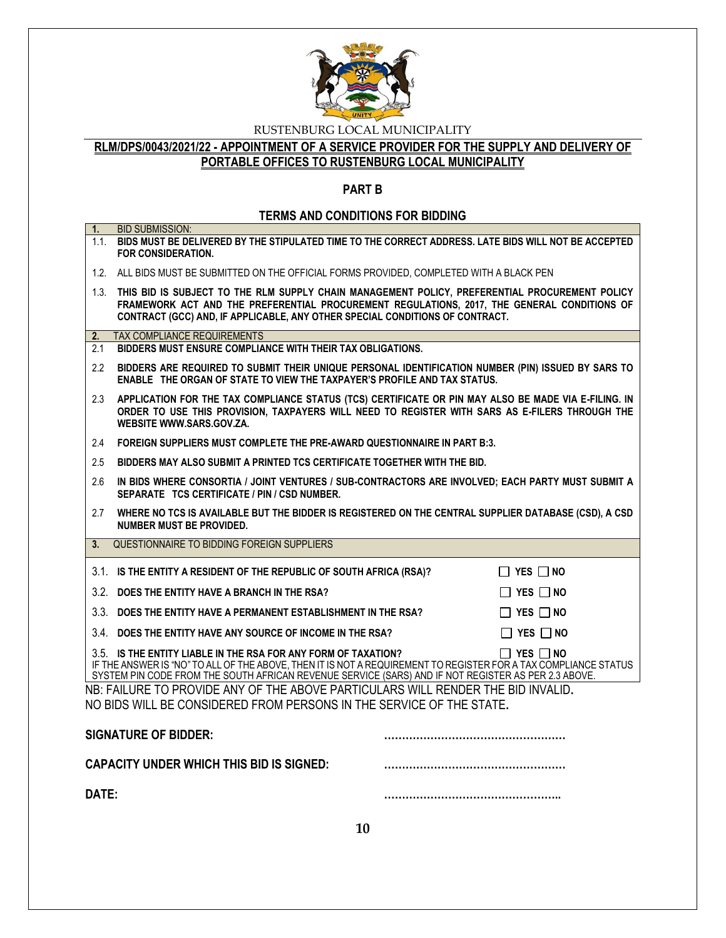

# **RLM/DPS/0043/2021/22 - APPOINTMENT OF A SERVICE PROVIDER FOR THE SUPPLY AND DELIVERY OF PORTABLE OFFICES TO RUSTENBURG LOCAL MUNICIPALITY**

### **PART B**

# **TERMS AND CONDITIONS FOR BIDDING**

| 1.    | <b>BID SUBMISSION:</b><br>1.1. BIDS MUST BE DELIVERED BY THE STIPULATED TIME TO THE CORRECT ADDRESS. LATE BIDS WILL NOT BE ACCEPTED<br>FOR CONSIDERATION.                                                                                                                                                        |  |  |  |
|-------|------------------------------------------------------------------------------------------------------------------------------------------------------------------------------------------------------------------------------------------------------------------------------------------------------------------|--|--|--|
|       | 1.2. ALL BIDS MUST BE SUBMITTED ON THE OFFICIAL FORMS PROVIDED, COMPLETED WITH A BLACK PEN                                                                                                                                                                                                                       |  |  |  |
|       | 1.3. THIS BID IS SUBJECT TO THE RLM SUPPLY CHAIN MANAGEMENT POLICY, PREFERENTIAL PROCUREMENT POLICY<br>FRAMEWORK ACT AND THE PREFERENTIAL PROCUREMENT REGULATIONS, 2017, THE GENERAL CONDITIONS OF<br>CONTRACT (GCC) AND, IF APPLICABLE, ANY OTHER SPECIAL CONDITIONS OF CONTRACT.                               |  |  |  |
| 2.    | <b>TAX COMPLIANCE REQUIREMENTS</b>                                                                                                                                                                                                                                                                               |  |  |  |
| 2.1   | BIDDERS MUST ENSURE COMPLIANCE WITH THEIR TAX OBLIGATIONS.                                                                                                                                                                                                                                                       |  |  |  |
| 2.2   | BIDDERS ARE REQUIRED TO SUBMIT THEIR UNIQUE PERSONAL IDENTIFICATION NUMBER (PIN) ISSUED BY SARS TO<br>ENABLE THE ORGAN OF STATE TO VIEW THE TAXPAYER'S PROFILE AND TAX STATUS.                                                                                                                                   |  |  |  |
| 2.3   | APPLICATION FOR THE TAX COMPLIANCE STATUS (TCS) CERTIFICATE OR PIN MAY ALSO BE MADE VIA E-FILING. IN<br>ORDER TO USE THIS PROVISION, TAXPAYERS WILL NEED TO REGISTER WITH SARS AS E-FILERS THROUGH THE<br>WEBSITE WWW.SARS.GOV.ZA.                                                                               |  |  |  |
| 2.4   | FOREIGN SUPPLIERS MUST COMPLETE THE PRE-AWARD QUESTIONNAIRE IN PART B:3.                                                                                                                                                                                                                                         |  |  |  |
| 2.5   | BIDDERS MAY ALSO SUBMIT A PRINTED TCS CERTIFICATE TOGETHER WITH THE BID.                                                                                                                                                                                                                                         |  |  |  |
| 2.6   | IN BIDS WHERE CONSORTIA / JOINT VENTURES / SUB-CONTRACTORS ARE INVOLVED; EACH PARTY MUST SUBMIT A<br>SEPARATE TCS CERTIFICATE / PIN / CSD NUMBER.                                                                                                                                                                |  |  |  |
| 2.7   | WHERE NO TCS IS AVAILABLE BUT THE BIDDER IS REGISTERED ON THE CENTRAL SUPPLIER DATABASE (CSD), A CSD<br>NUMBER MUST BE PROVIDED.                                                                                                                                                                                 |  |  |  |
| 3.    | QUESTIONNAIRE TO BIDDING FOREIGN SUPPLIERS                                                                                                                                                                                                                                                                       |  |  |  |
|       | 3.1. IS THE ENTITY A RESIDENT OF THE REPUBLIC OF SOUTH AFRICA (RSA)?<br>$\Box$ YES $\Box$ NO                                                                                                                                                                                                                     |  |  |  |
|       | 3.2. DOES THE ENTITY HAVE A BRANCH IN THE RSA?<br>$\Box$ YES $\Box$ NO                                                                                                                                                                                                                                           |  |  |  |
|       | 3.3. DOES THE ENTITY HAVE A PERMANENT ESTABLISHMENT IN THE RSA?<br>$\Box$ YES $\Box$ NO                                                                                                                                                                                                                          |  |  |  |
|       | 3.4 DOES THE ENTITY HAVE ANY SOURCE OF INCOME IN THE RSA?<br>$\Box$ YES $\Box$ No                                                                                                                                                                                                                                |  |  |  |
|       | 3.5. IS THE ENTITY LIABLE IN THE RSA FOR ANY FORM OF TAXATION?<br>$\Box$ Yes $\Box$ No<br>IF THE ANSWER IS "NO" TO ALL OF THE ABOVE, THEN IT IS NOT A REQUIREMENT TO REGISTER FOR A TAX COMPLIANCE STATUS<br>SYSTEM PIN CODE FROM THE SOUTH AFRICAN REVENUE SERVICE (SARS) AND IF NOT REGISTER AS PER 2.3 ABOVE. |  |  |  |
|       | NB: FAILURE TO PROVIDE ANY OF THE ABOVE PARTICULARS WILL RENDER THE BID INVALID.<br>NO BIDS WILL BE CONSIDERED FROM PERSONS IN THE SERVICE OF THE STATE.                                                                                                                                                         |  |  |  |
|       | <b>SIGNATURE OF BIDDER:</b>                                                                                                                                                                                                                                                                                      |  |  |  |
|       | <b>CAPACITY UNDER WHICH THIS BID IS SIGNED:</b>                                                                                                                                                                                                                                                                  |  |  |  |
| DATE: |                                                                                                                                                                                                                                                                                                                  |  |  |  |
|       | 10                                                                                                                                                                                                                                                                                                               |  |  |  |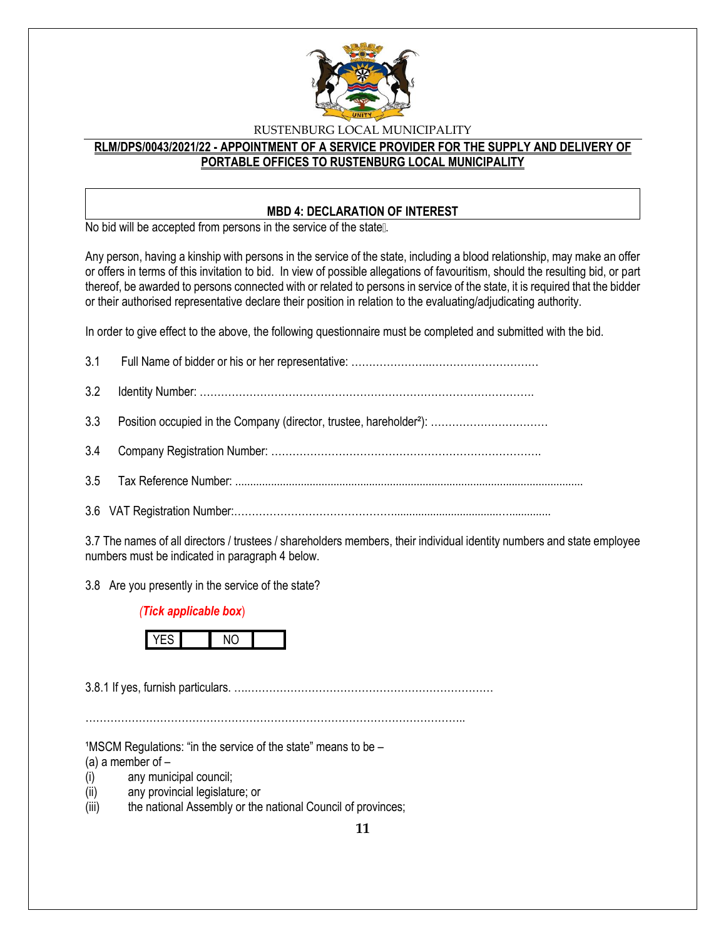

# **RLM/DPS/0043/2021/22 - APPOINTMENT OF A SERVICE PROVIDER FOR THE SUPPLY AND DELIVERY OF PORTABLE OFFICES TO RUSTENBURG LOCAL MUNICIPALITY**

### **MBD 4: DECLARATION OF INTEREST**

No bid will be accepted from persons in the service of the state ...

Any person, having a kinship with persons in the service of the state, including a blood relationship, may make an offer or offers in terms of this invitation to bid. In view of possible allegations of favouritism, should the resulting bid, or part thereof, be awarded to persons connected with or related to persons in service of the state, it is required that the bidder or their authorised representative declare their position in relation to the evaluating/adjudicating authority.

In order to give effect to the above, the following questionnaire must be completed and submitted with the bid.

3.7 The names of all directors / trustees / shareholders members, their individual identity numbers and state employee numbers must be indicated in paragraph 4 below.

3.8 Are you presently in the service of the state?

### *(Tick applicable box*)



3.8.1 If yes, furnish particulars. ….……………………………………………………………

……………………………………………………………………………………………..

 $1$ MSCM Regulations: "in the service of the state" means to be  $-$ 

(a) a member of  $-$ 

- (i) any municipal council;
- (ii) any provincial legislature; or
- (iii) the national Assembly or the national Council of provinces;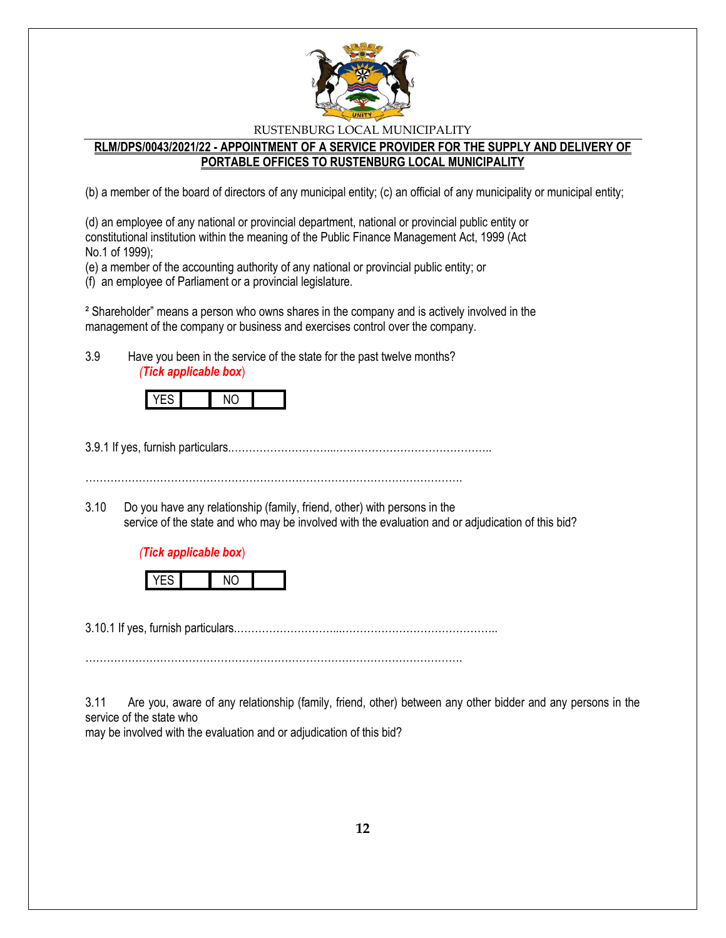

### **RLM/DPS/0043/2021/22 - APPOINTMENT OF A SERVICE PROVIDER FOR THE SUPPLY AND DELIVERY OF PORTABLE OFFICES TO RUSTENBURG LOCAL MUNICIPALITY**

(b) a member of the board of directors of any municipal entity; (c) an official of any municipality or municipal entity;

(d) an employee of any national or provincial department, national or provincial public entity or constitutional institution within the meaning of the Public Finance Management Act, 1999 (Act No.1 of 1999);

(e) a member of the accounting authority of any national or provincial public entity; or

(f) an employee of Parliament or a provincial legislature.

² Shareholder" means a person who owns shares in the company and is actively involved in the management of the company or business and exercises control over the company.

3.9 Have you been in the service of the state for the past twelve months? *(Tick applicable box*)

3.9.1 If yes, furnish particulars.………………………...……………………………………..

…………………………………………………………………………………………….

3.10 Do you have any relationship (family, friend, other) with persons in the service of the state and who may be involved with the evaluation and or adjudication of this bid?

### *(Tick applicable box*)



3.10.1 If yes, furnish particulars.………………………...……………………………………..

…………………………………………………………………………………………….

3.11 Are you, aware of any relationship (family, friend, other) between any other bidder and any persons in the service of the state who

may be involved with the evaluation and or adjudication of this bid?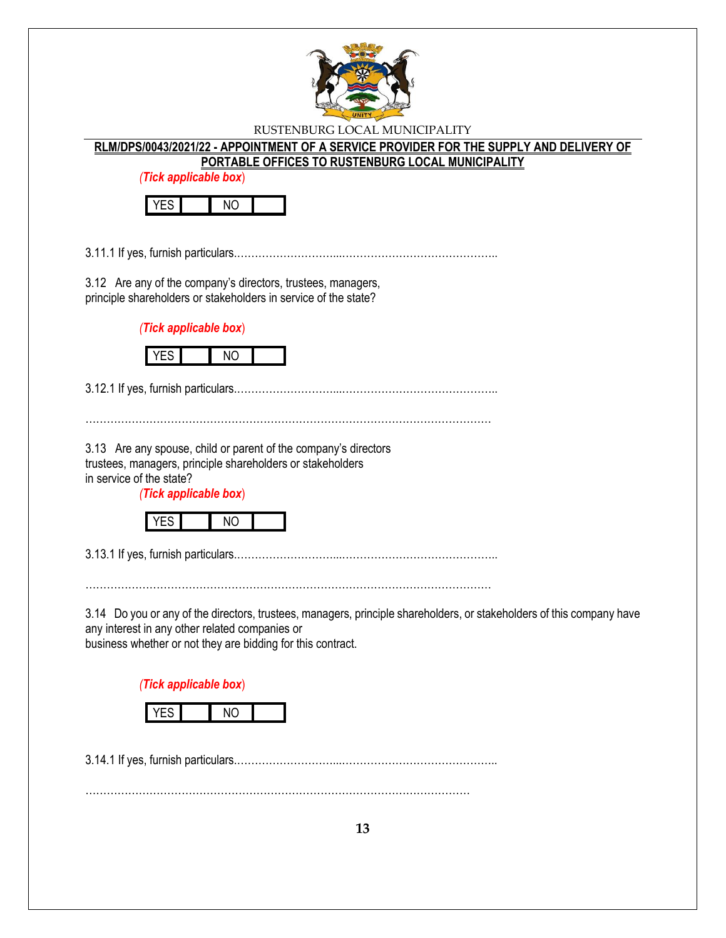

### **RLM/DPS/0043/2021/22 - APPOINTMENT OF A SERVICE PROVIDER FOR THE SUPPLY AND DELIVERY OF PORTABLE OFFICES TO RUSTENBURG LOCAL MUNICIPALITY**

*(Tick applicable box*)



3.11.1 If yes, furnish particulars.………………………...……………………………………..

3.12 Are any of the company's directors, trustees, managers, principle shareholders or stakeholders in service of the state?

*(Tick applicable box*)



3.12.1 If yes, furnish particulars.………………………...……………………………………..

……………………………………………………………………………………………………

3.13 Are any spouse, child or parent of the company's directors trustees, managers, principle shareholders or stakeholders in service of the state?

*(Tick applicable box*)



3.13.1 If yes, furnish particulars.………………………...……………………………………..

……………………………………………………………………………………………………

3.14 Do you or any of the directors, trustees, managers, principle shareholders, or stakeholders of this company have any interest in any other related companies or

business whether or not they are bidding for this contract.

*(Tick applicable box*)



3.14.1 If yes, furnish particulars.………………………...……………………………………..

………………………………………………………………………………………………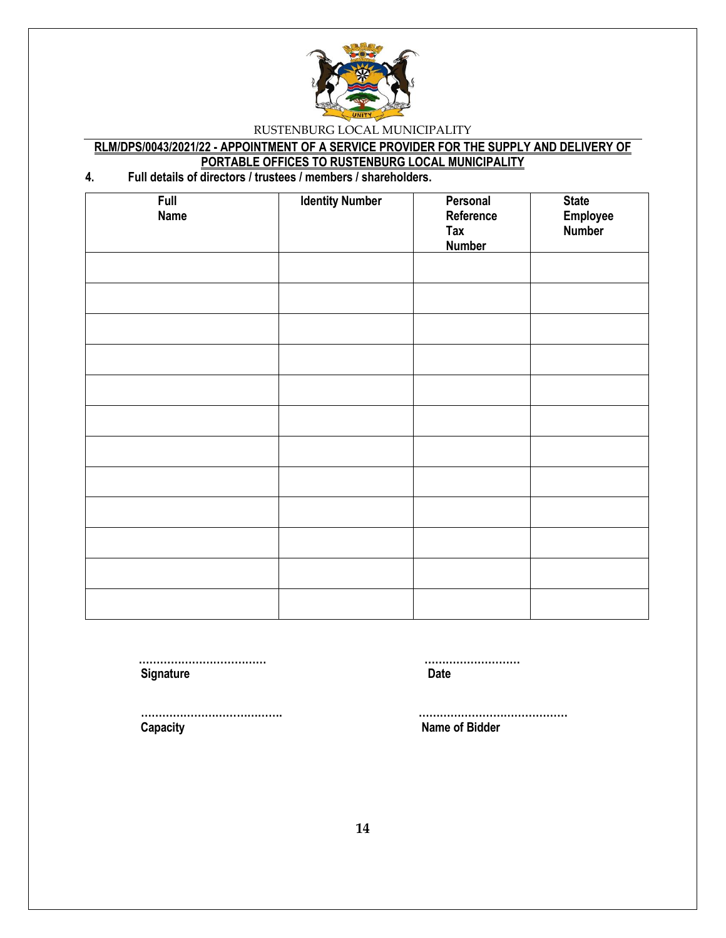

# **RLM/DPS/0043/2021/22 - APPOINTMENT OF A SERVICE PROVIDER FOR THE SUPPLY AND DELIVERY OF PORTABLE OFFICES TO RUSTENBURG LOCAL MUNICIPALITY**

# **4. Full details of directors / trustees / members / shareholders.**

| Full<br><b>Name</b> | <b>Identity Number</b> | Personal<br>Reference<br>Tax<br><b>Number</b> | <b>State</b><br>Employee<br>Number |
|---------------------|------------------------|-----------------------------------------------|------------------------------------|
|                     |                        |                                               |                                    |
|                     |                        |                                               |                                    |
|                     |                        |                                               |                                    |
|                     |                        |                                               |                                    |
|                     |                        |                                               |                                    |
|                     |                        |                                               |                                    |
|                     |                        |                                               |                                    |
|                     |                        |                                               |                                    |
|                     |                        |                                               |                                    |
|                     |                        |                                               |                                    |
|                     |                        |                                               |                                    |
|                     |                        |                                               |                                    |

**Signature Date** 

 **……………………………… ………………………**

 **Capacity Name of Bidder**

 **…………………………………. ……………………………………**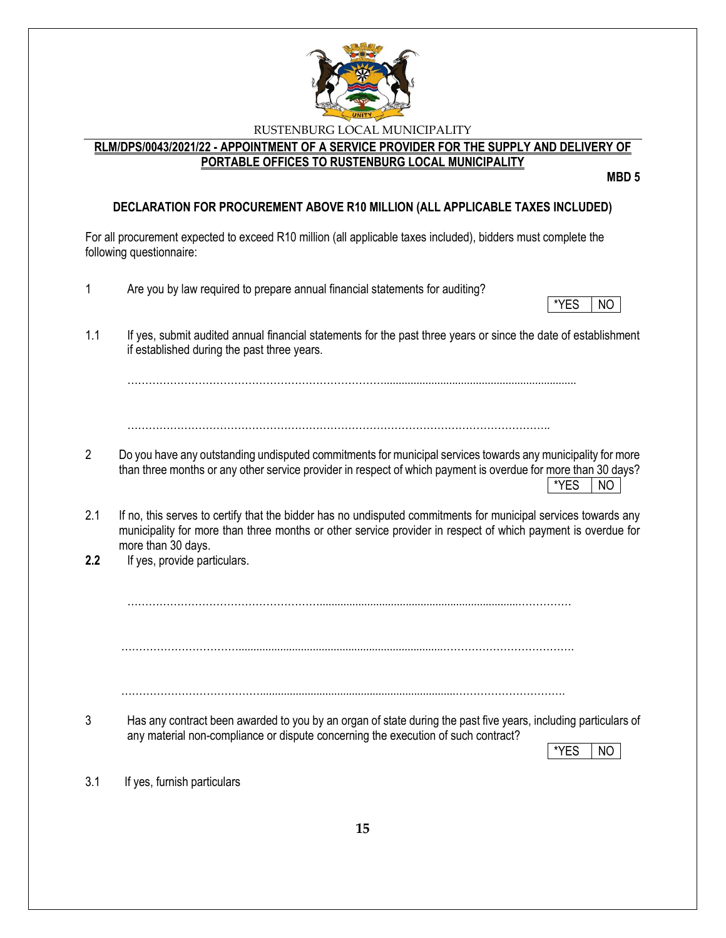

# **RLM/DPS/0043/2021/22 - APPOINTMENT OF A SERVICE PROVIDER FOR THE SUPPLY AND DELIVERY OF PORTABLE OFFICES TO RUSTENBURG LOCAL MUNICIPALITY**

**MBD 5**

# **DECLARATION FOR PROCUREMENT ABOVE R10 MILLION (ALL APPLICABLE TAXES INCLUDED)**

For all procurement expected to exceed R10 million (all applicable taxes included), bidders must complete the following questionnaire:

| 1              | Are you by law required to prepare annual financial statements for auditing?<br>*YES<br>NO                                                                                                                                                           |
|----------------|------------------------------------------------------------------------------------------------------------------------------------------------------------------------------------------------------------------------------------------------------|
| 1.1            | If yes, submit audited annual financial statements for the past three years or since the date of establishment<br>if established during the past three years.                                                                                        |
|                |                                                                                                                                                                                                                                                      |
|                |                                                                                                                                                                                                                                                      |
| $\overline{2}$ | Do you have any outstanding undisputed commitments for municipal services towards any municipality for more<br>than three months or any other service provider in respect of which payment is overdue for more than 30 days?<br>*YES<br>NO           |
| 2.1            | If no, this serves to certify that the bidder has no undisputed commitments for municipal services towards any<br>municipality for more than three months or other service provider in respect of which payment is overdue for<br>more than 30 days. |
| 2.2            | If yes, provide particulars.                                                                                                                                                                                                                         |
|                |                                                                                                                                                                                                                                                      |
|                |                                                                                                                                                                                                                                                      |
|                |                                                                                                                                                                                                                                                      |
| 3              | Has any contract been awarded to you by an organ of state during the past five years, including particulars of<br>any material non-compliance or dispute concerning the execution of such contract?<br>*YES<br><b>NO</b>                             |
| 3.1            | If yes, furnish particulars                                                                                                                                                                                                                          |
|                | 15                                                                                                                                                                                                                                                   |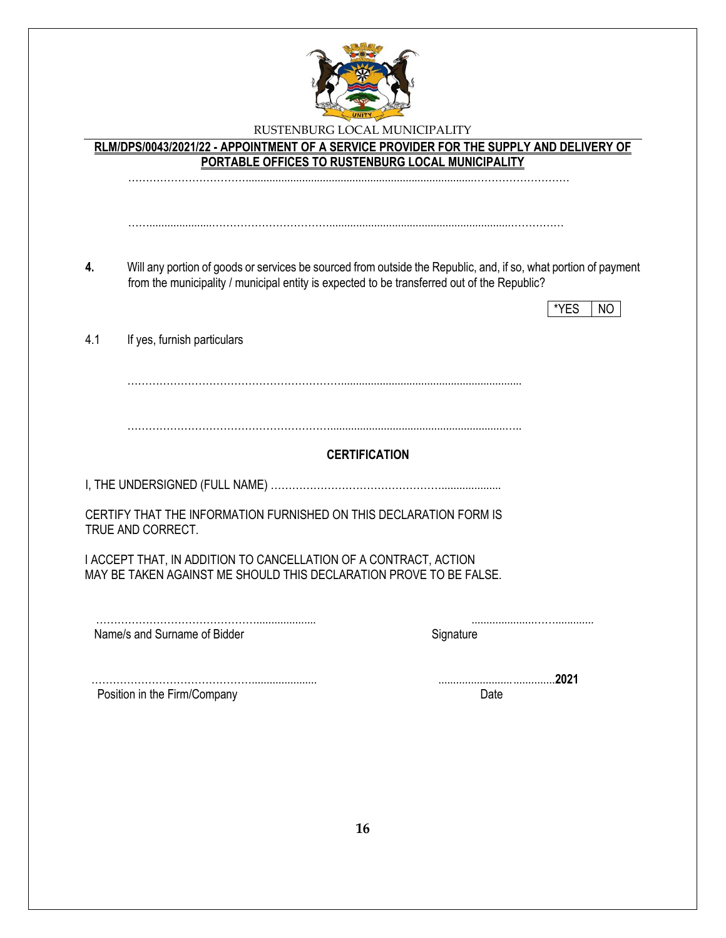

**RLM/DPS/0043/2021/22 - APPOINTMENT OF A SERVICE PROVIDER FOR THE SUPPLY AND DELIVERY OF PORTABLE OFFICES TO RUSTENBURG LOCAL MUNICIPALITY** …………………………….............................................................................………………………

**4.** Will any portion of goods or services be sourced from outside the Republic, and, if so, what portion of payment from the municipality / municipal entity is expected to be transferred out of the Republic?

…….....................…………………………….............................................................……………

|                                    |                                                                  |                                                                    | *YES<br>NO |  |
|------------------------------------|------------------------------------------------------------------|--------------------------------------------------------------------|------------|--|
| 4.1<br>If yes, furnish particulars |                                                                  |                                                                    |            |  |
|                                    |                                                                  |                                                                    |            |  |
|                                    |                                                                  | <b>CERTIFICATION</b>                                               |            |  |
|                                    |                                                                  |                                                                    |            |  |
| TRUE AND CORRECT.                  |                                                                  | CERTIFY THAT THE INFORMATION FURNISHED ON THIS DECLARATION FORM IS |            |  |
|                                    | I ACCEPT THAT, IN ADDITION TO CANCELLATION OF A CONTRACT, ACTION | MAY BE TAKEN AGAINST ME SHOULD THIS DECLARATION PROVE TO BE FALSE. |            |  |
| Name/s and Surname of Bidder       |                                                                  | Signature                                                          |            |  |
| Position in the Firm/Company       |                                                                  | Date                                                               | 2021       |  |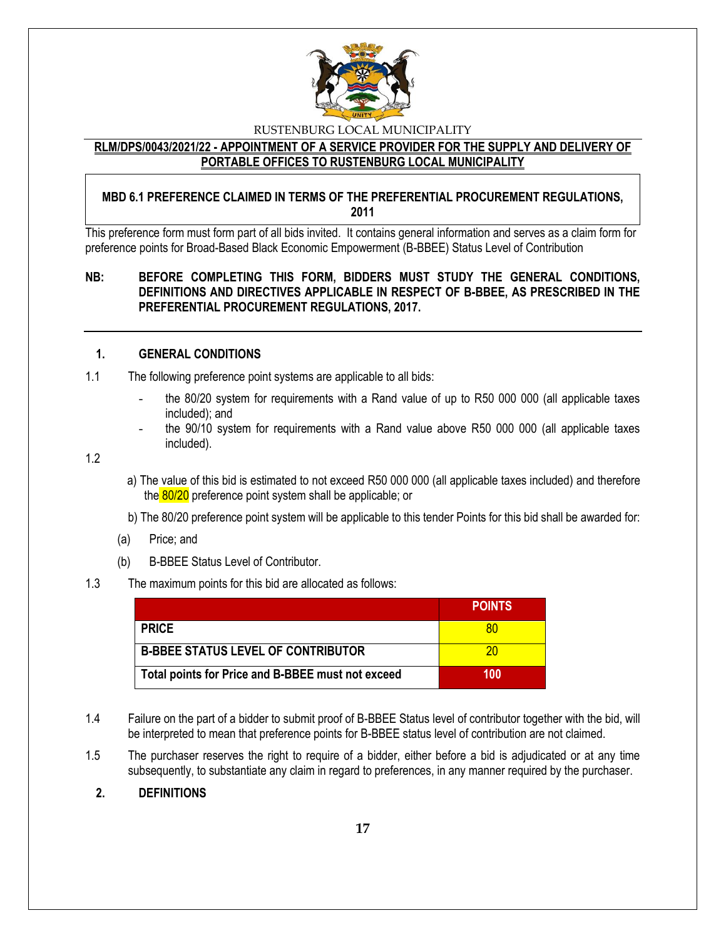

### **RLM/DPS/0043/2021/22 - APPOINTMENT OF A SERVICE PROVIDER FOR THE SUPPLY AND DELIVERY OF PORTABLE OFFICES TO RUSTENBURG LOCAL MUNICIPALITY**

### **MBD 6.1 PREFERENCE CLAIMED IN TERMS OF THE PREFERENTIAL PROCUREMENT REGULATIONS, 2011**

This preference form must form part of all bids invited. It contains general information and serves as a claim form for preference points for Broad-Based Black Economic Empowerment (B-BBEE) Status Level of Contribution

### **NB: BEFORE COMPLETING THIS FORM, BIDDERS MUST STUDY THE GENERAL CONDITIONS, DEFINITIONS AND DIRECTIVES APPLICABLE IN RESPECT OF B-BBEE, AS PRESCRIBED IN THE PREFERENTIAL PROCUREMENT REGULATIONS, 2017.**

### **1. GENERAL CONDITIONS**

- 1.1 The following preference point systems are applicable to all bids:
	- the 80/20 system for requirements with a Rand value of up to R50 000 000 (all applicable taxes included); and
	- the 90/10 system for requirements with a Rand value above R50 000 000 (all applicable taxes included).

1.2

- a) The value of this bid is estimated to not exceed R50 000 000 (all applicable taxes included) and therefore the 80/20 preference point system shall be applicable; or
- b) The 80/20 preference point system will be applicable to this tender Points for this bid shall be awarded for:
- (a) Price; and
- (b) B-BBEE Status Level of Contributor.

#### 1.3 The maximum points for this bid are allocated as follows:

|                                                   | <b>POINTS</b> |
|---------------------------------------------------|---------------|
| <b>PRICE</b>                                      | 80            |
| <b>B-BBEE STATUS LEVEL OF CONTRIBUTOR</b>         | 20            |
| Total points for Price and B-BBEE must not exceed | 100           |

- 1.4 Failure on the part of a bidder to submit proof of B-BBEE Status level of contributor together with the bid, will be interpreted to mean that preference points for B-BBEE status level of contribution are not claimed.
- 1.5 The purchaser reserves the right to require of a bidder, either before a bid is adjudicated or at any time subsequently, to substantiate any claim in regard to preferences, in any manner required by the purchaser.

### **2. DEFINITIONS**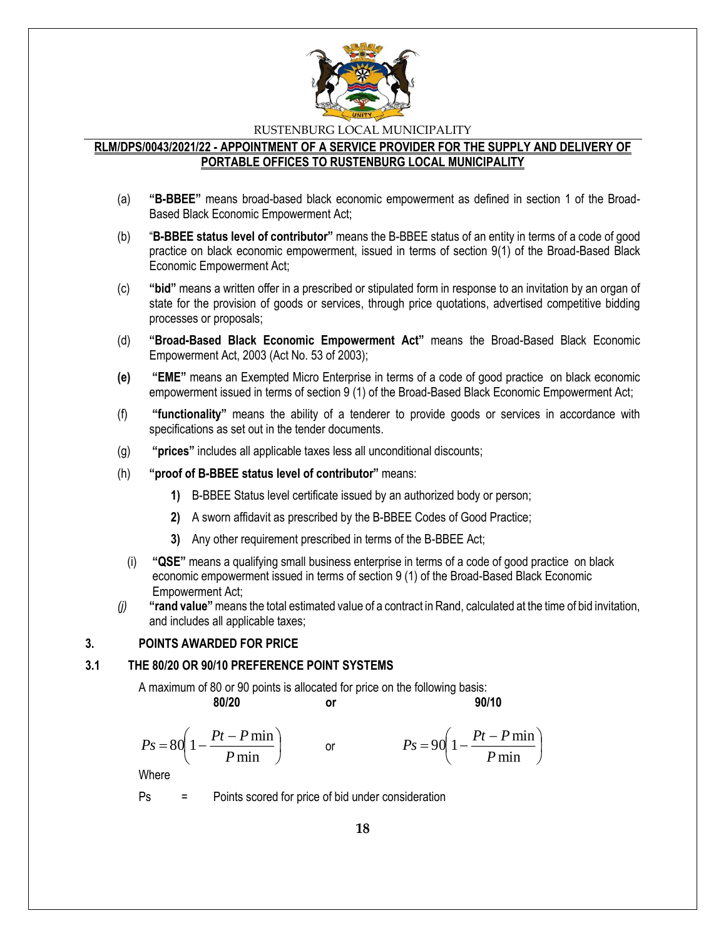

### **RLM/DPS/0043/2021/22 - APPOINTMENT OF A SERVICE PROVIDER FOR THE SUPPLY AND DELIVERY OF PORTABLE OFFICES TO RUSTENBURG LOCAL MUNICIPALITY**

- (a) **"B-BBEE"** means broad-based black economic empowerment as defined in section 1 of the Broad-Based Black Economic Empowerment Act;
- (b) "**B-BBEE status level of contributor"** means the B-BBEE status of an entity in terms of a code of good practice on black economic empowerment, issued in terms of section 9(1) of the Broad-Based Black Economic Empowerment Act;
- (c) **"bid"** means a written offer in a prescribed or stipulated form in response to an invitation by an organ of state for the provision of goods or services, through price quotations, advertised competitive bidding processes or proposals;
- (d) **"Broad-Based Black Economic Empowerment Act"** means the Broad-Based Black Economic Empowerment Act, 2003 (Act No. 53 of 2003);
- **(e) "EME"** means an Exempted Micro Enterprise in terms of a code of good practice on black economic empowerment issued in terms of section 9 (1) of the Broad-Based Black Economic Empowerment Act;
- (f) **"functionality"** means the ability of a tenderer to provide goods or services in accordance with specifications as set out in the tender documents.
- (g) **"prices"** includes all applicable taxes less all unconditional discounts;
- (h) **"proof of B-BBEE status level of contributor"** means:
	- **1)** B-BBEE Status level certificate issued by an authorized body or person;
	- **2)** A sworn affidavit as prescribed by the B-BBEE Codes of Good Practice;
	- **3)** Any other requirement prescribed in terms of the B-BBEE Act;
	- (i) **"QSE"** means a qualifying small business enterprise in terms of a code of good practice on black economic empowerment issued in terms of section 9 (1) of the Broad-Based Black Economic Empowerment Act;
- *(j)* **"rand value"**means the total estimated value of a contract in Rand, calculated at the time of bid invitation, and includes all applicable taxes;

### **3. POINTS AWARDED FOR PRICE**

### **3.1 THE 80/20 OR 90/10 PREFERENCE POINT SYSTEMS**

A maximum of 80 or 90 points is allocated for price on the following basis:

or

**80/20 or 90/10**

I

$$
Ps = 80 \left( 1 - \frac{Pt - P \min}{P \min} \right)
$$

$$
Ps = 90\left(1 - \frac{Pt - P\min P}{\min}\right)
$$

Where

Ps = Points scored for price of bid under consideration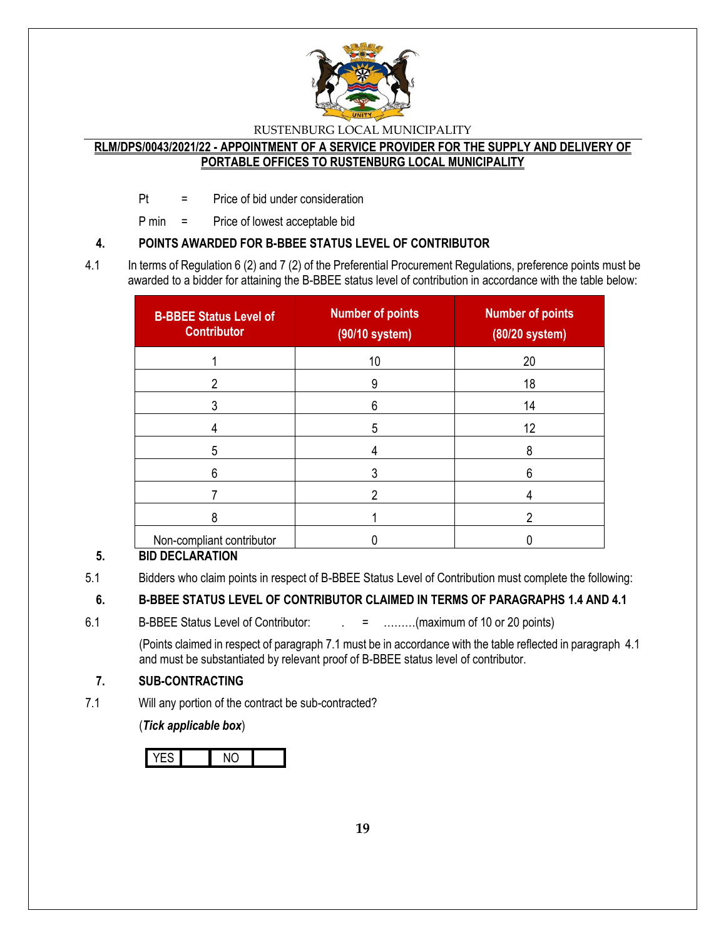

# **RLM/DPS/0043/2021/22 - APPOINTMENT OF A SERVICE PROVIDER FOR THE SUPPLY AND DELIVERY OF PORTABLE OFFICES TO RUSTENBURG LOCAL MUNICIPALITY**

Pt = Price of bid under consideration

P min = Price of lowest acceptable bid

# **4. POINTS AWARDED FOR B-BBEE STATUS LEVEL OF CONTRIBUTOR**

4.1 In terms of Regulation 6 (2) and 7 (2) of the Preferential Procurement Regulations, preference points must be awarded to a bidder for attaining the B-BBEE status level of contribution in accordance with the table below:

| <b>B-BBEE Status Level of</b><br><b>Contributor</b> | <b>Number of points</b><br>(90/10 system) | <b>Number of points</b><br>(80/20 system) |
|-----------------------------------------------------|-------------------------------------------|-------------------------------------------|
|                                                     | 10                                        | 20                                        |
| າ                                                   | 9                                         | 18                                        |
|                                                     | 6                                         | 14                                        |
|                                                     | 5                                         | 12                                        |
| 5                                                   |                                           | 8                                         |
| 6                                                   |                                           | 6                                         |
|                                                     |                                           |                                           |
| 8                                                   |                                           | っ                                         |
| Non-compliant contributor                           |                                           |                                           |

# **5. BID DECLARATION**

5.1 Bidders who claim points in respect of B-BBEE Status Level of Contribution must complete the following:

# **6. B-BBEE STATUS LEVEL OF CONTRIBUTOR CLAIMED IN TERMS OF PARAGRAPHS 1.4 AND 4.1**

6.1 B-BBEE Status Level of Contributor:  $\qquad \qquad = \qquad \qquad \dots \dots \dots (maximum of 10 or 20 points)$ 

(Points claimed in respect of paragraph 7.1 must be in accordance with the table reflected in paragraph 4.1 and must be substantiated by relevant proof of B-BBEE status level of contributor.

# **7. SUB-CONTRACTING**

7.1 Will any portion of the contract be sub-contracted?

(*Tick applicable box*)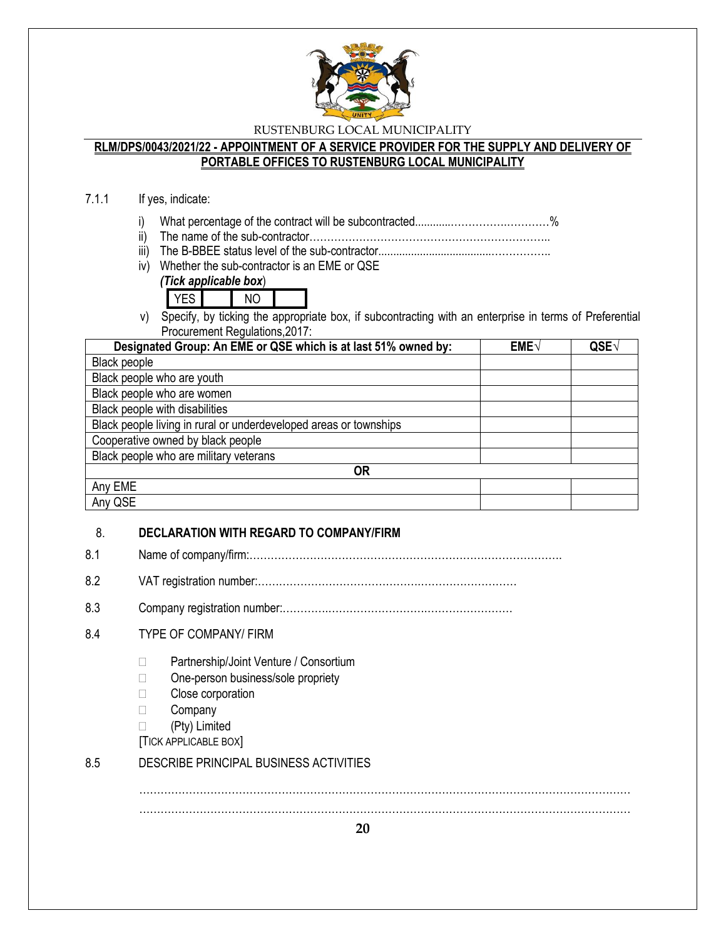

### **RLM/DPS/0043/2021/22 - APPOINTMENT OF A SERVICE PROVIDER FOR THE SUPPLY AND DELIVERY OF PORTABLE OFFICES TO RUSTENBURG LOCAL MUNICIPALITY**

### 7.1.1 If yes, indicate:

- i) What percentage of the contract will be subcontracted............…………….…………%
- ii) The name of the sub-contractor…………………………………………………………..
- iii) The B-BBEE status level of the sub-contractor......................................……………..
- iv) Whether the sub-contractor is an EME or QSE

*(Tick applicable box*)

YES NO

v) Specify, by ticking the appropriate box, if subcontracting with an enterprise in terms of Preferential Procurement Regulations,2017:

| Designated Group: An EME or QSE which is at last 51% owned by:    | EME√ | QSE√ |
|-------------------------------------------------------------------|------|------|
| Black people                                                      |      |      |
| Black people who are youth                                        |      |      |
| Black people who are women                                        |      |      |
| Black people with disabilities                                    |      |      |
| Black people living in rural or underdeveloped areas or townships |      |      |
| Cooperative owned by black people                                 |      |      |
| Black people who are military veterans                            |      |      |
| <b>OR</b>                                                         |      |      |
| Any EME                                                           |      |      |
| Any QSE                                                           |      |      |

### 8. **DECLARATION WITH REGARD TO COMPANY/FIRM**

- 8.1 Name of company/firm:…………………………………………………………………………….
- 8.2 VAT registration number:……………………………………….………………………
- 8.3 Company registration number:………….……………………….……………………

# 8.4 TYPE OF COMPANY/ FIRM

- □ Partnership/Joint Venture / Consortium
- □ One-person business/sole propriety
- **Close corporation**
- □ Company
- (Pty) Limited
- [TICK APPLICABLE BOX]

### 8.5 DESCRIBE PRINCIPAL BUSINESS ACTIVITIES

………………………………………………………………………………………………………………………… …………………………………………………………………………………………………………………………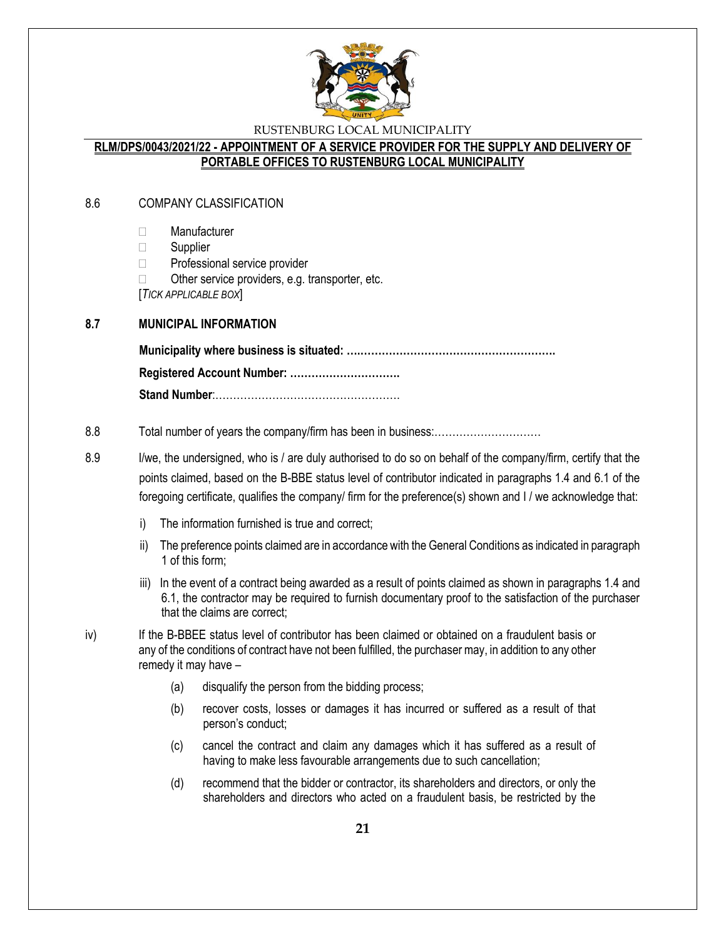

### **RLM/DPS/0043/2021/22 - APPOINTMENT OF A SERVICE PROVIDER FOR THE SUPPLY AND DELIVERY OF PORTABLE OFFICES TO RUSTENBURG LOCAL MUNICIPALITY**

### 8.6 COMPANY CLASSIFICATION

- Manufacturer
- $\Box$  Supplier
- □ Professional service provider
- $\Box$  Other service providers, e.g. transporter, etc.

[*TICK APPLICABLE BOX*]

### **8.7 MUNICIPAL INFORMATION**

**Municipality where business is situated: ….………………………………………………. Registered Account Number: …………………………. Stand Number**:…………………………………………….

#### 8.8 Total number of years the company/firm has been in business:…………………………

- 8.9 I/we, the undersigned, who is / are duly authorised to do so on behalf of the company/firm, certify that the points claimed, based on the B-BBE status level of contributor indicated in paragraphs 1.4 and 6.1 of the foregoing certificate, qualifies the company/ firm for the preference(s) shown and I / we acknowledge that:
	- i) The information furnished is true and correct;
	- ii) The preference points claimed are in accordance with the General Conditions as indicated in paragraph 1 of this form;
	- iii) In the event of a contract being awarded as a result of points claimed as shown in paragraphs 1.4 and 6.1, the contractor may be required to furnish documentary proof to the satisfaction of the purchaser that the claims are correct;
- iv) If the B-BBEE status level of contributor has been claimed or obtained on a fraudulent basis or any of the conditions of contract have not been fulfilled, the purchaser may, in addition to any other remedy it may have –
	- (a) disqualify the person from the bidding process;
	- (b) recover costs, losses or damages it has incurred or suffered as a result of that person's conduct;
	- (c) cancel the contract and claim any damages which it has suffered as a result of having to make less favourable arrangements due to such cancellation;
	- (d) recommend that the bidder or contractor, its shareholders and directors, or only the shareholders and directors who acted on a fraudulent basis, be restricted by the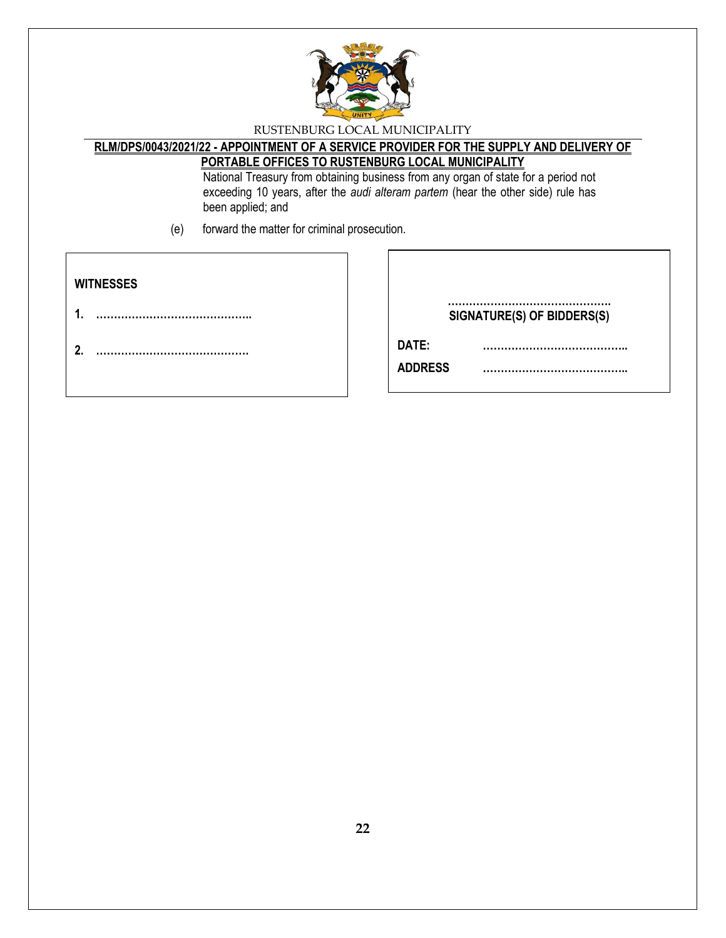

# **RLM/DPS/0043/2021/22 - APPOINTMENT OF A SERVICE PROVIDER FOR THE SUPPLY AND DELIVERY OF PORTABLE OFFICES TO RUSTENBURG LOCAL MUNICIPALITY**

National Treasury from obtaining business from any organ of state for a period not exceeding 10 years, after the *audi alteram partem* (hear the other side) rule has been applied; and

(e) forward the matter for criminal prosecution.

| <b>WITNESSES</b> | SIGNATURE(S) OF BIDDERS(S)      |
|------------------|---------------------------------|
| ົ                | DATE:<br><br><b>ADDRESS</b><br> |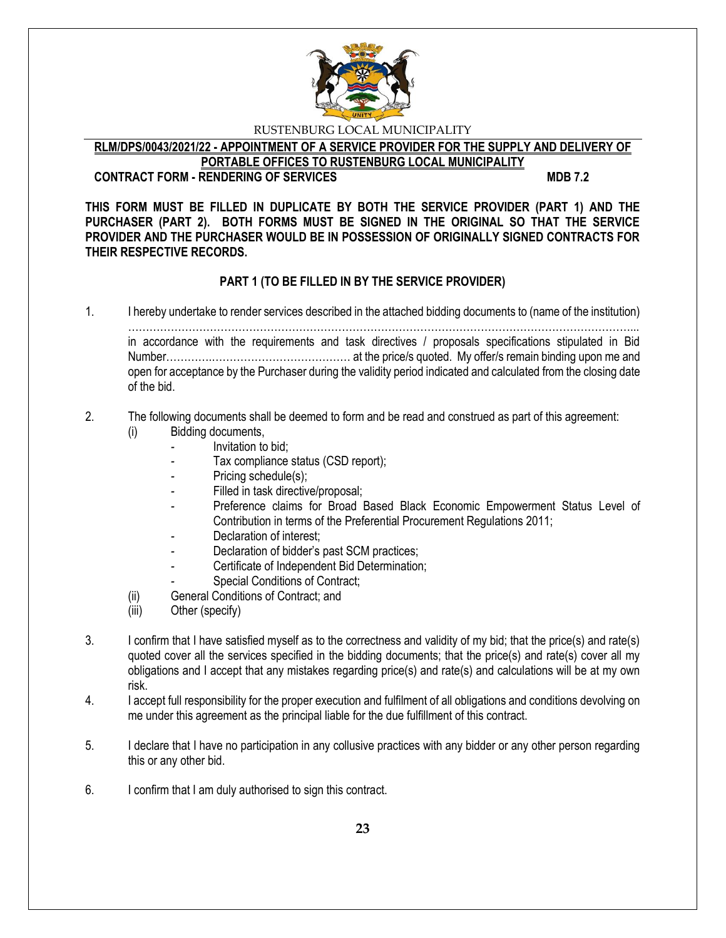

**RLM/DPS/0043/2021/22 - APPOINTMENT OF A SERVICE PROVIDER FOR THE SUPPLY AND DELIVERY OF PORTABLE OFFICES TO RUSTENBURG LOCAL MUNICIPALITY**

# **CONTRACT FORM - RENDERING OF SERVICES MDB 7.2**

**THIS FORM MUST BE FILLED IN DUPLICATE BY BOTH THE SERVICE PROVIDER (PART 1) AND THE PURCHASER (PART 2). BOTH FORMS MUST BE SIGNED IN THE ORIGINAL SO THAT THE SERVICE PROVIDER AND THE PURCHASER WOULD BE IN POSSESSION OF ORIGINALLY SIGNED CONTRACTS FOR THEIR RESPECTIVE RECORDS.**

# **PART 1 (TO BE FILLED IN BY THE SERVICE PROVIDER)**

1. I hereby undertake to render services described in the attached bidding documents to (name of the institution)

……………………………………………………………………………………………………………………………... in accordance with the requirements and task directives / proposals specifications stipulated in Bid Number………….………………………………… at the price/s quoted. My offer/s remain binding upon me and open for acceptance by the Purchaser during the validity period indicated and calculated from the closing date of the bid.

# 2. The following documents shall be deemed to form and be read and construed as part of this agreement:

- (i) Bidding documents,
	- *-* Invitation to bid;
	- *-* Tax compliance status (CSD report);
	- Pricing schedule(s);
	- Filled in task directive/proposal;
	- Preference claims for Broad Based Black Economic Empowerment Status Level of Contribution in terms of the Preferential Procurement Regulations 2011;
	- *-* Declaration of interest;
	- *-* Declaration of bidder's past SCM practices;
	- *-* Certificate of Independent Bid Determination;
	- **Special Conditions of Contract;**
- (ii) General Conditions of Contract; and
- (iii) Other (specify)
- 3. I confirm that I have satisfied myself as to the correctness and validity of my bid; that the price(s) and rate(s) quoted cover all the services specified in the bidding documents; that the price(s) and rate(s) cover all my obligations and I accept that any mistakes regarding price(s) and rate(s) and calculations will be at my own risk.
- 4. I accept full responsibility for the proper execution and fulfilment of all obligations and conditions devolving on me under this agreement as the principal liable for the due fulfillment of this contract.
- 5. I declare that I have no participation in any collusive practices with any bidder or any other person regarding this or any other bid.
- 6. I confirm that I am duly authorised to sign this contract.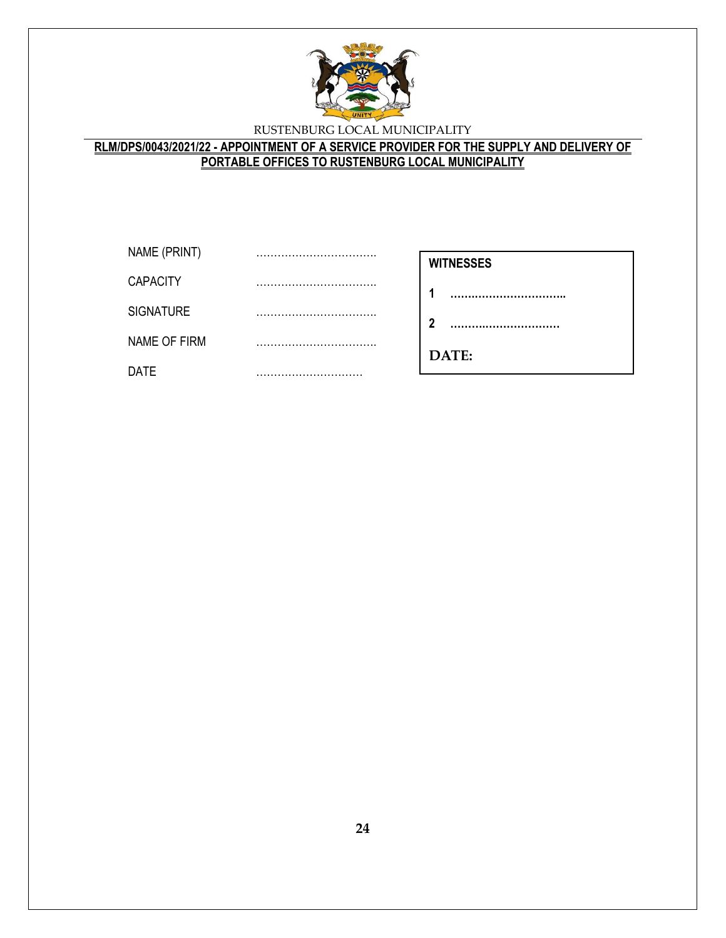

# **RLM/DPS/0043/2021/22 - APPOINTMENT OF A SERVICE PROVIDER FOR THE SUPPLY AND DELIVERY OF PORTABLE OFFICES TO RUSTENBURG LOCAL MUNICIPALITY**

| NAME (PRINT)     |  |
|------------------|--|
| <b>CAPACITY</b>  |  |
| <b>SIGNATURE</b> |  |
| NAME OF FIRM     |  |
| DATE             |  |

- **1 …….……………………..**
- **2 ……….…………………**

**………………………**

**DATE:**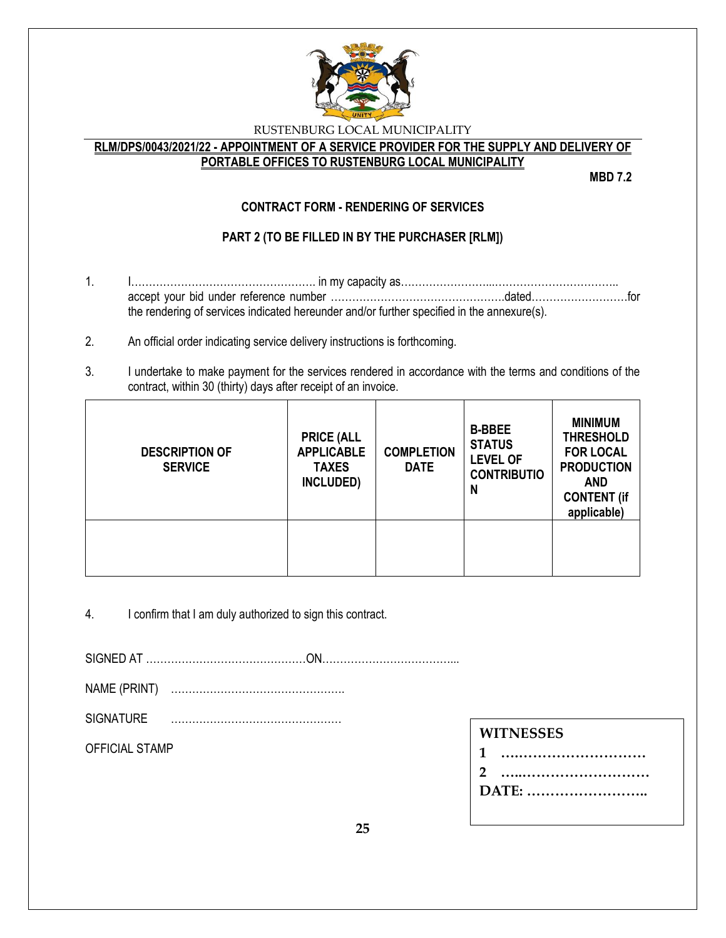

### **RLM/DPS/0043/2021/22 - APPOINTMENT OF A SERVICE PROVIDER FOR THE SUPPLY AND DELIVERY OF PORTABLE OFFICES TO RUSTENBURG LOCAL MUNICIPALITY**

**MBD 7.2**

# **CONTRACT FORM - RENDERING OF SERVICES**

# **PART 2 (TO BE FILLED IN BY THE PURCHASER [RLM])**

- 1. I……………………………………………. in my capacity as……………………...…………………………….. accept your bid under reference number ………………………………………….dated………………………for the rendering of services indicated hereunder and/or further specified in the annexure(s).
- 2. An official order indicating service delivery instructions is forthcoming.
- 3. I undertake to make payment for the services rendered in accordance with the terms and conditions of the contract, within 30 (thirty) days after receipt of an invoice.

| <b>DESCRIPTION OF</b><br><b>SERVICE</b> | <b>PRICE (ALL</b><br><b>APPLICABLE</b><br><b>TAXES</b><br>INCLUDED) | <b>COMPLETION</b><br><b>DATE</b> | <b>B-BBEE</b><br><b>STATUS</b><br><b>LEVEL OF</b><br><b>CONTRIBUTIO</b><br>N | <b>MINIMUM</b><br><b>THRESHOLD</b><br><b>FOR LOCAL</b><br><b>PRODUCTION</b><br><b>AND</b><br><b>CONTENT (if</b><br>applicable) |
|-----------------------------------------|---------------------------------------------------------------------|----------------------------------|------------------------------------------------------------------------------|--------------------------------------------------------------------------------------------------------------------------------|
|                                         |                                                                     |                                  |                                                                              |                                                                                                                                |

4. I confirm that I am duly authorized to sign this contract.

SIGNED AT ………………………………………ON………………………………...

- NAME (PRINT) ………………………………………….
- SIGNATURE …………………………………………

OFFICIAL STAMP

**DATE: ……………………..**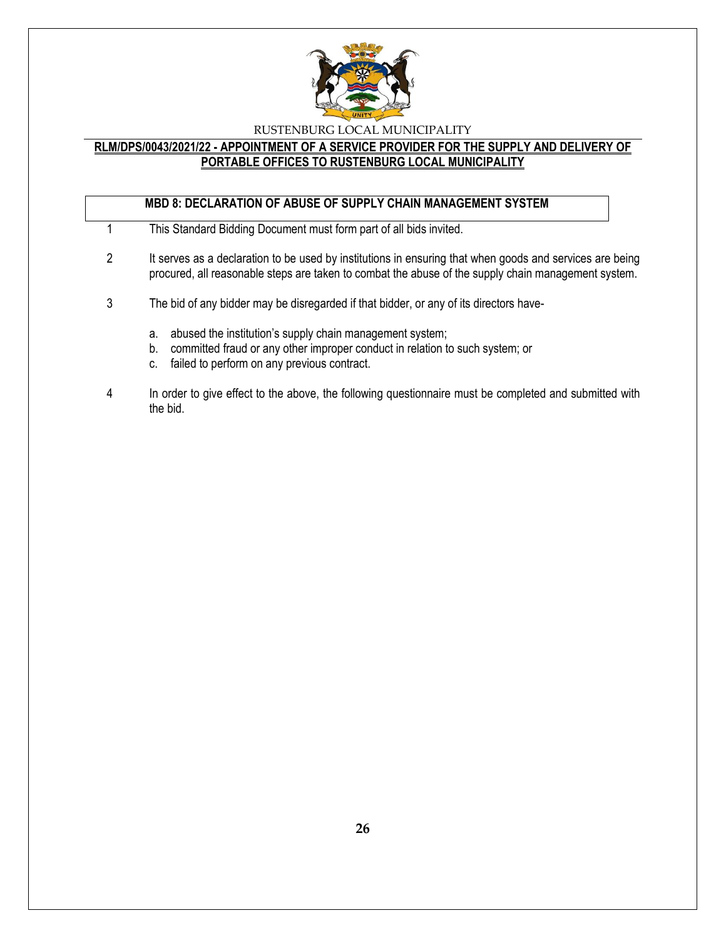

### **RLM/DPS/0043/2021/22 - APPOINTMENT OF A SERVICE PROVIDER FOR THE SUPPLY AND DELIVERY OF PORTABLE OFFICES TO RUSTENBURG LOCAL MUNICIPALITY**

# **MBD 8: DECLARATION OF ABUSE OF SUPPLY CHAIN MANAGEMENT SYSTEM**

- 1 This Standard Bidding Document must form part of all bids invited.
- 2 It serves as a declaration to be used by institutions in ensuring that when goods and services are being procured, all reasonable steps are taken to combat the abuse of the supply chain management system.
- 3 The bid of any bidder may be disregarded if that bidder, or any of its directors have
	- a. abused the institution's supply chain management system;
	- b. committed fraud or any other improper conduct in relation to such system; or
	- c. failed to perform on any previous contract.
- 4 In order to give effect to the above, the following questionnaire must be completed and submitted with the bid.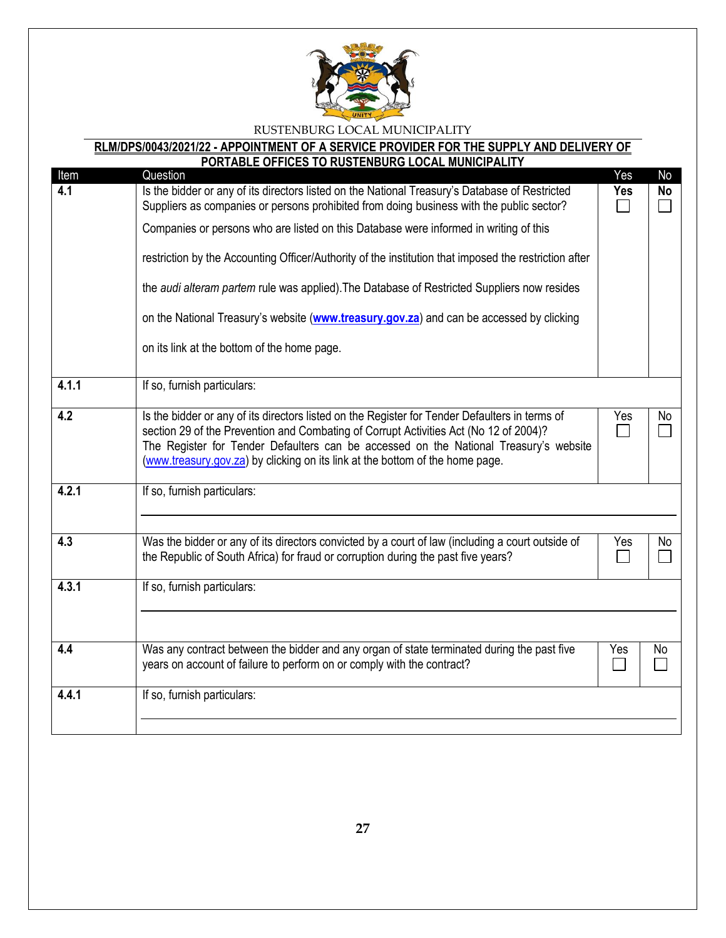

# **RLM/DPS/0043/2021/22 - APPOINTMENT OF A SERVICE PROVIDER FOR THE SUPPLY AND DELIVERY OF**

| Item  | PORTABLE OFFICES TO RUSTENBURG LOCAL MUNICIPALITY<br>Question                                                                                                                                                                                                                                                                                                                                                                                                                                                                                                                                                                          | Yes        | No        |
|-------|----------------------------------------------------------------------------------------------------------------------------------------------------------------------------------------------------------------------------------------------------------------------------------------------------------------------------------------------------------------------------------------------------------------------------------------------------------------------------------------------------------------------------------------------------------------------------------------------------------------------------------------|------------|-----------|
| 4.1   | Is the bidder or any of its directors listed on the National Treasury's Database of Restricted<br>Suppliers as companies or persons prohibited from doing business with the public sector?<br>Companies or persons who are listed on this Database were informed in writing of this<br>restriction by the Accounting Officer/Authority of the institution that imposed the restriction after<br>the audi alteram partem rule was applied). The Database of Restricted Suppliers now resides<br>on the National Treasury's website (www.treasury.gov.za) and can be accessed by clicking<br>on its link at the bottom of the home page. | <b>Yes</b> | <b>No</b> |
| 4.1.1 | If so, furnish particulars:                                                                                                                                                                                                                                                                                                                                                                                                                                                                                                                                                                                                            |            |           |
| 4.2   | Is the bidder or any of its directors listed on the Register for Tender Defaulters in terms of<br>section 29 of the Prevention and Combating of Corrupt Activities Act (No 12 of 2004)?<br>The Register for Tender Defaulters can be accessed on the National Treasury's website<br>(www.treasury.gov.za) by clicking on its link at the bottom of the home page.                                                                                                                                                                                                                                                                      | Yes        | No        |
| 4.2.1 | If so, furnish particulars:                                                                                                                                                                                                                                                                                                                                                                                                                                                                                                                                                                                                            |            |           |
| 4.3   | Was the bidder or any of its directors convicted by a court of law (including a court outside of<br>the Republic of South Africa) for fraud or corruption during the past five years?                                                                                                                                                                                                                                                                                                                                                                                                                                                  | Yes        | No        |
| 4.3.1 | If so, furnish particulars:                                                                                                                                                                                                                                                                                                                                                                                                                                                                                                                                                                                                            |            |           |
| 4.4   | Was any contract between the bidder and any organ of state terminated during the past five<br>years on account of failure to perform on or comply with the contract?                                                                                                                                                                                                                                                                                                                                                                                                                                                                   | Yes        | No        |
| 4.4.1 | If so, furnish particulars:                                                                                                                                                                                                                                                                                                                                                                                                                                                                                                                                                                                                            |            |           |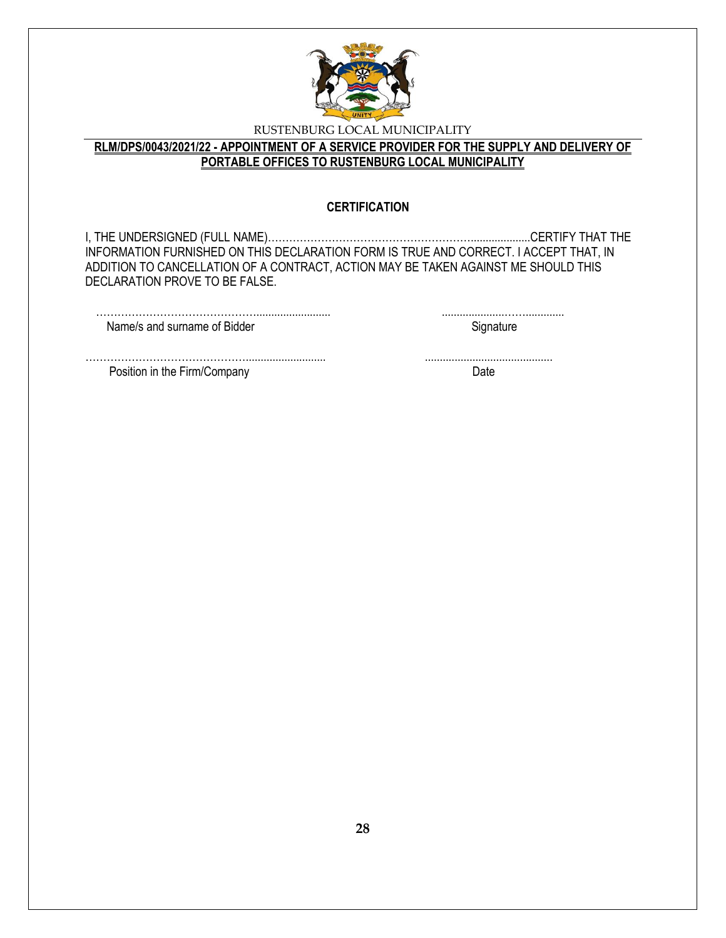

# **RLM/DPS/0043/2021/22 - APPOINTMENT OF A SERVICE PROVIDER FOR THE SUPPLY AND DELIVERY OF PORTABLE OFFICES TO RUSTENBURG LOCAL MUNICIPALITY**

### **CERTIFICATION**

I, THE UNDERSIGNED (FULL NAME)…………………………………………………....................CERTIFY THAT THE INFORMATION FURNISHED ON THIS DECLARATION FORM IS TRUE AND CORRECT. I ACCEPT THAT, IN ADDITION TO CANCELLATION OF A CONTRACT, ACTION MAY BE TAKEN AGAINST ME SHOULD THIS DECLARATION PROVE TO BE FALSE.

| Name/s and surname of Bidder |  |
|------------------------------|--|

………………………………………........................... ........................................... Position in the Firm/Company Date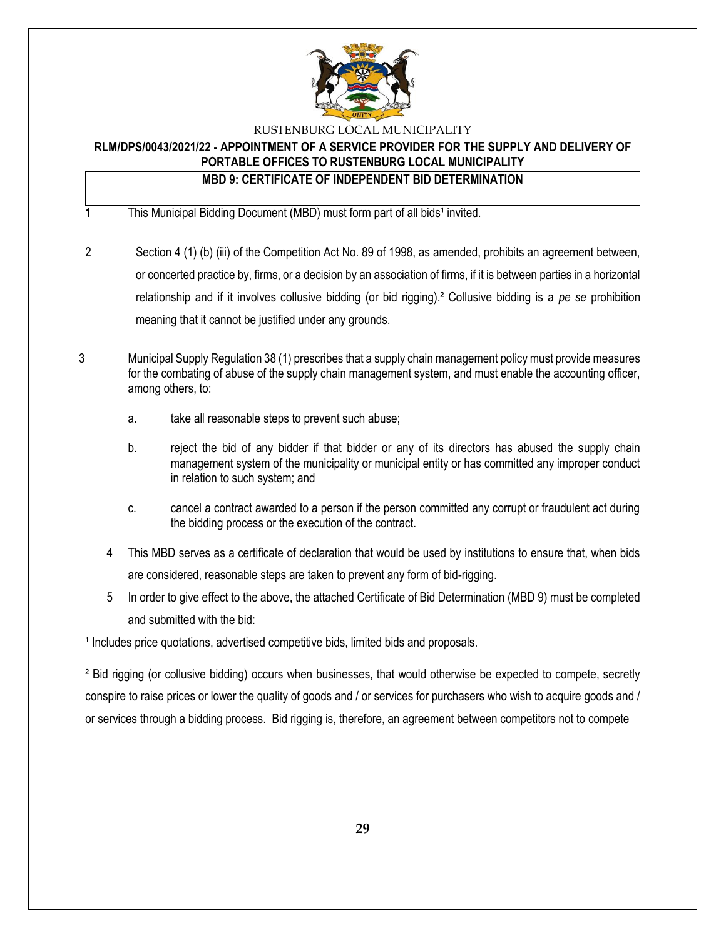

# **RLM/DPS/0043/2021/22 - APPOINTMENT OF A SERVICE PROVIDER FOR THE SUPPLY AND DELIVERY OF**

# **PORTABLE OFFICES TO RUSTENBURG LOCAL MUNICIPALITY**

# **MBD 9: CERTIFICATE OF INDEPENDENT BID DETERMINATION**

**1** This Municipal Bidding Document (MBD) must form part of all bids<sup>1</sup> invited.

- 2 Section 4 (1) (b) (iii) of the Competition Act No. 89 of 1998, as amended, prohibits an agreement between, or concerted practice by, firms, or a decision by an association of firms, if it is between parties in a horizontal relationship and if it involves collusive bidding (or bid rigging).² Collusive bidding is a *pe se* prohibition meaning that it cannot be justified under any grounds.
- 3 Municipal Supply Regulation 38 (1) prescribes that a supply chain management policy must provide measures for the combating of abuse of the supply chain management system, and must enable the accounting officer, among others, to:
	- a. take all reasonable steps to prevent such abuse;
	- b. reject the bid of any bidder if that bidder or any of its directors has abused the supply chain management system of the municipality or municipal entity or has committed any improper conduct in relation to such system; and
	- c. cancel a contract awarded to a person if the person committed any corrupt or fraudulent act during the bidding process or the execution of the contract.
	- 4 This MBD serves as a certificate of declaration that would be used by institutions to ensure that, when bids are considered, reasonable steps are taken to prevent any form of bid-rigging.
	- 5 In order to give effect to the above, the attached Certificate of Bid Determination (MBD 9) must be completed and submitted with the bid:

<sup>1</sup> Includes price quotations, advertised competitive bids, limited bids and proposals.

² Bid rigging (or collusive bidding) occurs when businesses, that would otherwise be expected to compete, secretly conspire to raise prices or lower the quality of goods and / or services for purchasers who wish to acquire goods and / or services through a bidding process. Bid rigging is, therefore, an agreement between competitors not to compete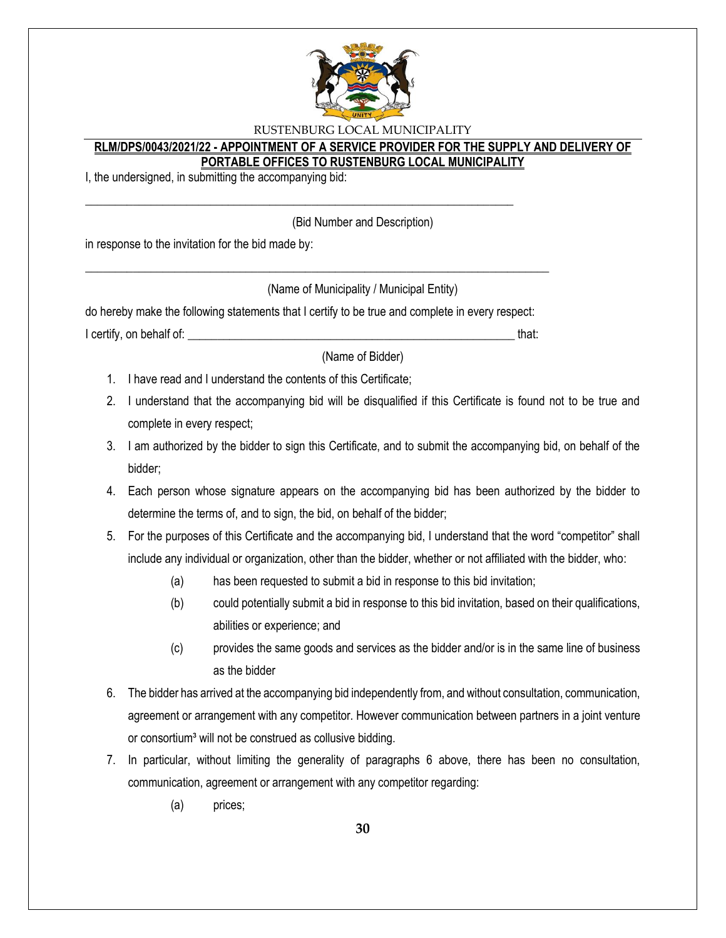

### **RLM/DPS/0043/2021/22 - APPOINTMENT OF A SERVICE PROVIDER FOR THE SUPPLY AND DELIVERY OF PORTABLE OFFICES TO RUSTENBURG LOCAL MUNICIPALITY**

I, the undersigned, in submitting the accompanying bid:

(Bid Number and Description)

in response to the invitation for the bid made by:

(Name of Municipality / Municipal Entity)

do hereby make the following statements that I certify to be true and complete in every respect: I certify, on behalf of: that:  $\blacksquare$ 

\_\_\_\_\_\_\_\_\_\_\_\_\_\_\_\_\_\_\_\_\_\_\_\_\_\_\_\_\_\_\_\_\_\_\_\_\_\_\_\_\_\_\_\_\_\_\_\_\_\_\_\_\_\_\_\_\_\_\_\_\_\_\_\_\_\_\_\_\_\_\_\_\_\_\_\_\_\_

\_\_\_\_\_\_\_\_\_\_\_\_\_\_\_\_\_\_\_\_\_\_\_\_\_\_\_\_\_\_\_\_\_\_\_\_\_\_\_\_\_\_\_\_\_\_\_\_\_\_\_\_\_\_\_\_\_\_\_\_\_\_\_\_\_\_\_\_\_\_\_\_

(Name of Bidder)

- 1. I have read and I understand the contents of this Certificate;
- 2. I understand that the accompanying bid will be disqualified if this Certificate is found not to be true and complete in every respect;
- 3. I am authorized by the bidder to sign this Certificate, and to submit the accompanying bid, on behalf of the bidder;
- 4. Each person whose signature appears on the accompanying bid has been authorized by the bidder to determine the terms of, and to sign, the bid, on behalf of the bidder;
- 5. For the purposes of this Certificate and the accompanying bid, I understand that the word "competitor" shall include any individual or organization, other than the bidder, whether or not affiliated with the bidder, who:
	- (a) has been requested to submit a bid in response to this bid invitation;
	- (b) could potentially submit a bid in response to this bid invitation, based on their qualifications, abilities or experience; and
	- (c) provides the same goods and services as the bidder and/or is in the same line of business as the bidder
- 6. The bidder has arrived at the accompanying bid independently from, and without consultation, communication, agreement or arrangement with any competitor. However communication between partners in a joint venture or consortium<sup>3</sup> will not be construed as collusive bidding.
- 7. In particular, without limiting the generality of paragraphs 6 above, there has been no consultation, communication, agreement or arrangement with any competitor regarding:
	- (a) prices;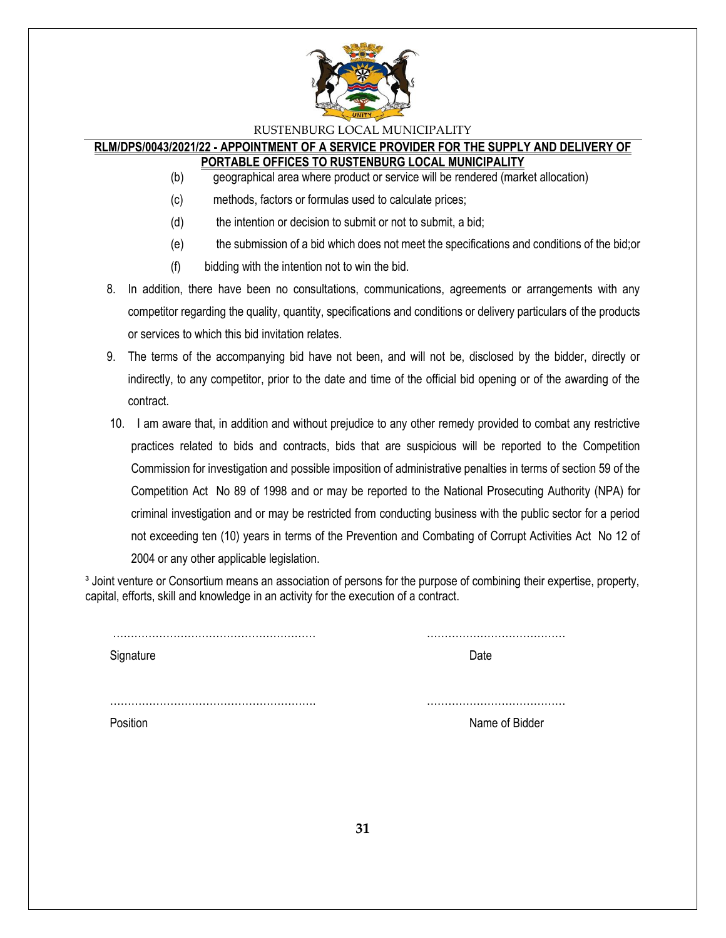

### **RLM/DPS/0043/2021/22 - APPOINTMENT OF A SERVICE PROVIDER FOR THE SUPPLY AND DELIVERY OF PORTABLE OFFICES TO RUSTENBURG LOCAL MUNICIPALITY**

- (b) geographical area where product or service will be rendered (market allocation)
- (c) methods, factors or formulas used to calculate prices;
- (d) the intention or decision to submit or not to submit, a bid;
- (e) the submission of a bid which does not meet the specifications and conditions of the bid;or
- (f) bidding with the intention not to win the bid.
- 8. In addition, there have been no consultations, communications, agreements or arrangements with any competitor regarding the quality, quantity, specifications and conditions or delivery particulars of the products or services to which this bid invitation relates.
- 9. The terms of the accompanying bid have not been, and will not be, disclosed by the bidder, directly or indirectly, to any competitor, prior to the date and time of the official bid opening or of the awarding of the contract.
- 10. I am aware that, in addition and without prejudice to any other remedy provided to combat any restrictive practices related to bids and contracts, bids that are suspicious will be reported to the Competition Commission for investigation and possible imposition of administrative penalties in terms of section 59 of the Competition Act No 89 of 1998 and or may be reported to the National Prosecuting Authority (NPA) for criminal investigation and or may be restricted from conducting business with the public sector for a period not exceeding ten (10) years in terms of the Prevention and Combating of Corrupt Activities Act No 12 of 2004 or any other applicable legislation.

<sup>3</sup> Joint venture or Consortium means an association of persons for the purpose of combining their expertise, property, capital, efforts, skill and knowledge in an activity for the execution of a contract.

| Signature | Date           |
|-----------|----------------|
|           |                |
| Position  | Name of Bidder |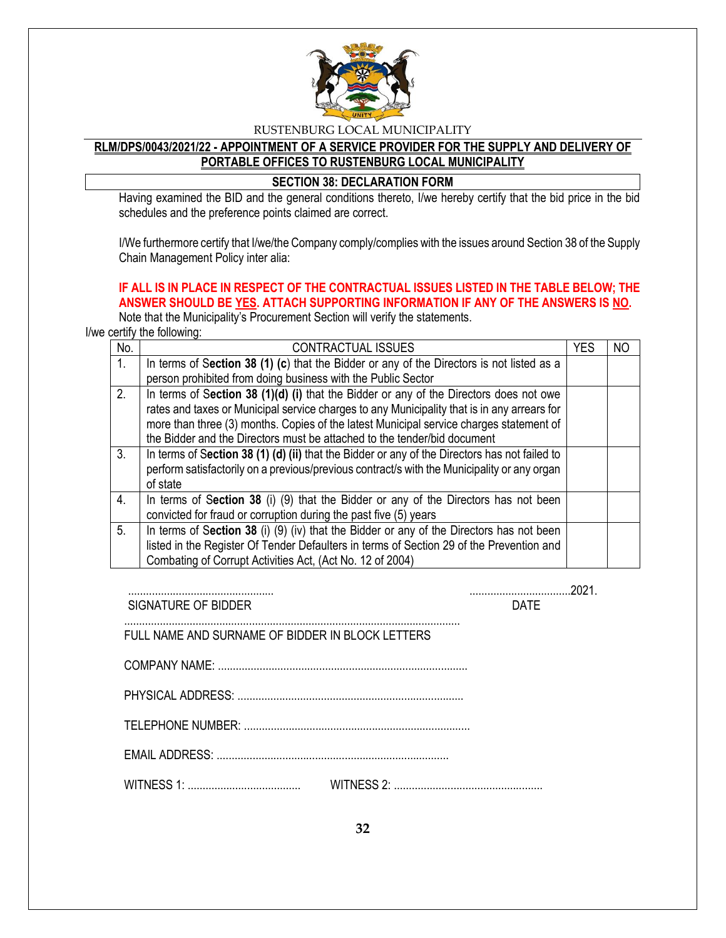

# **RLM/DPS/0043/2021/22 - APPOINTMENT OF A SERVICE PROVIDER FOR THE SUPPLY AND DELIVERY OF PORTABLE OFFICES TO RUSTENBURG LOCAL MUNICIPALITY**

### **SECTION 38: DECLARATION FORM**

Having examined the BID and the general conditions thereto, I/we hereby certify that the bid price in the bid schedules and the preference points claimed are correct.

I/We furthermore certify that I/we/the Company comply/complies with the issues around Section 38 of the Supply Chain Management Policy inter alia:

# **IF ALL IS IN PLACE IN RESPECT OF THE CONTRACTUAL ISSUES LISTED IN THE TABLE BELOW; THE ANSWER SHOULD BE YES. ATTACH SUPPORTING INFORMATION IF ANY OF THE ANSWERS IS NO.**

Note that the Municipality's Procurement Section will verify the statements.

I/we certify the following:

| No. | <b>CONTRACTUAL ISSUES</b>                                                                     | <b>YES</b> | NO |
|-----|-----------------------------------------------------------------------------------------------|------------|----|
| 1.  | In terms of Section 38 (1) (c) that the Bidder or any of the Directors is not listed as a     |            |    |
|     | person prohibited from doing business with the Public Sector                                  |            |    |
| 2.  | In terms of Section 38 (1)(d) (i) that the Bidder or any of the Directors does not owe        |            |    |
|     | rates and taxes or Municipal service charges to any Municipality that is in any arrears for   |            |    |
|     | more than three (3) months. Copies of the latest Municipal service charges statement of       |            |    |
|     | the Bidder and the Directors must be attached to the tender/bid document                      |            |    |
| 3.  | In terms of Section 38 (1) (d) (ii) that the Bidder or any of the Directors has not failed to |            |    |
|     | perform satisfactorily on a previous/previous contract/s with the Municipality or any organ   |            |    |
|     | of state                                                                                      |            |    |
| 4.  | In terms of Section 38 (i) (9) that the Bidder or any of the Directors has not been           |            |    |
|     | convicted for fraud or corruption during the past five (5) years                              |            |    |
| 5.  | In terms of Section 38 (i) (9) (iv) that the Bidder or any of the Directors has not been      |            |    |
|     | listed in the Register Of Tender Defaulters in terms of Section 29 of the Prevention and      |            |    |
|     | Combating of Corrupt Activities Act, (Act No. 12 of 2004)                                     |            |    |

................................................. ..................................2021. SIGNATURE OF BIDDER DATE

FULL NAME AND SURNAME OF BIDDER IN BLOCK LETTERS

 COMPANY NAME: .................................................................................... PHYSICAL ADDRESS: ............................................................................

.................................................................................................................

TELEPHONE NUMBER: ............................................................................

EMAIL ADDRESS: ..............................................................................

WITNESS 1: ...................................... WITNESS 2: ..................................................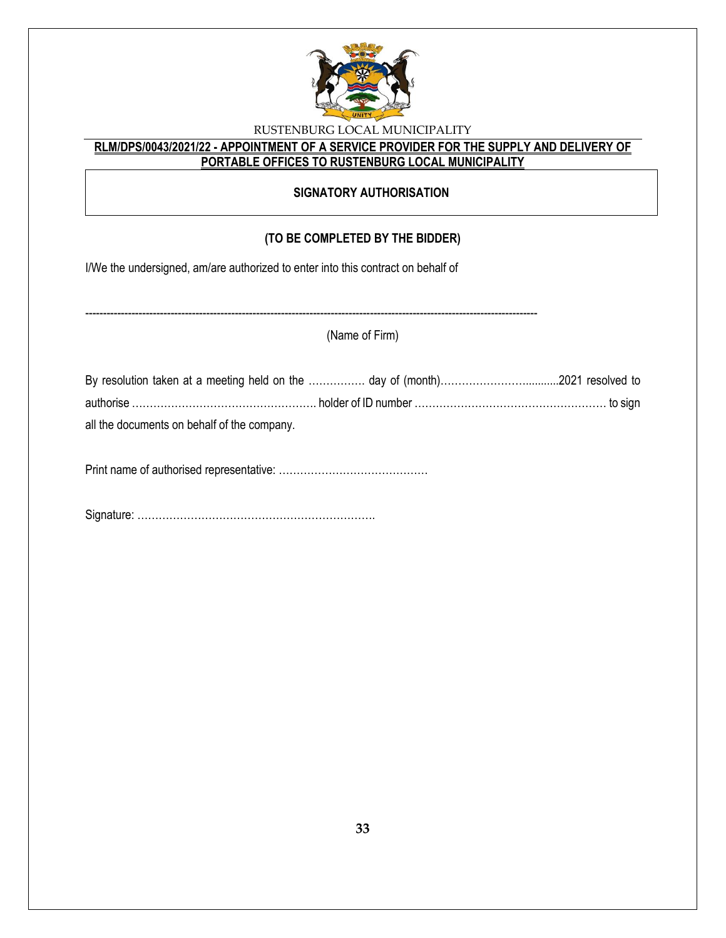

# **RLM/DPS/0043/2021/22 - APPOINTMENT OF A SERVICE PROVIDER FOR THE SUPPLY AND DELIVERY OF PORTABLE OFFICES TO RUSTENBURG LOCAL MUNICIPALITY**

# **SIGNATORY AUTHORISATION**

# **(TO BE COMPLETED BY THE BIDDER)**

I/We the undersigned, am/are authorized to enter into this contract on behalf of

|                                             | (Name of Firm) |  |
|---------------------------------------------|----------------|--|
|                                             |                |  |
|                                             |                |  |
| all the documents on behalf of the company. |                |  |
|                                             |                |  |

Signature: ………………………………………………………….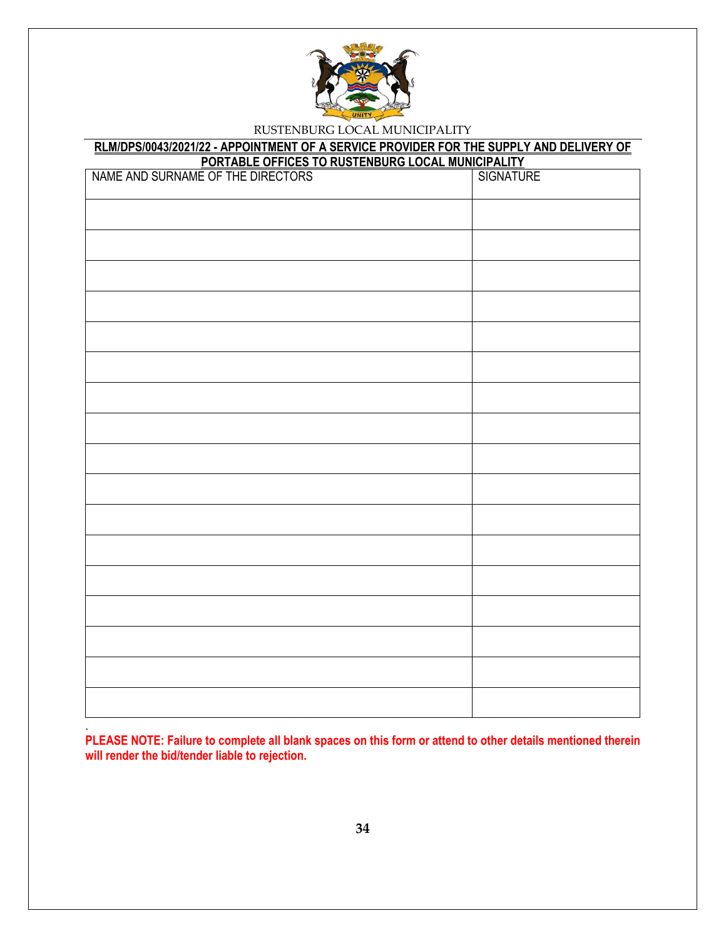

# **RLM/DPS/0043/2021/22 - APPOINTMENT OF A SERVICE PROVIDER FOR THE SUPPLY AND DELIVERY OF**

| PORTABLE OFFICES TO RUSTENBURG LOCAL MUNICIPALITY<br>NAME AND SURNAME OF THE DIRECTORS   SIGNATURE |  |  |  |  |  |
|----------------------------------------------------------------------------------------------------|--|--|--|--|--|
|                                                                                                    |  |  |  |  |  |
|                                                                                                    |  |  |  |  |  |
|                                                                                                    |  |  |  |  |  |
|                                                                                                    |  |  |  |  |  |
|                                                                                                    |  |  |  |  |  |
|                                                                                                    |  |  |  |  |  |
|                                                                                                    |  |  |  |  |  |
|                                                                                                    |  |  |  |  |  |
|                                                                                                    |  |  |  |  |  |
|                                                                                                    |  |  |  |  |  |
|                                                                                                    |  |  |  |  |  |
|                                                                                                    |  |  |  |  |  |
|                                                                                                    |  |  |  |  |  |
|                                                                                                    |  |  |  |  |  |
|                                                                                                    |  |  |  |  |  |
|                                                                                                    |  |  |  |  |  |
|                                                                                                    |  |  |  |  |  |
|                                                                                                    |  |  |  |  |  |
|                                                                                                    |  |  |  |  |  |

**PLEASE NOTE: Failure to complete all blank spaces on this form or attend to other details mentioned therein will render the bid/tender liable to rejection.** 

.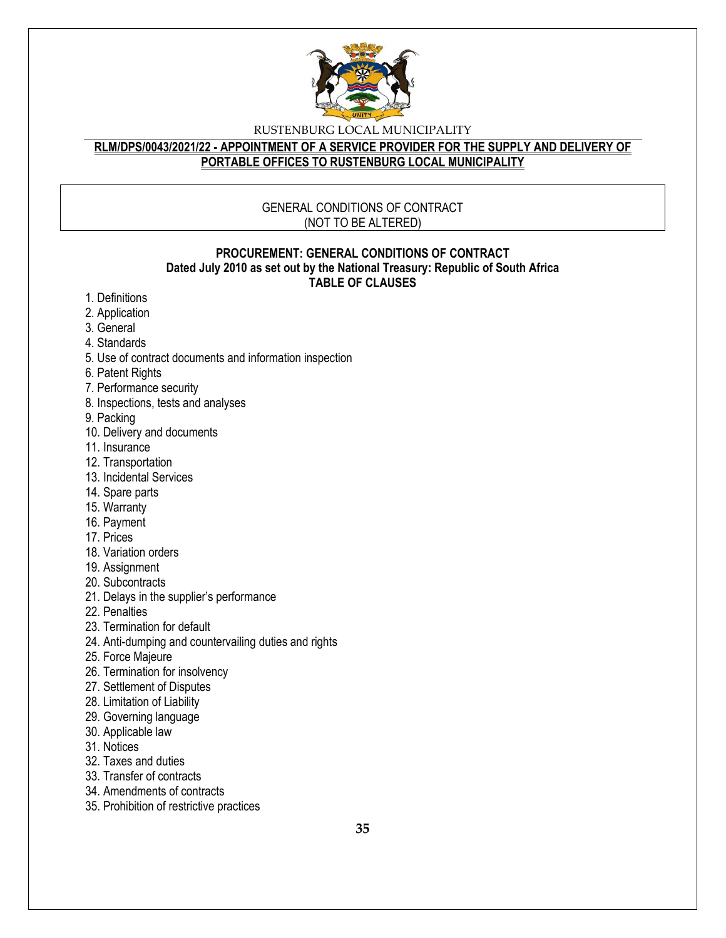

### **RLM/DPS/0043/2021/22 - APPOINTMENT OF A SERVICE PROVIDER FOR THE SUPPLY AND DELIVERY OF PORTABLE OFFICES TO RUSTENBURG LOCAL MUNICIPALITY**

# GENERAL CONDITIONS OF CONTRACT (NOT TO BE ALTERED)

### **PROCUREMENT: GENERAL CONDITIONS OF CONTRACT Dated July 2010 as set out by the National Treasury: Republic of South Africa TABLE OF CLAUSES**

- 1. Definitions
- 2. Application
- 3. General
- 4. Standards
- 5. Use of contract documents and information inspection
- 6. Patent Rights
- 7. Performance security
- 8. Inspections, tests and analyses
- 9. Packing
- 10. Delivery and documents
- 11. Insurance
- 12. Transportation
- 13. Incidental Services
- 14. Spare parts
- 15. Warranty
- 16. Payment
- 17. Prices
- 18. Variation orders
- 19. Assignment
- 20. Subcontracts
- 21. Delays in the supplier's performance
- 22. Penalties
- 23. Termination for default
- 24. Anti-dumping and countervailing duties and rights
- 25. Force Majeure
- 26. Termination for insolvency
- 27. Settlement of Disputes
- 28. Limitation of Liability
- 29. Governing language
- 30. Applicable law
- 31. Notices
- 32. Taxes and duties
- 33. Transfer of contracts
- 34. Amendments of contracts
- 35. Prohibition of restrictive practices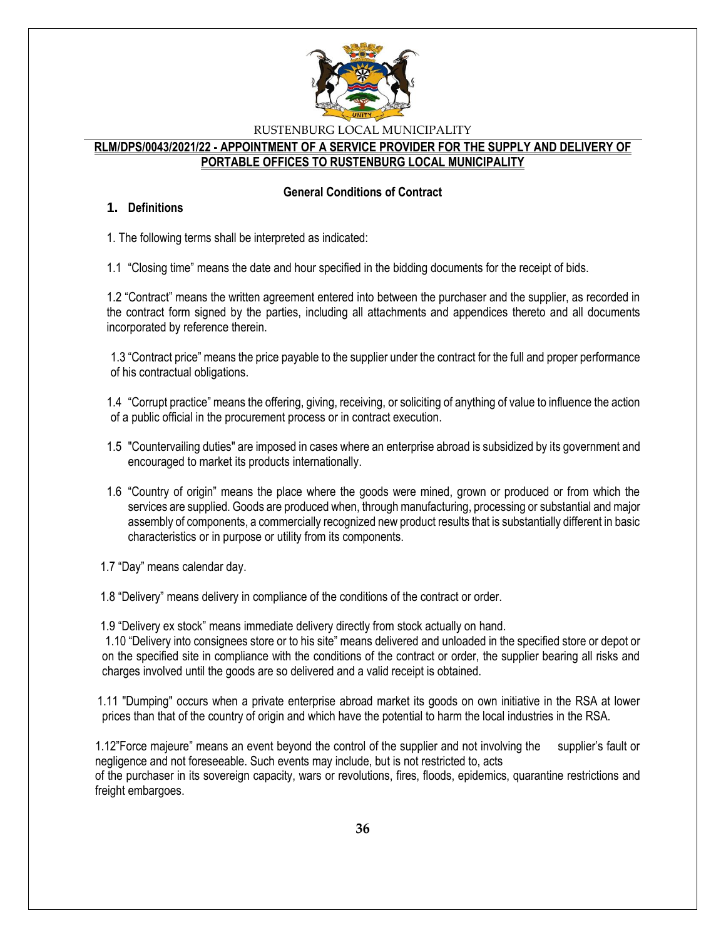

### **RLM/DPS/0043/2021/22 - APPOINTMENT OF A SERVICE PROVIDER FOR THE SUPPLY AND DELIVERY OF PORTABLE OFFICES TO RUSTENBURG LOCAL MUNICIPALITY**

### **General Conditions of Contract**

### **1. Definitions**

1. The following terms shall be interpreted as indicated:

1.1 "Closing time" means the date and hour specified in the bidding documents for the receipt of bids.

1.2 "Contract" means the written agreement entered into between the purchaser and the supplier, as recorded in the contract form signed by the parties, including all attachments and appendices thereto and all documents incorporated by reference therein.

1.3 "Contract price" means the price payable to the supplier under the contract for the full and proper performance of his contractual obligations.

1.4 "Corrupt practice" means the offering, giving, receiving, or soliciting of anything of value to influence the action of a public official in the procurement process or in contract execution.

- 1.5 "Countervailing duties" are imposed in cases where an enterprise abroad is subsidized by its government and encouraged to market its products internationally.
- 1.6 "Country of origin" means the place where the goods were mined, grown or produced or from which the services are supplied. Goods are produced when, through manufacturing, processing or substantial and major assembly of components, a commercially recognized new product results that is substantially different in basic characteristics or in purpose or utility from its components.

1.7 "Day" means calendar day.

1.8 "Delivery" means delivery in compliance of the conditions of the contract or order.

1.9 "Delivery ex stock" means immediate delivery directly from stock actually on hand.

1.10 "Delivery into consignees store or to his site" means delivered and unloaded in the specified store or depot or on the specified site in compliance with the conditions of the contract or order, the supplier bearing all risks and charges involved until the goods are so delivered and a valid receipt is obtained.

 1.11 "Dumping" occurs when a private enterprise abroad market its goods on own initiative in the RSA at lower prices than that of the country of origin and which have the potential to harm the local industries in the RSA.

1.12"Force majeure" means an event beyond the control of the supplier and not involving the supplier's fault or negligence and not foreseeable. Such events may include, but is not restricted to, acts of the purchaser in its sovereign capacity, wars or revolutions, fires, floods, epidemics, quarantine restrictions and freight embargoes.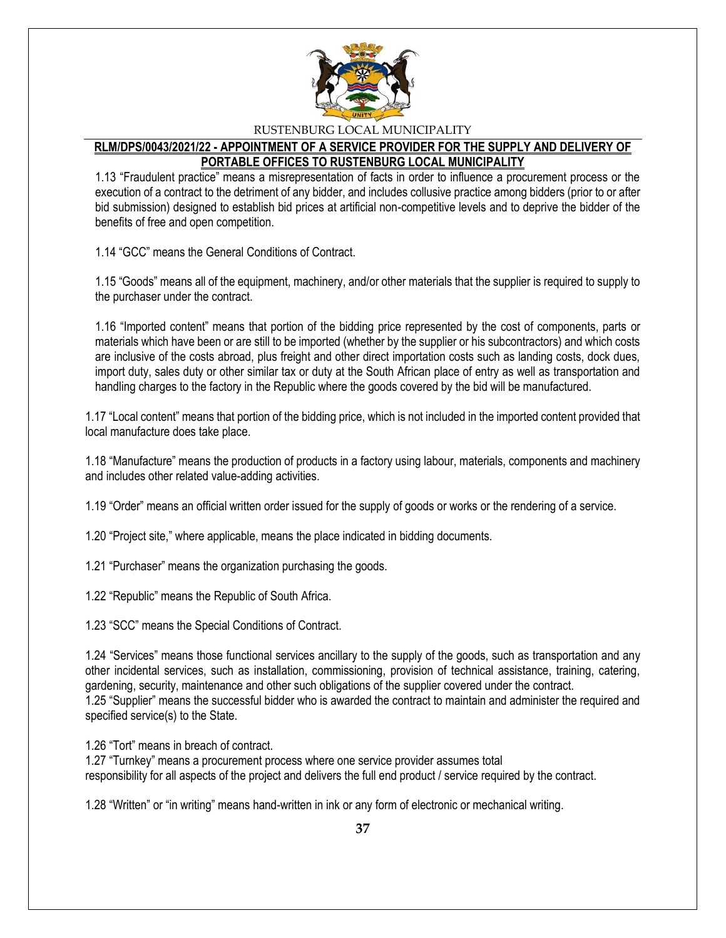

# **RLM/DPS/0043/2021/22 - APPOINTMENT OF A SERVICE PROVIDER FOR THE SUPPLY AND DELIVERY OF PORTABLE OFFICES TO RUSTENBURG LOCAL MUNICIPALITY**

1.13 "Fraudulent practice" means a misrepresentation of facts in order to influence a procurement process or the execution of a contract to the detriment of any bidder, and includes collusive practice among bidders (prior to or after bid submission) designed to establish bid prices at artificial non-competitive levels and to deprive the bidder of the benefits of free and open competition.

1.14 "GCC" means the General Conditions of Contract.

1.15 "Goods" means all of the equipment, machinery, and/or other materials that the supplier is required to supply to the purchaser under the contract.

1.16 "Imported content" means that portion of the bidding price represented by the cost of components, parts or materials which have been or are still to be imported (whether by the supplier or his subcontractors) and which costs are inclusive of the costs abroad, plus freight and other direct importation costs such as landing costs, dock dues, import duty, sales duty or other similar tax or duty at the South African place of entry as well as transportation and handling charges to the factory in the Republic where the goods covered by the bid will be manufactured.

1.17 "Local content" means that portion of the bidding price, which is not included in the imported content provided that local manufacture does take place.

1.18 "Manufacture" means the production of products in a factory using labour, materials, components and machinery and includes other related value-adding activities.

1.19 "Order" means an official written order issued for the supply of goods or works or the rendering of a service.

1.20 "Project site," where applicable, means the place indicated in bidding documents.

1.21 "Purchaser" means the organization purchasing the goods.

1.22 "Republic" means the Republic of South Africa.

1.23 "SCC" means the Special Conditions of Contract.

1.24 "Services" means those functional services ancillary to the supply of the goods, such as transportation and any other incidental services, such as installation, commissioning, provision of technical assistance, training, catering, gardening, security, maintenance and other such obligations of the supplier covered under the contract. 1.25 "Supplier" means the successful bidder who is awarded the contract to maintain and administer the required and specified service(s) to the State.

1.26 "Tort" means in breach of contract.

1.27 "Turnkey" means a procurement process where one service provider assumes total responsibility for all aspects of the project and delivers the full end product / service required by the contract.

1.28 "Written" or "in writing" means hand-written in ink or any form of electronic or mechanical writing.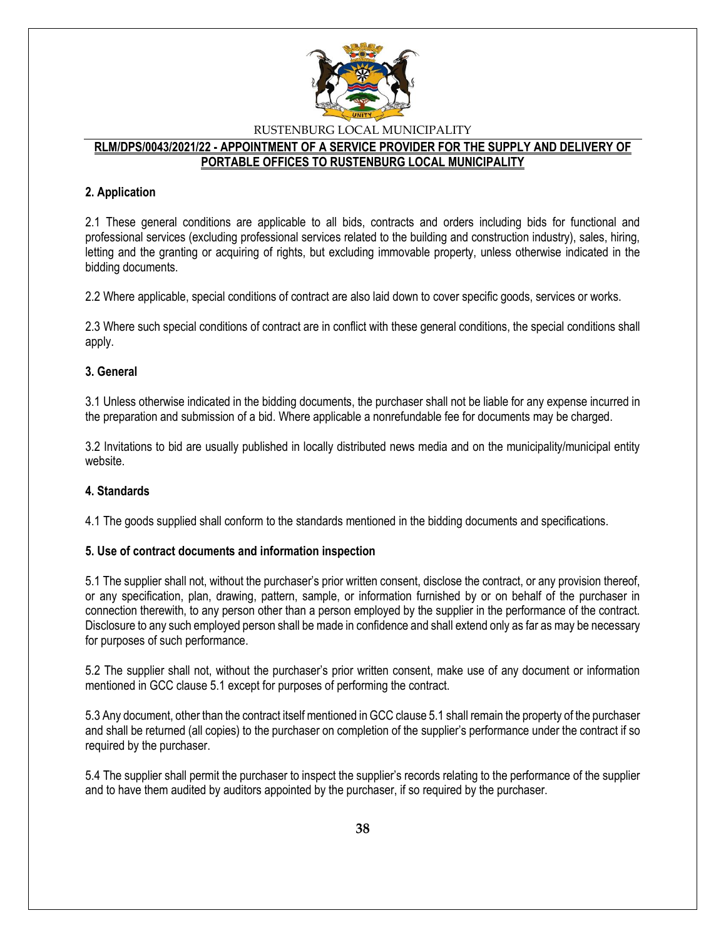

### **RLM/DPS/0043/2021/22 - APPOINTMENT OF A SERVICE PROVIDER FOR THE SUPPLY AND DELIVERY OF PORTABLE OFFICES TO RUSTENBURG LOCAL MUNICIPALITY**

### **2. Application**

2.1 These general conditions are applicable to all bids, contracts and orders including bids for functional and professional services (excluding professional services related to the building and construction industry), sales, hiring, letting and the granting or acquiring of rights, but excluding immovable property, unless otherwise indicated in the bidding documents.

2.2 Where applicable, special conditions of contract are also laid down to cover specific goods, services or works.

2.3 Where such special conditions of contract are in conflict with these general conditions, the special conditions shall apply.

### **3. General**

3.1 Unless otherwise indicated in the bidding documents, the purchaser shall not be liable for any expense incurred in the preparation and submission of a bid. Where applicable a nonrefundable fee for documents may be charged.

3.2 Invitations to bid are usually published in locally distributed news media and on the municipality/municipal entity website.

### **4. Standards**

4.1 The goods supplied shall conform to the standards mentioned in the bidding documents and specifications.

### **5. Use of contract documents and information inspection**

5.1 The supplier shall not, without the purchaser's prior written consent, disclose the contract, or any provision thereof, or any specification, plan, drawing, pattern, sample, or information furnished by or on behalf of the purchaser in connection therewith, to any person other than a person employed by the supplier in the performance of the contract. Disclosure to any such employed person shall be made in confidence and shall extend only as far as may be necessary for purposes of such performance.

5.2 The supplier shall not, without the purchaser's prior written consent, make use of any document or information mentioned in GCC clause 5.1 except for purposes of performing the contract.

5.3 Any document, other than the contract itself mentioned in GCC clause 5.1 shall remain the property of the purchaser and shall be returned (all copies) to the purchaser on completion of the supplier's performance under the contract if so required by the purchaser.

5.4 The supplier shall permit the purchaser to inspect the supplier's records relating to the performance of the supplier and to have them audited by auditors appointed by the purchaser, if so required by the purchaser.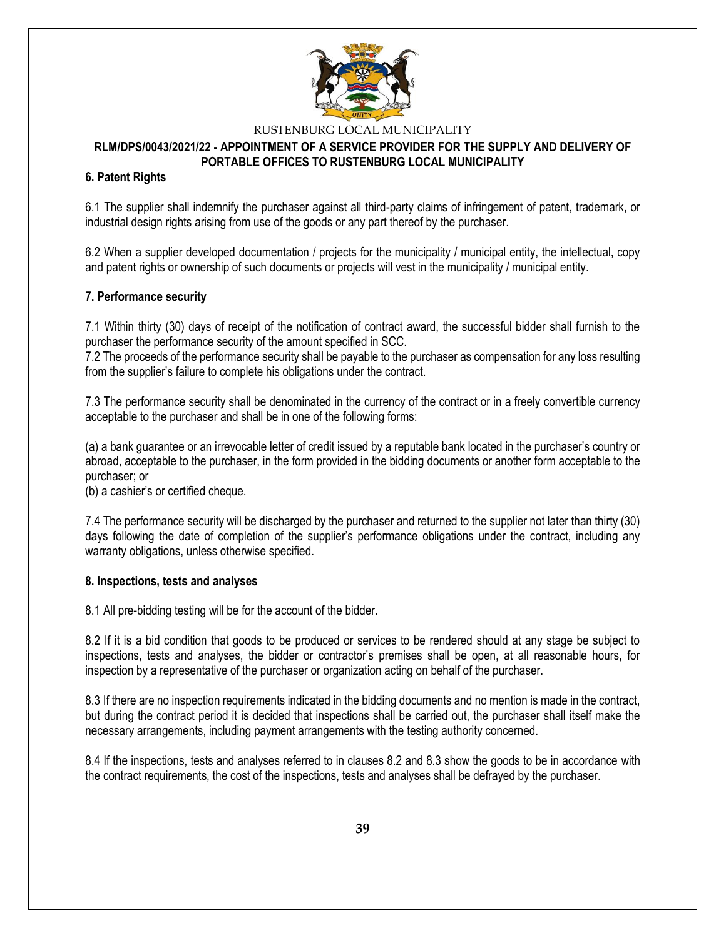

### **RLM/DPS/0043/2021/22 - APPOINTMENT OF A SERVICE PROVIDER FOR THE SUPPLY AND DELIVERY OF PORTABLE OFFICES TO RUSTENBURG LOCAL MUNICIPALITY**

### **6. Patent Rights**

6.1 The supplier shall indemnify the purchaser against all third-party claims of infringement of patent, trademark, or industrial design rights arising from use of the goods or any part thereof by the purchaser.

6.2 When a supplier developed documentation / projects for the municipality / municipal entity, the intellectual, copy and patent rights or ownership of such documents or projects will vest in the municipality / municipal entity.

### **7. Performance security**

7.1 Within thirty (30) days of receipt of the notification of contract award, the successful bidder shall furnish to the purchaser the performance security of the amount specified in SCC.

7.2 The proceeds of the performance security shall be payable to the purchaser as compensation for any loss resulting from the supplier's failure to complete his obligations under the contract.

7.3 The performance security shall be denominated in the currency of the contract or in a freely convertible currency acceptable to the purchaser and shall be in one of the following forms:

(a) a bank guarantee or an irrevocable letter of credit issued by a reputable bank located in the purchaser's country or abroad, acceptable to the purchaser, in the form provided in the bidding documents or another form acceptable to the purchaser; or

(b) a cashier's or certified cheque.

7.4 The performance security will be discharged by the purchaser and returned to the supplier not later than thirty (30) days following the date of completion of the supplier's performance obligations under the contract, including any warranty obligations, unless otherwise specified.

### **8. Inspections, tests and analyses**

8.1 All pre-bidding testing will be for the account of the bidder.

8.2 If it is a bid condition that goods to be produced or services to be rendered should at any stage be subject to inspections, tests and analyses, the bidder or contractor's premises shall be open, at all reasonable hours, for inspection by a representative of the purchaser or organization acting on behalf of the purchaser.

8.3 If there are no inspection requirements indicated in the bidding documents and no mention is made in the contract, but during the contract period it is decided that inspections shall be carried out, the purchaser shall itself make the necessary arrangements, including payment arrangements with the testing authority concerned.

8.4 If the inspections, tests and analyses referred to in clauses 8.2 and 8.3 show the goods to be in accordance with the contract requirements, the cost of the inspections, tests and analyses shall be defrayed by the purchaser.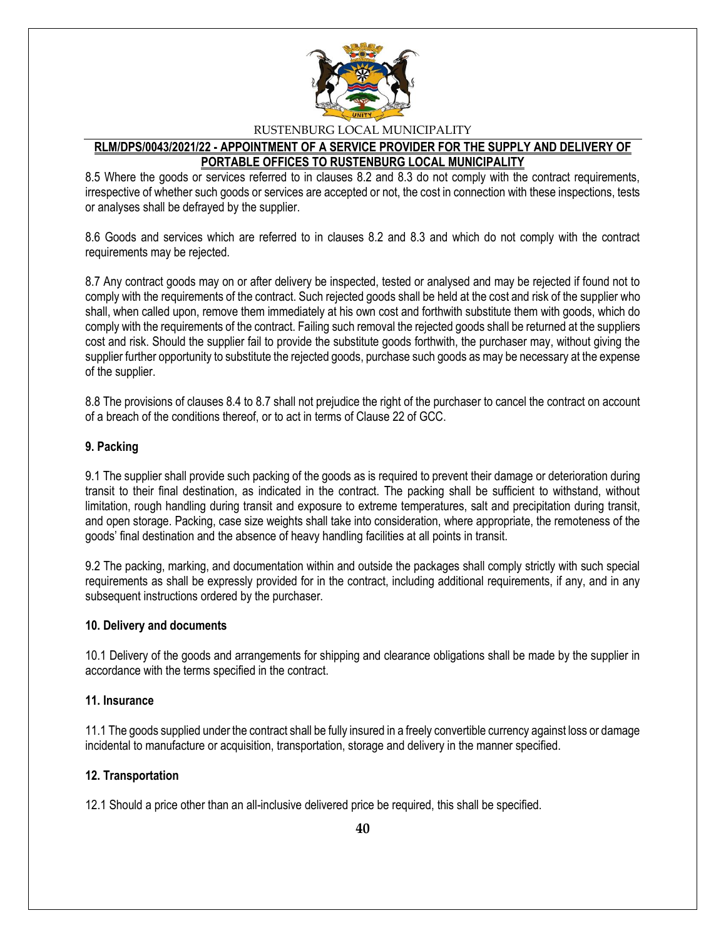

# **RLM/DPS/0043/2021/22 - APPOINTMENT OF A SERVICE PROVIDER FOR THE SUPPLY AND DELIVERY OF PORTABLE OFFICES TO RUSTENBURG LOCAL MUNICIPALITY**

8.5 Where the goods or services referred to in clauses 8.2 and 8.3 do not comply with the contract requirements, irrespective of whether such goods or services are accepted or not, the cost in connection with these inspections, tests or analyses shall be defrayed by the supplier.

8.6 Goods and services which are referred to in clauses 8.2 and 8.3 and which do not comply with the contract requirements may be rejected.

8.7 Any contract goods may on or after delivery be inspected, tested or analysed and may be rejected if found not to comply with the requirements of the contract. Such rejected goods shall be held at the cost and risk of the supplier who shall, when called upon, remove them immediately at his own cost and forthwith substitute them with goods, which do comply with the requirements of the contract. Failing such removal the rejected goods shall be returned at the suppliers cost and risk. Should the supplier fail to provide the substitute goods forthwith, the purchaser may, without giving the supplier further opportunity to substitute the rejected goods, purchase such goods as may be necessary at the expense of the supplier.

8.8 The provisions of clauses 8.4 to 8.7 shall not prejudice the right of the purchaser to cancel the contract on account of a breach of the conditions thereof, or to act in terms of Clause 22 of GCC.

### **9. Packing**

9.1 The supplier shall provide such packing of the goods as is required to prevent their damage or deterioration during transit to their final destination, as indicated in the contract. The packing shall be sufficient to withstand, without limitation, rough handling during transit and exposure to extreme temperatures, salt and precipitation during transit, and open storage. Packing, case size weights shall take into consideration, where appropriate, the remoteness of the goods' final destination and the absence of heavy handling facilities at all points in transit.

9.2 The packing, marking, and documentation within and outside the packages shall comply strictly with such special requirements as shall be expressly provided for in the contract, including additional requirements, if any, and in any subsequent instructions ordered by the purchaser.

### **10. Delivery and documents**

10.1 Delivery of the goods and arrangements for shipping and clearance obligations shall be made by the supplier in accordance with the terms specified in the contract.

### **11. Insurance**

11.1 The goods supplied under the contract shall be fully insured in a freely convertible currency against loss or damage incidental to manufacture or acquisition, transportation, storage and delivery in the manner specified.

### **12. Transportation**

12.1 Should a price other than an all-inclusive delivered price be required, this shall be specified.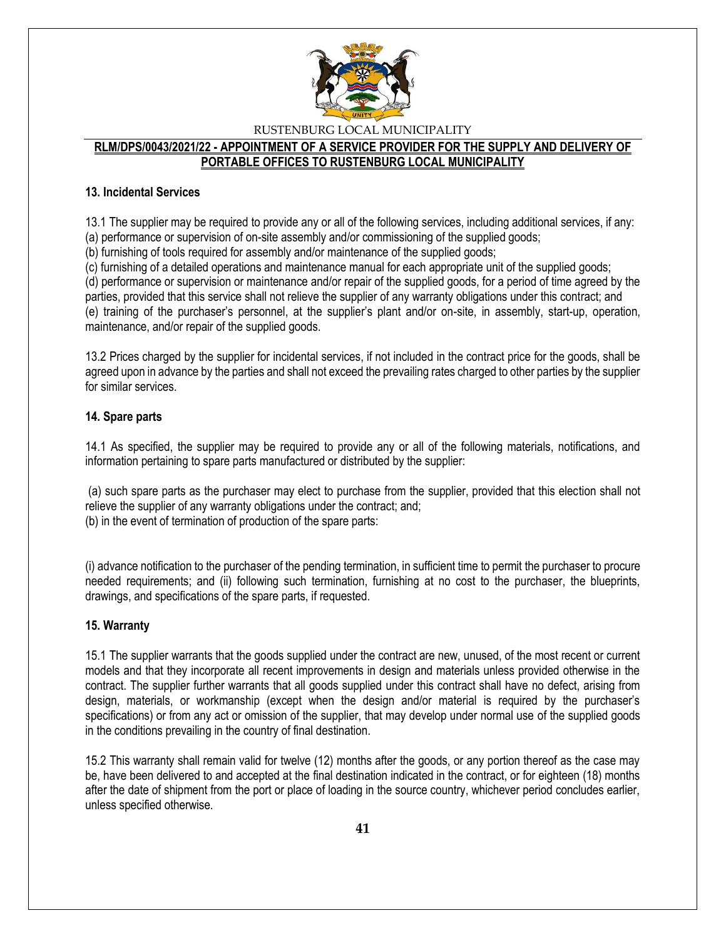

### **RLM/DPS/0043/2021/22 - APPOINTMENT OF A SERVICE PROVIDER FOR THE SUPPLY AND DELIVERY OF PORTABLE OFFICES TO RUSTENBURG LOCAL MUNICIPALITY**

### **13. Incidental Services**

13.1 The supplier may be required to provide any or all of the following services, including additional services, if any:

(a) performance or supervision of on-site assembly and/or commissioning of the supplied goods;

(b) furnishing of tools required for assembly and/or maintenance of the supplied goods;

(c) furnishing of a detailed operations and maintenance manual for each appropriate unit of the supplied goods;

(d) performance or supervision or maintenance and/or repair of the supplied goods, for a period of time agreed by the parties, provided that this service shall not relieve the supplier of any warranty obligations under this contract; and (e) training of the purchaser's personnel, at the supplier's plant and/or on-site, in assembly, start-up, operation, maintenance, and/or repair of the supplied goods.

13.2 Prices charged by the supplier for incidental services, if not included in the contract price for the goods, shall be agreed upon in advance by the parties and shall not exceed the prevailing rates charged to other parties by the supplier for similar services.

### **14. Spare parts**

14.1 As specified, the supplier may be required to provide any or all of the following materials, notifications, and information pertaining to spare parts manufactured or distributed by the supplier:

(a) such spare parts as the purchaser may elect to purchase from the supplier, provided that this election shall not relieve the supplier of any warranty obligations under the contract; and; (b) in the event of termination of production of the spare parts:

(i) advance notification to the purchaser of the pending termination, in sufficient time to permit the purchaser to procure needed requirements; and (ii) following such termination, furnishing at no cost to the purchaser, the blueprints, drawings, and specifications of the spare parts, if requested.

# **15. Warranty**

15.1 The supplier warrants that the goods supplied under the contract are new, unused, of the most recent or current models and that they incorporate all recent improvements in design and materials unless provided otherwise in the contract. The supplier further warrants that all goods supplied under this contract shall have no defect, arising from design, materials, or workmanship (except when the design and/or material is required by the purchaser's specifications) or from any act or omission of the supplier, that may develop under normal use of the supplied goods in the conditions prevailing in the country of final destination.

15.2 This warranty shall remain valid for twelve (12) months after the goods, or any portion thereof as the case may be, have been delivered to and accepted at the final destination indicated in the contract, or for eighteen (18) months after the date of shipment from the port or place of loading in the source country, whichever period concludes earlier, unless specified otherwise.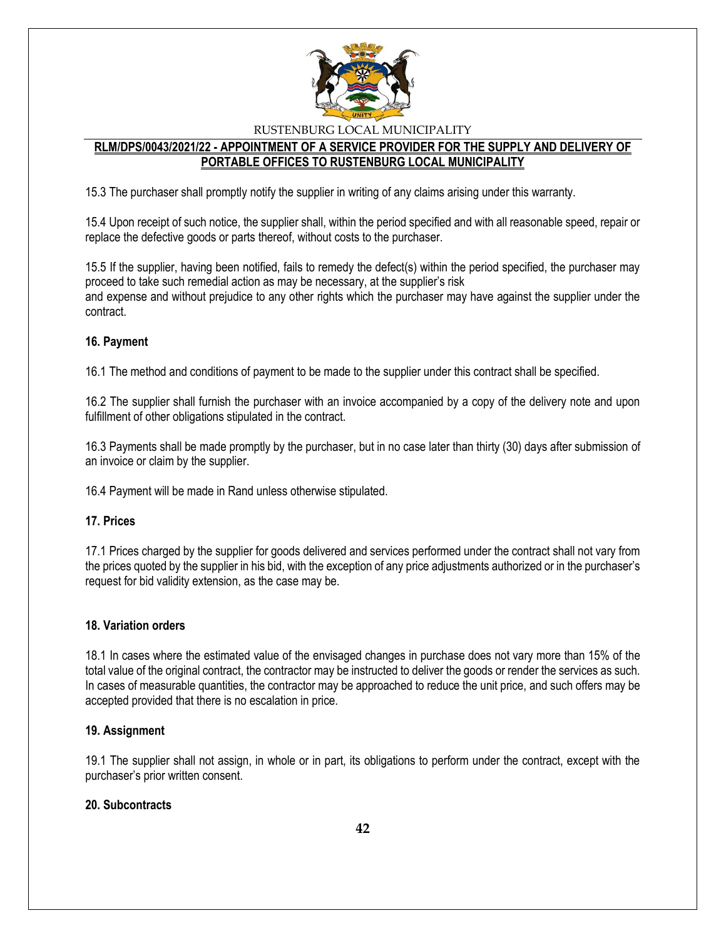

# **RLM/DPS/0043/2021/22 - APPOINTMENT OF A SERVICE PROVIDER FOR THE SUPPLY AND DELIVERY OF PORTABLE OFFICES TO RUSTENBURG LOCAL MUNICIPALITY**

15.3 The purchaser shall promptly notify the supplier in writing of any claims arising under this warranty.

15.4 Upon receipt of such notice, the supplier shall, within the period specified and with all reasonable speed, repair or replace the defective goods or parts thereof, without costs to the purchaser.

15.5 If the supplier, having been notified, fails to remedy the defect(s) within the period specified, the purchaser may proceed to take such remedial action as may be necessary, at the supplier's risk and expense and without prejudice to any other rights which the purchaser may have against the supplier under the contract.

### **16. Payment**

16.1 The method and conditions of payment to be made to the supplier under this contract shall be specified.

16.2 The supplier shall furnish the purchaser with an invoice accompanied by a copy of the delivery note and upon fulfillment of other obligations stipulated in the contract.

16.3 Payments shall be made promptly by the purchaser, but in no case later than thirty (30) days after submission of an invoice or claim by the supplier.

16.4 Payment will be made in Rand unless otherwise stipulated.

### **17. Prices**

17.1 Prices charged by the supplier for goods delivered and services performed under the contract shall not vary from the prices quoted by the supplier in his bid, with the exception of any price adjustments authorized or in the purchaser's request for bid validity extension, as the case may be.

### **18. Variation orders**

18.1 In cases where the estimated value of the envisaged changes in purchase does not vary more than 15% of the total value of the original contract, the contractor may be instructed to deliver the goods or render the services as such. In cases of measurable quantities, the contractor may be approached to reduce the unit price, and such offers may be accepted provided that there is no escalation in price.

### **19. Assignment**

19.1 The supplier shall not assign, in whole or in part, its obligations to perform under the contract, except with the purchaser's prior written consent.

# **20. Subcontracts**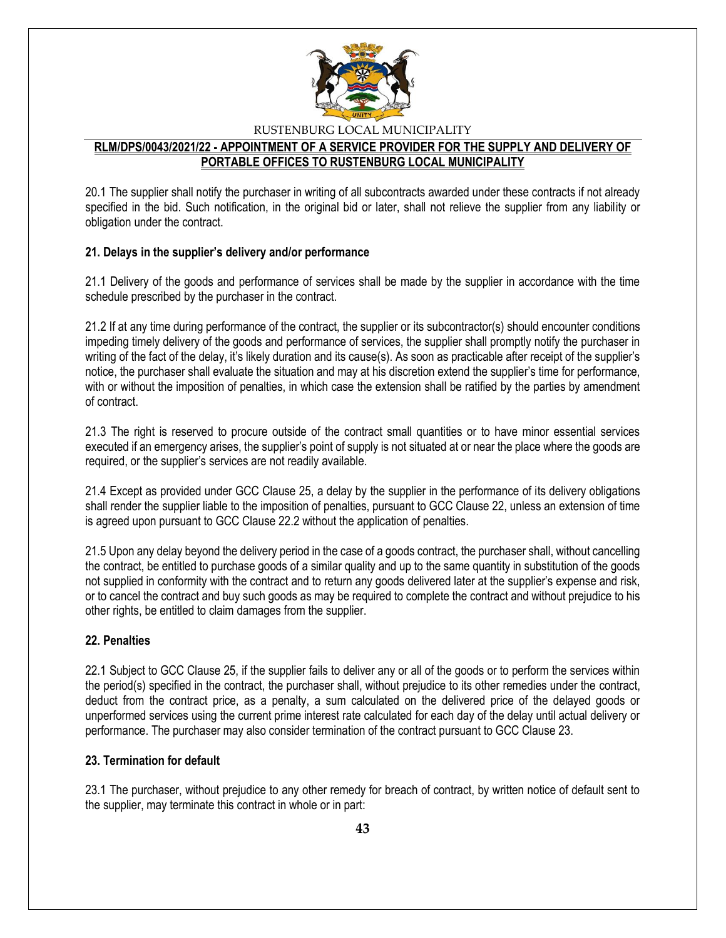

### **RLM/DPS/0043/2021/22 - APPOINTMENT OF A SERVICE PROVIDER FOR THE SUPPLY AND DELIVERY OF PORTABLE OFFICES TO RUSTENBURG LOCAL MUNICIPALITY**

20.1 The supplier shall notify the purchaser in writing of all subcontracts awarded under these contracts if not already specified in the bid. Such notification, in the original bid or later, shall not relieve the supplier from any liability or obligation under the contract.

### **21. Delays in the supplier's delivery and/or performance**

21.1 Delivery of the goods and performance of services shall be made by the supplier in accordance with the time schedule prescribed by the purchaser in the contract.

21.2 If at any time during performance of the contract, the supplier or its subcontractor(s) should encounter conditions impeding timely delivery of the goods and performance of services, the supplier shall promptly notify the purchaser in writing of the fact of the delay, it's likely duration and its cause(s). As soon as practicable after receipt of the supplier's notice, the purchaser shall evaluate the situation and may at his discretion extend the supplier's time for performance, with or without the imposition of penalties, in which case the extension shall be ratified by the parties by amendment of contract.

21.3 The right is reserved to procure outside of the contract small quantities or to have minor essential services executed if an emergency arises, the supplier's point of supply is not situated at or near the place where the goods are required, or the supplier's services are not readily available.

21.4 Except as provided under GCC Clause 25, a delay by the supplier in the performance of its delivery obligations shall render the supplier liable to the imposition of penalties, pursuant to GCC Clause 22, unless an extension of time is agreed upon pursuant to GCC Clause 22.2 without the application of penalties.

21.5 Upon any delay beyond the delivery period in the case of a goods contract, the purchaser shall, without cancelling the contract, be entitled to purchase goods of a similar quality and up to the same quantity in substitution of the goods not supplied in conformity with the contract and to return any goods delivered later at the supplier's expense and risk, or to cancel the contract and buy such goods as may be required to complete the contract and without prejudice to his other rights, be entitled to claim damages from the supplier.

# **22. Penalties**

22.1 Subject to GCC Clause 25, if the supplier fails to deliver any or all of the goods or to perform the services within the period(s) specified in the contract, the purchaser shall, without prejudice to its other remedies under the contract, deduct from the contract price, as a penalty, a sum calculated on the delivered price of the delayed goods or unperformed services using the current prime interest rate calculated for each day of the delay until actual delivery or performance. The purchaser may also consider termination of the contract pursuant to GCC Clause 23.

### **23. Termination for default**

23.1 The purchaser, without prejudice to any other remedy for breach of contract, by written notice of default sent to the supplier, may terminate this contract in whole or in part: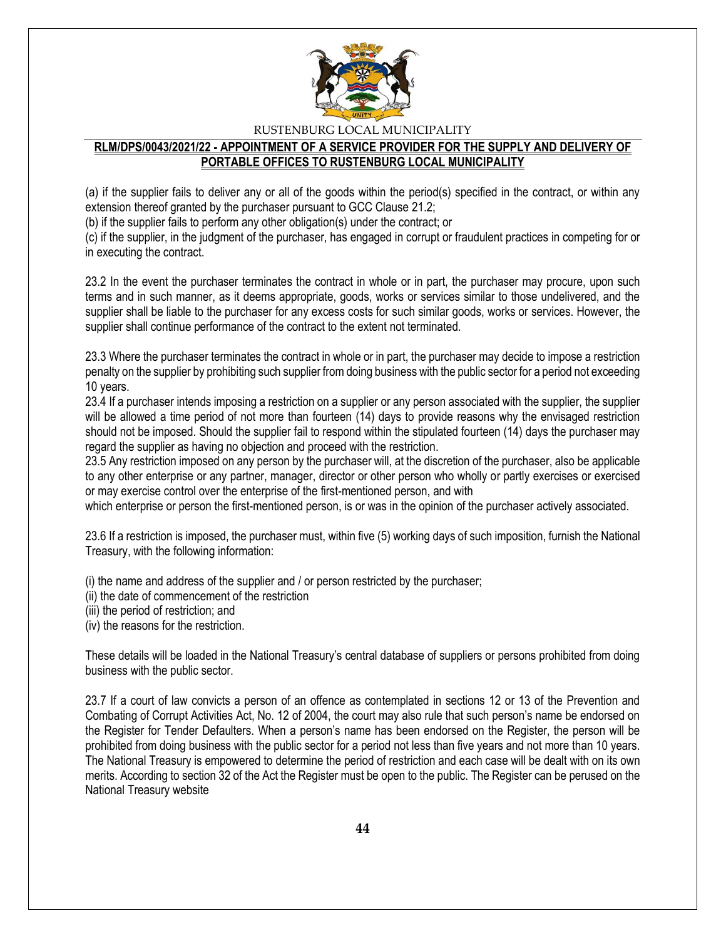

# **RLM/DPS/0043/2021/22 - APPOINTMENT OF A SERVICE PROVIDER FOR THE SUPPLY AND DELIVERY OF PORTABLE OFFICES TO RUSTENBURG LOCAL MUNICIPALITY**

(a) if the supplier fails to deliver any or all of the goods within the period(s) specified in the contract, or within any extension thereof granted by the purchaser pursuant to GCC Clause 21.2;

(b) if the supplier fails to perform any other obligation(s) under the contract; or

(c) if the supplier, in the judgment of the purchaser, has engaged in corrupt or fraudulent practices in competing for or in executing the contract.

23.2 In the event the purchaser terminates the contract in whole or in part, the purchaser may procure, upon such terms and in such manner, as it deems appropriate, goods, works or services similar to those undelivered, and the supplier shall be liable to the purchaser for any excess costs for such similar goods, works or services. However, the supplier shall continue performance of the contract to the extent not terminated.

23.3 Where the purchaser terminates the contract in whole or in part, the purchaser may decide to impose a restriction penalty on the supplier by prohibiting such supplier from doing business with the public sector for a period not exceeding 10 years.

23.4 If a purchaser intends imposing a restriction on a supplier or any person associated with the supplier, the supplier will be allowed a time period of not more than fourteen (14) days to provide reasons why the envisaged restriction should not be imposed. Should the supplier fail to respond within the stipulated fourteen (14) days the purchaser may regard the supplier as having no objection and proceed with the restriction.

23.5 Any restriction imposed on any person by the purchaser will, at the discretion of the purchaser, also be applicable to any other enterprise or any partner, manager, director or other person who wholly or partly exercises or exercised or may exercise control over the enterprise of the first-mentioned person, and with

which enterprise or person the first-mentioned person, is or was in the opinion of the purchaser actively associated.

23.6 If a restriction is imposed, the purchaser must, within five (5) working days of such imposition, furnish the National Treasury, with the following information:

(i) the name and address of the supplier and / or person restricted by the purchaser;

(ii) the date of commencement of the restriction

(iii) the period of restriction; and

(iv) the reasons for the restriction.

These details will be loaded in the National Treasury's central database of suppliers or persons prohibited from doing business with the public sector.

23.7 If a court of law convicts a person of an offence as contemplated in sections 12 or 13 of the Prevention and Combating of Corrupt Activities Act, No. 12 of 2004, the court may also rule that such person's name be endorsed on the Register for Tender Defaulters. When a person's name has been endorsed on the Register, the person will be prohibited from doing business with the public sector for a period not less than five years and not more than 10 years. The National Treasury is empowered to determine the period of restriction and each case will be dealt with on its own merits. According to section 32 of the Act the Register must be open to the public. The Register can be perused on the National Treasury website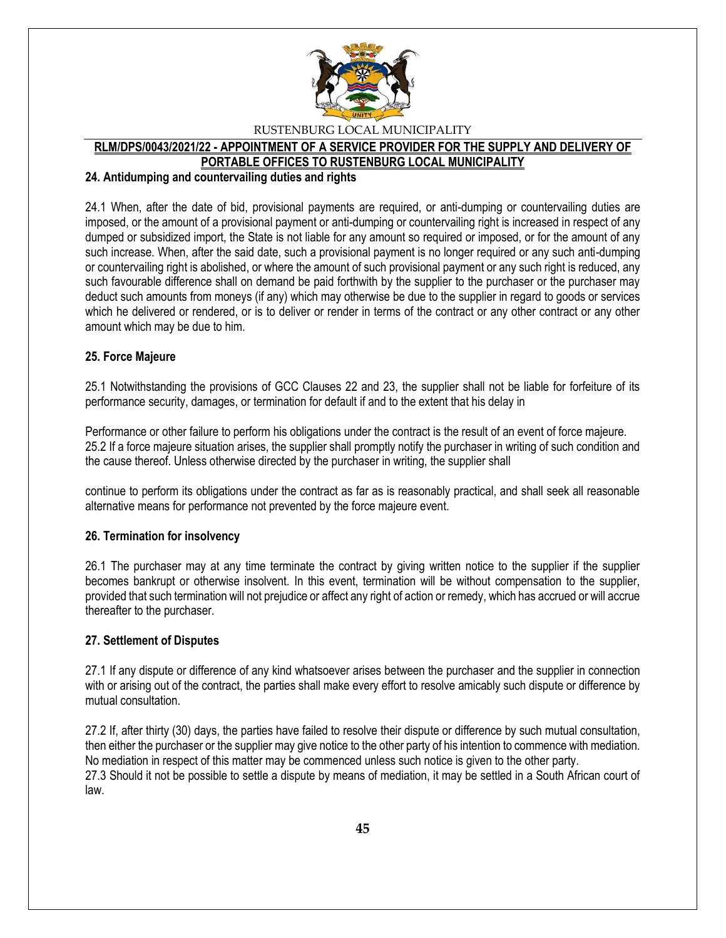

### **RLM/DPS/0043/2021/22 - APPOINTMENT OF A SERVICE PROVIDER FOR THE SUPPLY AND DELIVERY OF PORTABLE OFFICES TO RUSTENBURG LOCAL MUNICIPALITY**

#### **24. Antidumping and countervailing duties and rights**

24.1 When, after the date of bid, provisional payments are required, or anti-dumping or countervailing duties are imposed, or the amount of a provisional payment or anti-dumping or countervailing right is increased in respect of any dumped or subsidized import, the State is not liable for any amount so required or imposed, or for the amount of any such increase. When, after the said date, such a provisional payment is no longer required or any such anti-dumping or countervailing right is abolished, or where the amount of such provisional payment or any such right is reduced, any such favourable difference shall on demand be paid forthwith by the supplier to the purchaser or the purchaser may deduct such amounts from moneys (if any) which may otherwise be due to the supplier in regard to goods or services which he delivered or rendered, or is to deliver or render in terms of the contract or any other contract or any other amount which may be due to him.

### **25. Force Majeure**

25.1 Notwithstanding the provisions of GCC Clauses 22 and 23, the supplier shall not be liable for forfeiture of its performance security, damages, or termination for default if and to the extent that his delay in

Performance or other failure to perform his obligations under the contract is the result of an event of force majeure. 25.2 If a force majeure situation arises, the supplier shall promptly notify the purchaser in writing of such condition and the cause thereof. Unless otherwise directed by the purchaser in writing, the supplier shall

continue to perform its obligations under the contract as far as is reasonably practical, and shall seek all reasonable alternative means for performance not prevented by the force majeure event.

### **26. Termination for insolvency**

26.1 The purchaser may at any time terminate the contract by giving written notice to the supplier if the supplier becomes bankrupt or otherwise insolvent. In this event, termination will be without compensation to the supplier, provided that such termination will not prejudice or affect any right of action or remedy, which has accrued or will accrue thereafter to the purchaser.

### **27. Settlement of Disputes**

27.1 If any dispute or difference of any kind whatsoever arises between the purchaser and the supplier in connection with or arising out of the contract, the parties shall make every effort to resolve amicably such dispute or difference by mutual consultation.

27.2 If, after thirty (30) days, the parties have failed to resolve their dispute or difference by such mutual consultation, then either the purchaser or the supplier may give notice to the other party of his intention to commence with mediation. No mediation in respect of this matter may be commenced unless such notice is given to the other party. 27.3 Should it not be possible to settle a dispute by means of mediation, it may be settled in a South African court of law.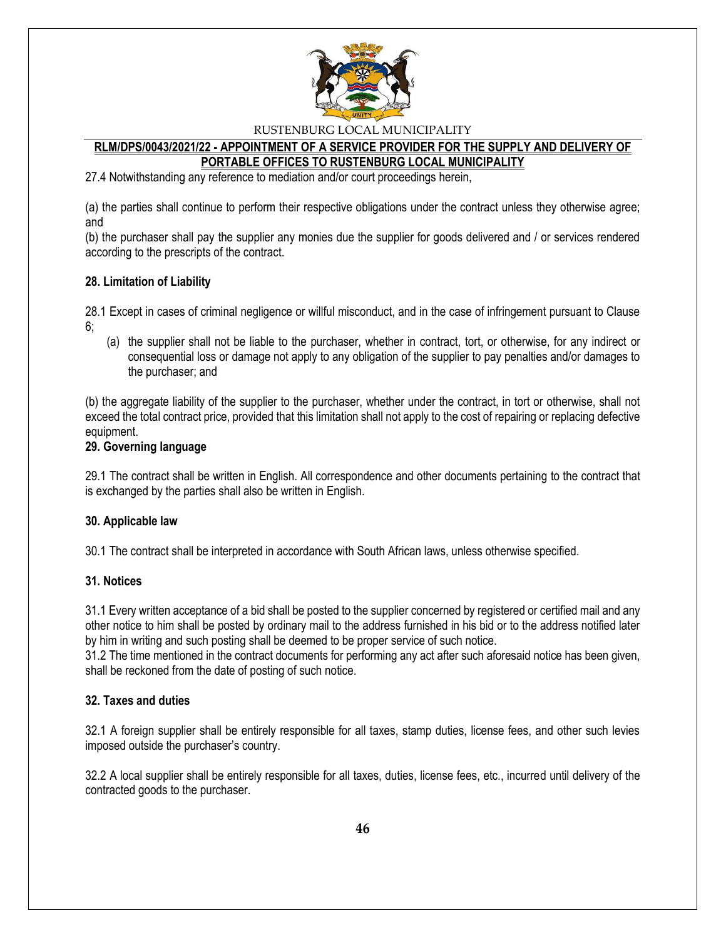

### **RLM/DPS/0043/2021/22 - APPOINTMENT OF A SERVICE PROVIDER FOR THE SUPPLY AND DELIVERY OF PORTABLE OFFICES TO RUSTENBURG LOCAL MUNICIPALITY**

27.4 Notwithstanding any reference to mediation and/or court proceedings herein,

(a) the parties shall continue to perform their respective obligations under the contract unless they otherwise agree; and

(b) the purchaser shall pay the supplier any monies due the supplier for goods delivered and / or services rendered according to the prescripts of the contract.

### **28. Limitation of Liability**

28.1 Except in cases of criminal negligence or willful misconduct, and in the case of infringement pursuant to Clause 6;

(a) the supplier shall not be liable to the purchaser, whether in contract, tort, or otherwise, for any indirect or consequential loss or damage not apply to any obligation of the supplier to pay penalties and/or damages to the purchaser; and

(b) the aggregate liability of the supplier to the purchaser, whether under the contract, in tort or otherwise, shall not exceed the total contract price, provided that this limitation shall not apply to the cost of repairing or replacing defective equipment.

#### **29. Governing language**

29.1 The contract shall be written in English. All correspondence and other documents pertaining to the contract that is exchanged by the parties shall also be written in English.

### **30. Applicable law**

30.1 The contract shall be interpreted in accordance with South African laws, unless otherwise specified.

### **31. Notices**

31.1 Every written acceptance of a bid shall be posted to the supplier concerned by registered or certified mail and any other notice to him shall be posted by ordinary mail to the address furnished in his bid or to the address notified later by him in writing and such posting shall be deemed to be proper service of such notice.

31.2 The time mentioned in the contract documents for performing any act after such aforesaid notice has been given, shall be reckoned from the date of posting of such notice.

### **32. Taxes and duties**

32.1 A foreign supplier shall be entirely responsible for all taxes, stamp duties, license fees, and other such levies imposed outside the purchaser's country.

32.2 A local supplier shall be entirely responsible for all taxes, duties, license fees, etc., incurred until delivery of the contracted goods to the purchaser.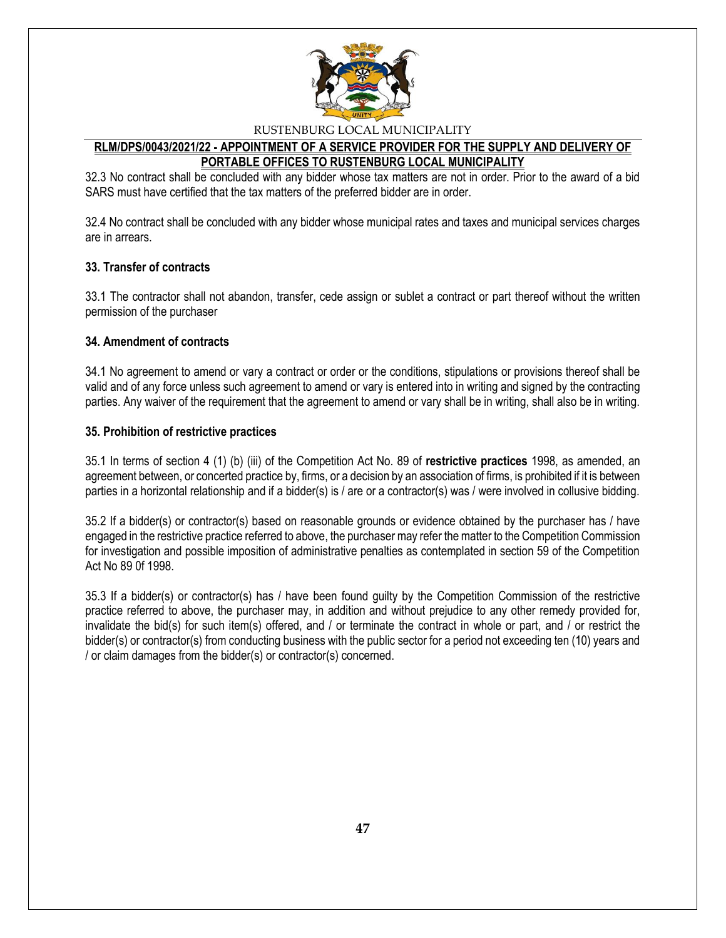

# **RLM/DPS/0043/2021/22 - APPOINTMENT OF A SERVICE PROVIDER FOR THE SUPPLY AND DELIVERY OF PORTABLE OFFICES TO RUSTENBURG LOCAL MUNICIPALITY**

32.3 No contract shall be concluded with any bidder whose tax matters are not in order. Prior to the award of a bid SARS must have certified that the tax matters of the preferred bidder are in order.

32.4 No contract shall be concluded with any bidder whose municipal rates and taxes and municipal services charges are in arrears.

### **33. Transfer of contracts**

33.1 The contractor shall not abandon, transfer, cede assign or sublet a contract or part thereof without the written permission of the purchaser

### **34. Amendment of contracts**

34.1 No agreement to amend or vary a contract or order or the conditions, stipulations or provisions thereof shall be valid and of any force unless such agreement to amend or vary is entered into in writing and signed by the contracting parties. Any waiver of the requirement that the agreement to amend or vary shall be in writing, shall also be in writing.

### **35. Prohibition of restrictive practices**

35.1 In terms of section 4 (1) (b) (iii) of the Competition Act No. 89 of **restrictive practices** 1998, as amended, an agreement between, or concerted practice by, firms, or a decision by an association of firms, is prohibited if it is between parties in a horizontal relationship and if a bidder(s) is / are or a contractor(s) was / were involved in collusive bidding.

35.2 If a bidder(s) or contractor(s) based on reasonable grounds or evidence obtained by the purchaser has / have engaged in the restrictive practice referred to above, the purchaser may refer the matter to the Competition Commission for investigation and possible imposition of administrative penalties as contemplated in section 59 of the Competition Act No 89 0f 1998.

35.3 If a bidder(s) or contractor(s) has / have been found guilty by the Competition Commission of the restrictive practice referred to above, the purchaser may, in addition and without prejudice to any other remedy provided for, invalidate the bid(s) for such item(s) offered, and / or terminate the contract in whole or part, and / or restrict the bidder(s) or contractor(s) from conducting business with the public sector for a period not exceeding ten (10) years and / or claim damages from the bidder(s) or contractor(s) concerned.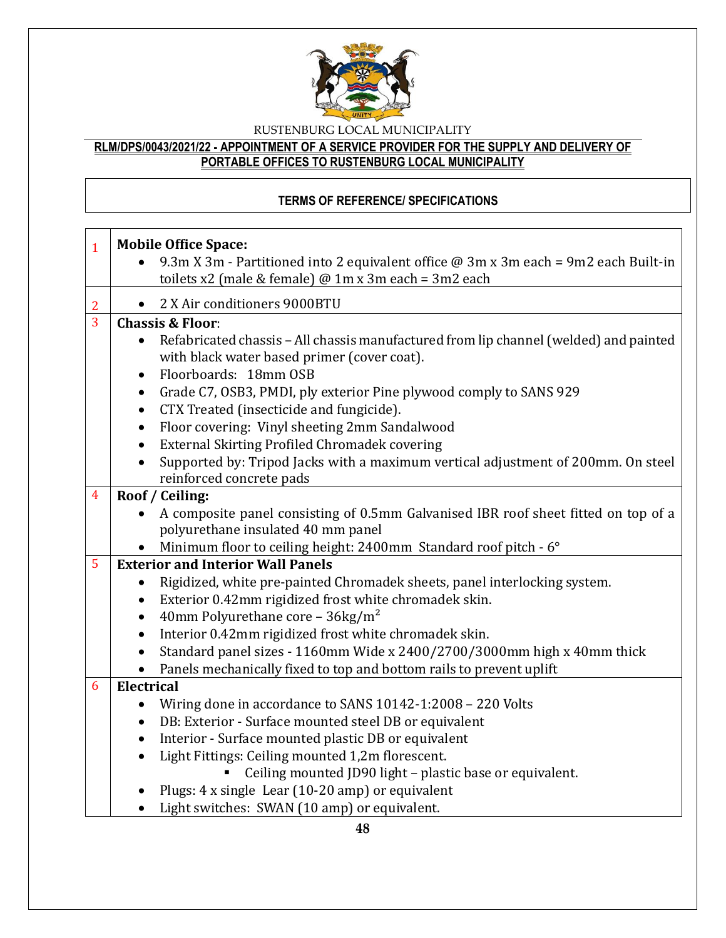

# **RLM/DPS/0043/2021/22 - APPOINTMENT OF A SERVICE PROVIDER FOR THE SUPPLY AND DELIVERY OF PORTABLE OFFICES TO RUSTENBURG LOCAL MUNICIPALITY**

# **TERMS OF REFERENCE/ SPECIFICATIONS**

| $\mathbf{1}$   | <b>Mobile Office Space:</b>                                                                                                                          |  |  |  |  |
|----------------|------------------------------------------------------------------------------------------------------------------------------------------------------|--|--|--|--|
|                | 9.3m X 3m - Partitioned into 2 equivalent office $\omega$ 3m x 3m each = 9m2 each Built-in<br>toilets x2 (male & female) $@$ 1m x 3m each = 3m2 each |  |  |  |  |
|                |                                                                                                                                                      |  |  |  |  |
| 2              | 2 X Air conditioners 9000BTU<br>$\bullet$                                                                                                            |  |  |  |  |
| $\overline{3}$ | <b>Chassis &amp; Floor:</b>                                                                                                                          |  |  |  |  |
|                | Refabricated chassis - All chassis manufactured from lip channel (welded) and painted<br>$\bullet$<br>with black water based primer (cover coat).    |  |  |  |  |
|                | Floorboards: 18mm OSB<br>$\bullet$                                                                                                                   |  |  |  |  |
|                | Grade C7, OSB3, PMDI, ply exterior Pine plywood comply to SANS 929<br>$\bullet$<br>CTX Treated (insecticide and fungicide).<br>$\bullet$             |  |  |  |  |
|                |                                                                                                                                                      |  |  |  |  |
|                | Floor covering: Vinyl sheeting 2mm Sandalwood<br>$\bullet$<br>External Skirting Profiled Chromadek covering<br>$\bullet$                             |  |  |  |  |
|                | Supported by: Tripod Jacks with a maximum vertical adjustment of 200mm. On steel                                                                     |  |  |  |  |
|                | reinforced concrete pads                                                                                                                             |  |  |  |  |
| $\overline{4}$ | Roof / Ceiling:                                                                                                                                      |  |  |  |  |
|                | A composite panel consisting of 0.5mm Galvanised IBR roof sheet fitted on top of a<br>$\bullet$                                                      |  |  |  |  |
|                | polyurethane insulated 40 mm panel                                                                                                                   |  |  |  |  |
|                | Minimum floor to ceiling height: 2400mm Standard roof pitch - 6°                                                                                     |  |  |  |  |
| 5              | <b>Exterior and Interior Wall Panels</b>                                                                                                             |  |  |  |  |
|                | Rigidized, white pre-painted Chromadek sheets, panel interlocking system.<br>$\bullet$                                                               |  |  |  |  |
|                | Exterior 0.42mm rigidized frost white chromadek skin.<br>$\bullet$                                                                                   |  |  |  |  |
|                | 40mm Polyurethane core - $36\text{kg/m}^2$<br>$\bullet$                                                                                              |  |  |  |  |
|                | Interior 0.42mm rigidized frost white chromadek skin.<br>$\bullet$                                                                                   |  |  |  |  |
|                | Standard panel sizes - 1160mm Wide x 2400/2700/3000mm high x 40mm thick                                                                              |  |  |  |  |
|                | Panels mechanically fixed to top and bottom rails to prevent uplift<br>$\bullet$                                                                     |  |  |  |  |
| 6              | <b>Electrical</b>                                                                                                                                    |  |  |  |  |
|                | Wiring done in accordance to SANS 10142-1:2008 - 220 Volts<br>$\bullet$                                                                              |  |  |  |  |
|                | DB: Exterior - Surface mounted steel DB or equivalent<br>$\bullet$                                                                                   |  |  |  |  |
|                | Interior - Surface mounted plastic DB or equivalent<br>$\bullet$                                                                                     |  |  |  |  |
|                | Light Fittings: Ceiling mounted 1,2m florescent.<br>$\bullet$                                                                                        |  |  |  |  |
|                | Ceiling mounted JD90 light - plastic base or equivalent.                                                                                             |  |  |  |  |
|                | Plugs: 4 x single Lear (10-20 amp) or equivalent                                                                                                     |  |  |  |  |
|                | Light switches: SWAN (10 amp) or equivalent.                                                                                                         |  |  |  |  |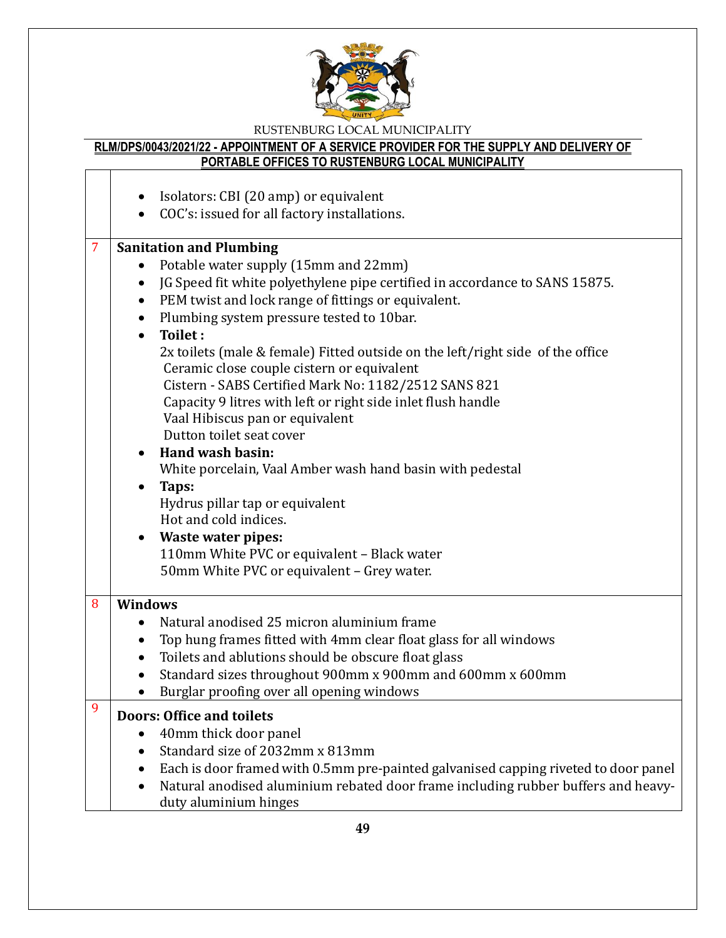

# **RLM/DPS/0043/2021/22 - APPOINTMENT OF A SERVICE PROVIDER FOR THE SUPPLY AND DELIVERY OF PORTABLE OFFICES TO RUSTENBURG LOCAL MUNICIPALITY**

|   | Isolators: CBI (20 amp) or equivalent<br>$\bullet$<br>COC's: issued for all factory installations.<br>$\bullet$                                                                                                                                                                                                                                                                                                                                                                                                                                                                                                                                                                                                                                                                                                                                                                                                                                     |
|---|-----------------------------------------------------------------------------------------------------------------------------------------------------------------------------------------------------------------------------------------------------------------------------------------------------------------------------------------------------------------------------------------------------------------------------------------------------------------------------------------------------------------------------------------------------------------------------------------------------------------------------------------------------------------------------------------------------------------------------------------------------------------------------------------------------------------------------------------------------------------------------------------------------------------------------------------------------|
| 7 | <b>Sanitation and Plumbing</b><br>Potable water supply (15mm and 22mm)<br>$\bullet$<br>JG Speed fit white polyethylene pipe certified in accordance to SANS 15875.<br>$\bullet$<br>PEM twist and lock range of fittings or equivalent.<br>$\bullet$<br>Plumbing system pressure tested to 10bar.<br>$\bullet$<br>Toilet:<br>$\bullet$<br>2x toilets (male & female) Fitted outside on the left/right side of the office<br>Ceramic close couple cistern or equivalent<br>Cistern - SABS Certified Mark No: 1182/2512 SANS 821<br>Capacity 9 litres with left or right side inlet flush handle<br>Vaal Hibiscus pan or equivalent<br>Dutton toilet seat cover<br><b>Hand wash basin:</b><br>White porcelain, Vaal Amber wash hand basin with pedestal<br>Taps:<br>Hydrus pillar tap or equivalent<br>Hot and cold indices.<br><b>Waste water pipes:</b><br>110mm White PVC or equivalent - Black water<br>50mm White PVC or equivalent - Grey water. |
| 8 | <b>Windows</b><br>Natural anodised 25 micron aluminium frame<br>Top hung frames fitted with 4mm clear float glass for all windows<br>$\bullet$<br>Toilets and ablutions should be obscure float glass<br>$\bullet$<br>Standard sizes throughout 900mm x 900mm and 600mm x 600mm<br>$\bullet$<br>Burglar proofing over all opening windows                                                                                                                                                                                                                                                                                                                                                                                                                                                                                                                                                                                                           |
| 9 | <b>Doors: Office and toilets</b><br>40mm thick door panel<br>Standard size of 2032mm x 813mm<br>Each is door framed with 0.5mm pre-painted galvanised capping riveted to door panel<br>$\bullet$<br>Natural anodised aluminium rebated door frame including rubber buffers and heavy-<br>duty aluminium hinges                                                                                                                                                                                                                                                                                                                                                                                                                                                                                                                                                                                                                                      |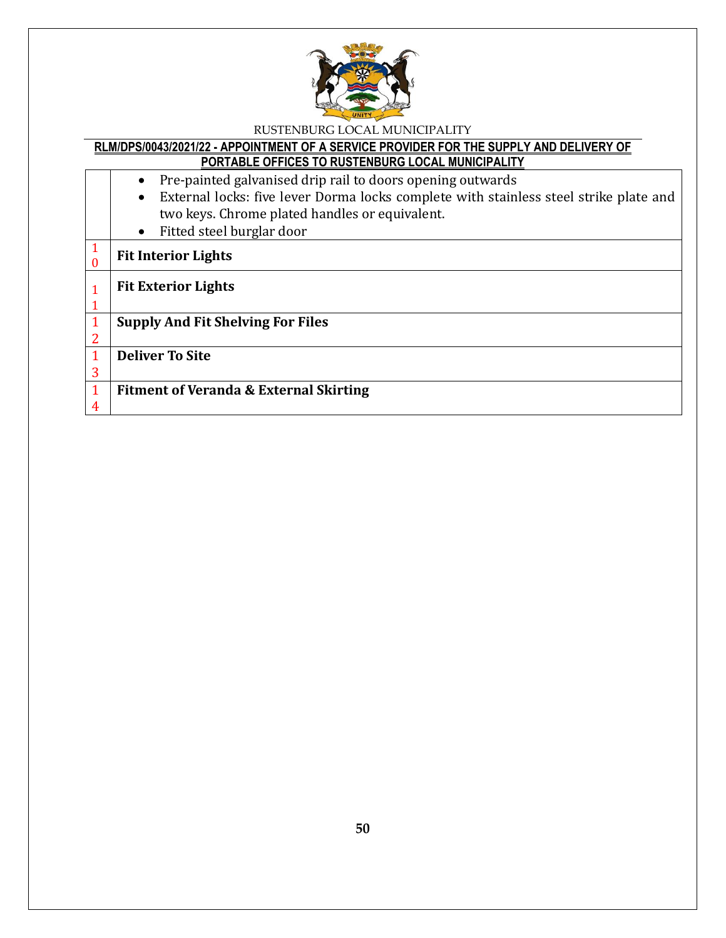

### **RLM/DPS/0043/2021/22 - APPOINTMENT OF A SERVICE PROVIDER FOR THE SUPPLY AND DELIVERY OF PORTABLE OFFICES TO RUSTENBURG LOCAL MUNICIPALITY**

|                | <u>T UNTABLE UITTUEU TU NUUTENBUNU EUUAE MUNIUM AEITT</u>                             |
|----------------|---------------------------------------------------------------------------------------|
|                | Pre-painted galvanised drip rail to doors opening outwards                            |
|                | External locks: five lever Dorma locks complete with stainless steel strike plate and |
|                | two keys. Chrome plated handles or equivalent.                                        |
|                | Fitted steel burglar door<br>$\bullet$                                                |
| $\mathbf{1}$   | <b>Fit Interior Lights</b>                                                            |
| $\mathbf{1}$   | <b>Fit Exterior Lights</b>                                                            |
|                |                                                                                       |
| $\mathbf{1}$   | <b>Supply And Fit Shelving For Files</b>                                              |
| $\overline{2}$ |                                                                                       |
| $\mathbf{1}$   | <b>Deliver To Site</b>                                                                |
| 3              |                                                                                       |
| $\mathbf{1}$   | <b>Fitment of Veranda &amp; External Skirting</b>                                     |
| 4              |                                                                                       |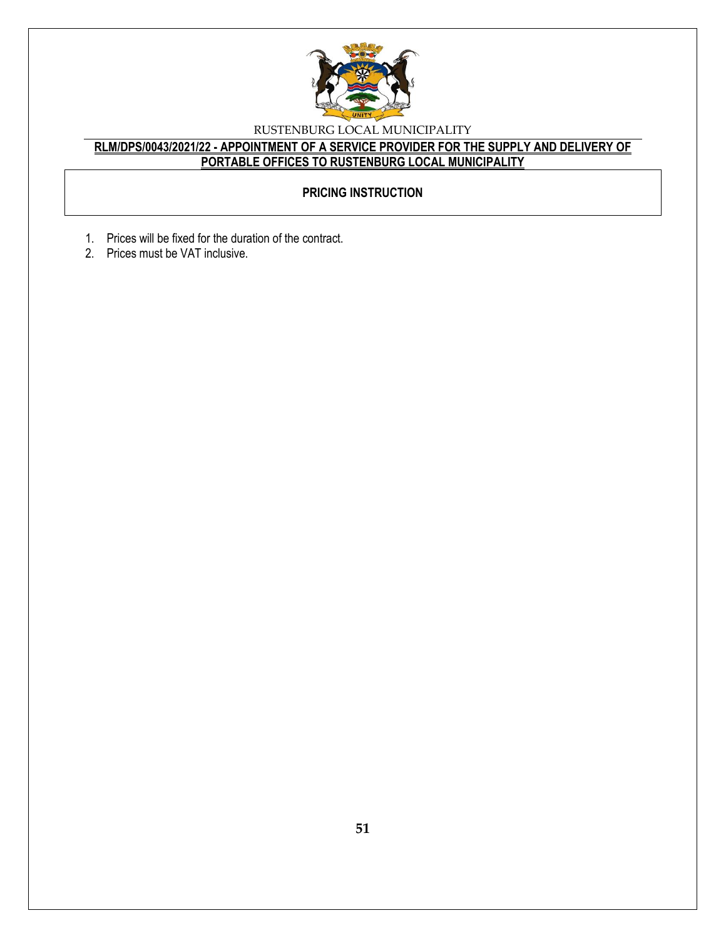

# **RLM/DPS/0043/2021/22 - APPOINTMENT OF A SERVICE PROVIDER FOR THE SUPPLY AND DELIVERY OF PORTABLE OFFICES TO RUSTENBURG LOCAL MUNICIPALITY**

# **PRICING INSTRUCTION**

- 1. Prices will be fixed for the duration of the contract.
- 2. Prices must be VAT inclusive.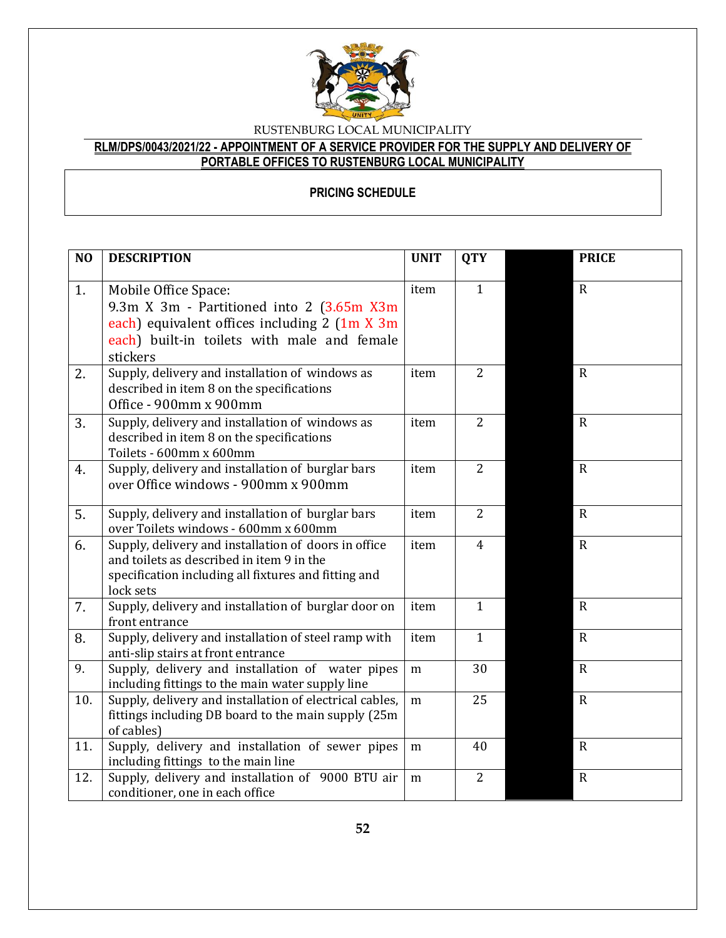

# **RLM/DPS/0043/2021/22 - APPOINTMENT OF A SERVICE PROVIDER FOR THE SUPPLY AND DELIVERY OF PORTABLE OFFICES TO RUSTENBURG LOCAL MUNICIPALITY**

# **PRICING SCHEDULE**

| $\bf NO$ | <b>DESCRIPTION</b>                                                                                                                                                            | <b>UNIT</b> | <b>QTY</b>     | <b>PRICE</b>   |
|----------|-------------------------------------------------------------------------------------------------------------------------------------------------------------------------------|-------------|----------------|----------------|
| 1.       | Mobile Office Space:<br>9.3m X 3m - Partitioned into 2 (3.65m X3m<br>each) equivalent offices including 2 (1m X 3m<br>each) built-in toilets with male and female<br>stickers | item        | $\mathbf{1}$   | $\overline{R}$ |
| 2.       | Supply, delivery and installation of windows as<br>described in item 8 on the specifications<br>Office - 900mm x 900mm                                                        | item        | $\overline{2}$ | $\overline{R}$ |
| 3.       | Supply, delivery and installation of windows as<br>described in item 8 on the specifications<br>Toilets - 600mm x 600mm                                                       | item        | $\overline{2}$ | $\mathbf R$    |
| 4.       | Supply, delivery and installation of burglar bars<br>over Office windows - 900mm x 900mm                                                                                      | item        | $\overline{2}$ | $\overline{R}$ |
| 5.       | Supply, delivery and installation of burglar bars<br>over Toilets windows - 600mm x 600mm                                                                                     | item        | $\overline{2}$ | $\overline{R}$ |
| 6.       | Supply, delivery and installation of doors in office<br>and toilets as described in item 9 in the<br>specification including all fixtures and fitting and<br>lock sets        | item        | $\overline{4}$ | $\mathbf R$    |
| 7.       | Supply, delivery and installation of burglar door on<br>front entrance                                                                                                        | item        | $\mathbf{1}$   | $\overline{R}$ |
| 8.       | Supply, delivery and installation of steel ramp with<br>anti-slip stairs at front entrance                                                                                    | item        | $\mathbf{1}$   | $\overline{R}$ |
| 9.       | Supply, delivery and installation of water pipes<br>including fittings to the main water supply line                                                                          | m           | 30             | $\mathbf R$    |
| 10.      | Supply, delivery and installation of electrical cables,<br>fittings including DB board to the main supply (25m<br>of cables)                                                  | m           | 25             | $\overline{R}$ |
| 11.      | Supply, delivery and installation of sewer pipes<br>including fittings to the main line                                                                                       | m           | 40             | $\mathbf R$    |
| 12.      | Supply, delivery and installation of 9000 BTU air<br>conditioner, one in each office                                                                                          | m           | $\overline{2}$ | $\mathbf R$    |